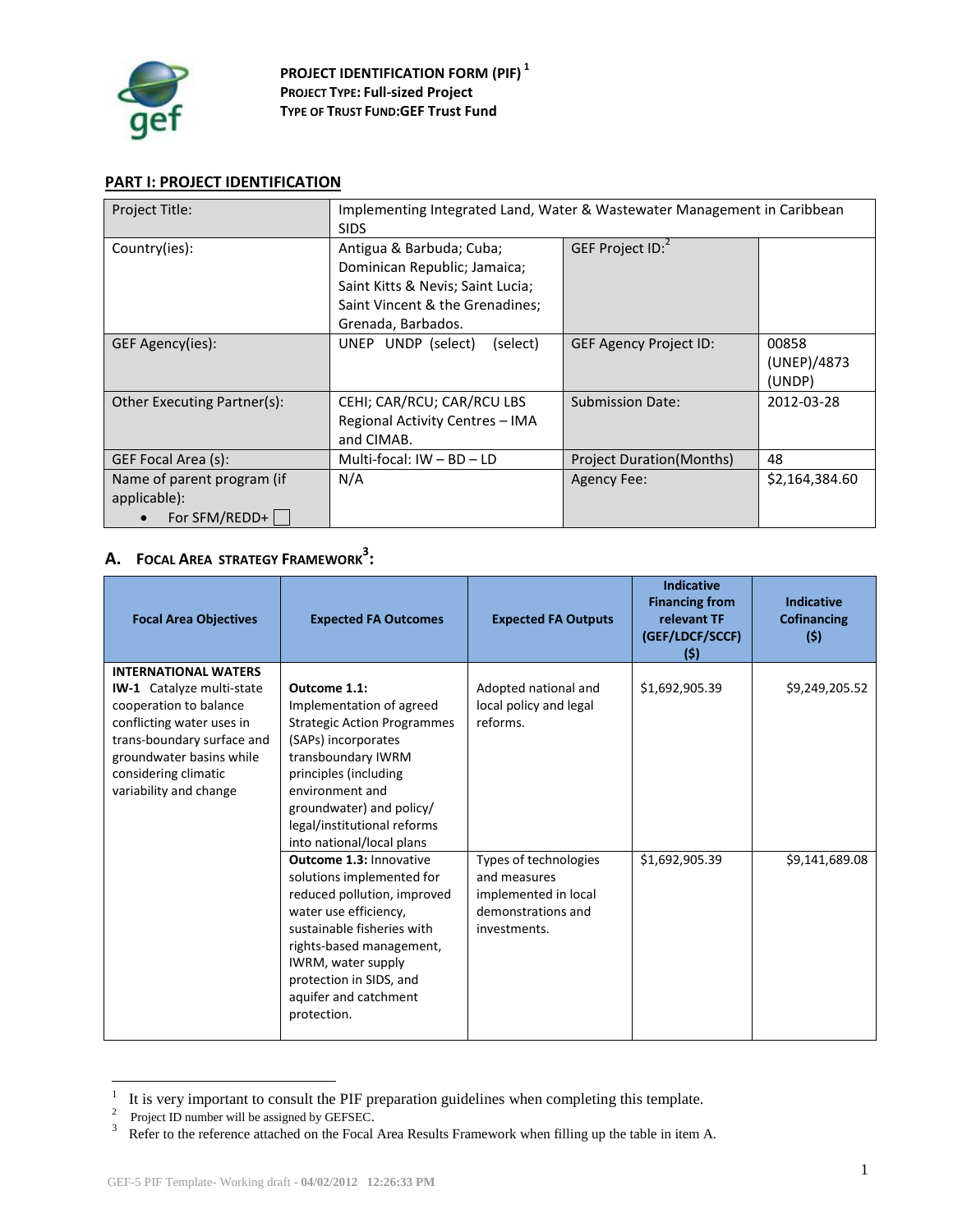

## **PART I: PROJECT IDENTIFICATION**

| Project Title:                                              | Implementing Integrated Land, Water & Wastewater Management in Caribbean<br><b>SIDS</b>                                                                |                                  |                                |
|-------------------------------------------------------------|--------------------------------------------------------------------------------------------------------------------------------------------------------|----------------------------------|--------------------------------|
| Country(ies):                                               | Antigua & Barbuda; Cuba;<br>Dominican Republic; Jamaica;<br>Saint Kitts & Nevis; Saint Lucia;<br>Saint Vincent & the Grenadines;<br>Grenada, Barbados. | GEF Project ID: <sup>2</sup>     |                                |
| GEF Agency(ies):                                            | UNEP UNDP (select)<br>(select)                                                                                                                         | <b>GEF Agency Project ID:</b>    | 00858<br>(UNEP)/4873<br>(UNDP) |
| Other Executing Partner(s):                                 | CEHI; CAR/RCU; CAR/RCU LBS<br>Regional Activity Centres - IMA<br>and CIMAB.                                                                            | <b>Submission Date:</b>          | 2012-03-28                     |
| GEF Focal Area (s):                                         | Multi-focal: $IW - BD - LD$                                                                                                                            | <b>Project Duration (Months)</b> | 48                             |
| Name of parent program (if<br>applicable):<br>For SFM/REDD+ | N/A                                                                                                                                                    | <b>Agency Fee:</b>               | \$2,164,384.60                 |

# **A. FOCAL AREA STRATEGY FRAMEWORK<sup>3</sup> :**

| <b>Focal Area Objectives</b>                                                                                                                                                                                                       | <b>Expected FA Outcomes</b>                                                                                                                                                                                                                                            | <b>Expected FA Outputs</b>                                                                          | <b>Indicative</b><br><b>Financing from</b><br>relevant TF<br>(GEF/LDCF/SCCF)<br>(5) | <b>Indicative</b><br>Cofinancing<br>(5) |
|------------------------------------------------------------------------------------------------------------------------------------------------------------------------------------------------------------------------------------|------------------------------------------------------------------------------------------------------------------------------------------------------------------------------------------------------------------------------------------------------------------------|-----------------------------------------------------------------------------------------------------|-------------------------------------------------------------------------------------|-----------------------------------------|
| <b>INTERNATIONAL WATERS</b><br><b>IW-1</b> Catalyze multi-state<br>cooperation to balance<br>conflicting water uses in<br>trans-boundary surface and<br>groundwater basins while<br>considering climatic<br>variability and change | Outcome 1.1:<br>Implementation of agreed<br><b>Strategic Action Programmes</b><br>(SAPs) incorporates<br>transboundary IWRM<br>principles (including<br>environment and<br>groundwater) and policy/<br>legal/institutional reforms<br>into national/local plans        | Adopted national and<br>local policy and legal<br>reforms.                                          | \$1,692,905.39                                                                      | \$9,249,205.52                          |
|                                                                                                                                                                                                                                    | <b>Outcome 1.3: Innovative</b><br>solutions implemented for<br>reduced pollution, improved<br>water use efficiency,<br>sustainable fisheries with<br>rights-based management,<br>IWRM, water supply<br>protection in SIDS, and<br>aquifer and catchment<br>protection. | Types of technologies<br>and measures<br>implemented in local<br>demonstrations and<br>investments. | \$1,692,905.39                                                                      | \$9,141,689.08                          |

<sup>&</sup>lt;sup>1</sup> It is very important to consult the PIF preparation guidelines when completing this template.<br><sup>2</sup> Project ID number will be assigned by GEFSEC.

<sup>&</sup>lt;sup>3</sup> Refer to the reference attached on the Focal Area Results Framework when filling up the table in item A.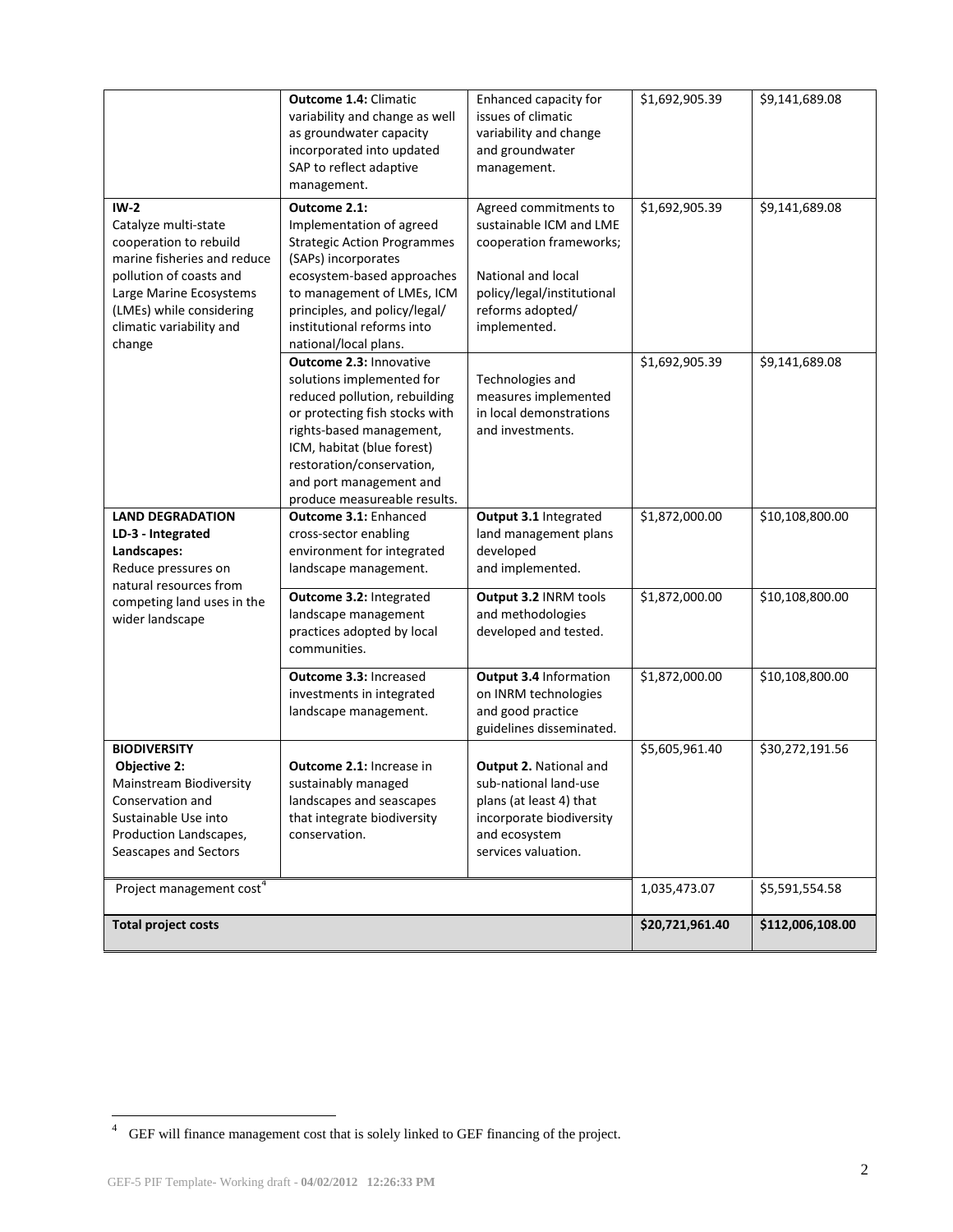| $IW-2$                                                                                                                                                                                                | <b>Outcome 1.4: Climatic</b><br>variability and change as well<br>as groundwater capacity<br>incorporated into updated<br>SAP to reflect adaptive<br>management.<br>Outcome 2.1:                                                                                                 | Enhanced capacity for<br>issues of climatic<br>variability and change<br>and groundwater<br>management.<br>Agreed commitments to                      | \$1,692,905.39<br>\$1,692,905.39 | \$9,141,689.08<br>\$9,141,689.08 |
|-------------------------------------------------------------------------------------------------------------------------------------------------------------------------------------------------------|----------------------------------------------------------------------------------------------------------------------------------------------------------------------------------------------------------------------------------------------------------------------------------|-------------------------------------------------------------------------------------------------------------------------------------------------------|----------------------------------|----------------------------------|
| Catalyze multi-state<br>cooperation to rebuild<br>marine fisheries and reduce<br>pollution of coasts and<br>Large Marine Ecosystems<br>(LMEs) while considering<br>climatic variability and<br>change | Implementation of agreed<br><b>Strategic Action Programmes</b><br>(SAPs) incorporates<br>ecosystem-based approaches<br>to management of LMEs, ICM<br>principles, and policy/legal/<br>institutional reforms into<br>national/local plans.                                        | sustainable ICM and LME<br>cooperation frameworks;<br>National and local<br>policy/legal/institutional<br>reforms adopted/<br>implemented.            |                                  |                                  |
|                                                                                                                                                                                                       | <b>Outcome 2.3: Innovative</b><br>solutions implemented for<br>reduced pollution, rebuilding<br>or protecting fish stocks with<br>rights-based management,<br>ICM, habitat (blue forest)<br>restoration/conservation,<br>and port management and<br>produce measureable results. | Technologies and<br>measures implemented<br>in local demonstrations<br>and investments.                                                               | \$1,692,905.39                   | \$9,141,689.08                   |
| <b>LAND DEGRADATION</b><br>LD-3 - Integrated<br>Landscapes:<br>Reduce pressures on<br>natural resources from                                                                                          | Outcome 3.1: Enhanced<br>cross-sector enabling<br>environment for integrated<br>landscape management.                                                                                                                                                                            | Output 3.1 Integrated<br>land management plans<br>developed<br>and implemented.                                                                       | \$1,872,000.00                   | \$10,108,800.00                  |
| competing land uses in the<br>wider landscape                                                                                                                                                         | Outcome 3.2: Integrated<br>landscape management<br>practices adopted by local<br>communities.                                                                                                                                                                                    | Output 3.2 INRM tools<br>and methodologies<br>developed and tested.                                                                                   | \$1,872,000.00                   | \$10,108,800.00                  |
|                                                                                                                                                                                                       | Outcome 3.3: Increased<br>investments in integrated<br>landscape management.                                                                                                                                                                                                     | Output 3.4 Information<br>on INRM technologies<br>and good practice<br>guidelines disseminated.                                                       | \$1,872,000.00                   | \$10,108,800.00                  |
| <b>BIODIVERSITY</b><br>Objective 2:<br>Mainstream Biodiversity<br>Conservation and<br>Sustainable Use into<br>Production Landscapes,<br>Seascapes and Sectors                                         | <b>Outcome 2.1: Increase in</b><br>sustainably managed<br>landscapes and seascapes<br>that integrate biodiversity<br>conservation.                                                                                                                                               | <b>Output 2. National and</b><br>sub-national land-use<br>plans (at least 4) that<br>incorporate biodiversity<br>and ecosystem<br>services valuation. | \$5,605,961.40                   | \$30,272,191.56                  |
| Project management cost <sup>4</sup>                                                                                                                                                                  |                                                                                                                                                                                                                                                                                  |                                                                                                                                                       | 1,035,473.07                     | \$5,591,554.58                   |
| <b>Total project costs</b>                                                                                                                                                                            |                                                                                                                                                                                                                                                                                  |                                                                                                                                                       | \$20,721,961.40                  | \$112,006,108.00                 |

 4 GEF will finance management cost that is solely linked to GEF financing of the project.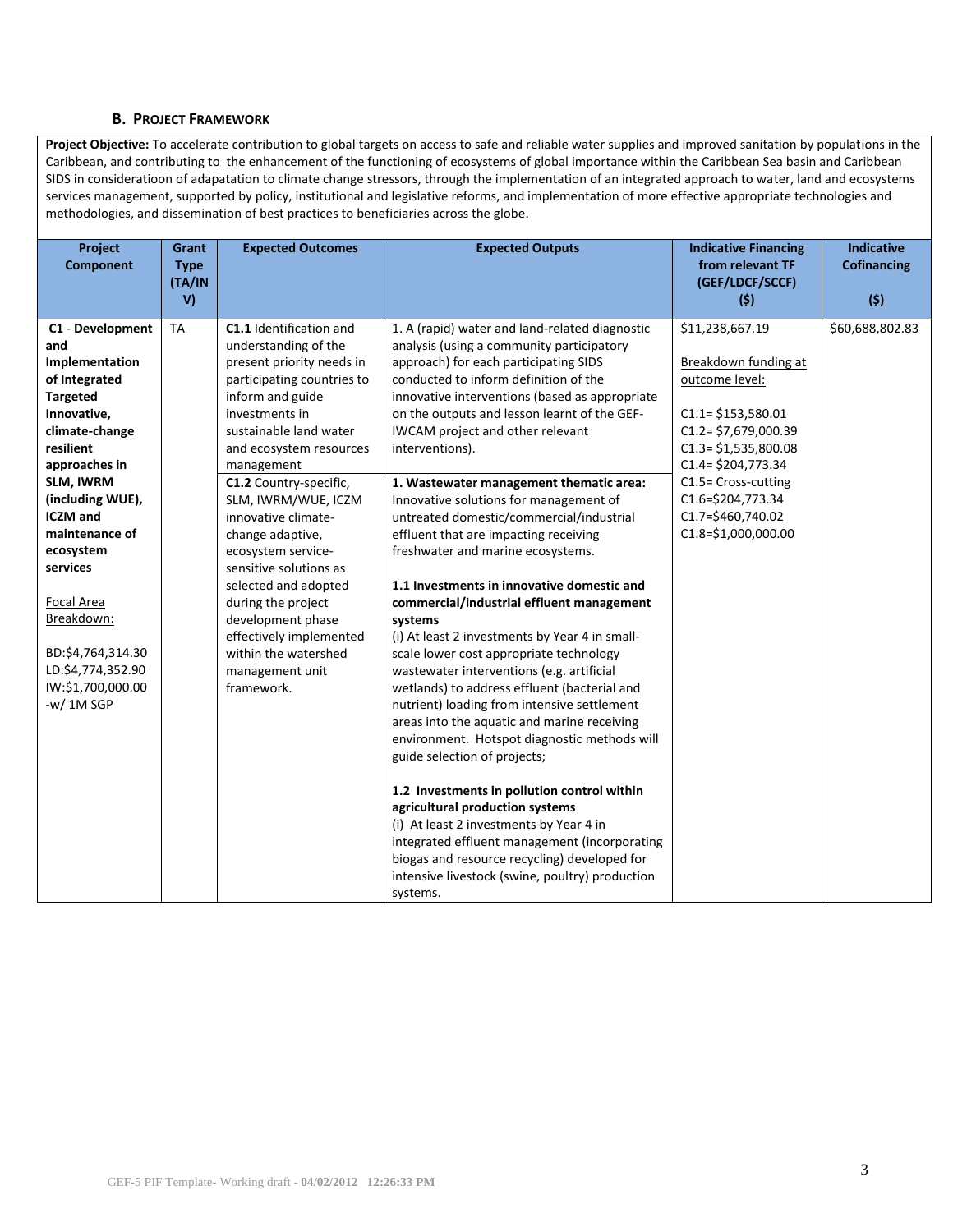#### **B. PROJECT FRAMEWORK**

Project Objective: To accelerate contribution to global targets on access to safe and reliable water supplies and improved sanitation by populations in the Caribbean, and contributing to the enhancement of the functioning of ecosystems of global importance within the Caribbean Sea basin and Caribbean SIDS in consideratioon of adapatation to climate change stressors, through the implementation of an integrated approach to water, land and ecosystems services management, supported by policy, institutional and legislative reforms, and implementation of more effective appropriate technologies and methodologies, and dissemination of best practices to beneficiaries across the globe.

| Project                 | Grant        | <b>Expected Outcomes</b>                          | <b>Expected Outputs</b>                                                            | <b>Indicative Financing</b>         | <b>Indicative</b>  |
|-------------------------|--------------|---------------------------------------------------|------------------------------------------------------------------------------------|-------------------------------------|--------------------|
| <b>Component</b>        | <b>Type</b>  |                                                   |                                                                                    | from relevant TF<br>(GEF/LDCF/SCCF) | <b>Cofinancing</b> |
|                         | (TA/IN<br>V) |                                                   |                                                                                    | (5)                                 | (5)                |
|                         |              |                                                   |                                                                                    |                                     |                    |
| C1 - Development<br>and | <b>TA</b>    | C1.1 Identification and                           | 1. A (rapid) water and land-related diagnostic                                     | \$11,238,667.19                     | \$60,688,802.83    |
| Implementation          |              | understanding of the<br>present priority needs in | analysis (using a community participatory<br>approach) for each participating SIDS | Breakdown funding at                |                    |
| of Integrated           |              | participating countries to                        | conducted to inform definition of the                                              | outcome level:                      |                    |
| <b>Targeted</b>         |              | inform and guide                                  | innovative interventions (based as appropriate                                     |                                     |                    |
| Innovative,             |              | investments in                                    | on the outputs and lesson learnt of the GEF-                                       | $C1.1 = $153,580.01$                |                    |
| climate-change          |              | sustainable land water                            | IWCAM project and other relevant                                                   | $C1.2 = $7,679,000.39$              |                    |
| resilient               |              | and ecosystem resources                           | interventions).                                                                    | $C1.3 = $1,535,800.08$              |                    |
| approaches in           |              | management                                        |                                                                                    | $C1.4 = $204,773.34$                |                    |
| SLM, IWRM               |              | C1.2 Country-specific,                            | 1. Wastewater management thematic area:                                            | C1.5= Cross-cutting                 |                    |
| (including WUE),        |              | SLM, IWRM/WUE, ICZM                               | Innovative solutions for management of                                             | C1.6=\$204,773.34                   |                    |
| <b>ICZM</b> and         |              | innovative climate-                               | untreated domestic/commercial/industrial                                           | C1.7=\$460,740.02                   |                    |
| maintenance of          |              | change adaptive,                                  | effluent that are impacting receiving                                              | C1.8=\$1,000,000.00                 |                    |
| ecosystem               |              | ecosystem service-                                | freshwater and marine ecosystems.                                                  |                                     |                    |
| services                |              | sensitive solutions as                            |                                                                                    |                                     |                    |
|                         |              | selected and adopted                              | 1.1 Investments in innovative domestic and                                         |                                     |                    |
| Focal Area              |              | during the project                                | commercial/industrial effluent management                                          |                                     |                    |
| Breakdown:              |              | development phase                                 | systems                                                                            |                                     |                    |
|                         |              | effectively implemented                           | (i) At least 2 investments by Year 4 in small-                                     |                                     |                    |
| BD:\$4,764,314.30       |              | within the watershed                              | scale lower cost appropriate technology                                            |                                     |                    |
| LD:\$4,774,352.90       |              | management unit                                   | wastewater interventions (e.g. artificial                                          |                                     |                    |
| IW:\$1,700,000.00       |              | framework.                                        | wetlands) to address effluent (bacterial and                                       |                                     |                    |
| $-w/1M$ SGP             |              |                                                   | nutrient) loading from intensive settlement                                        |                                     |                    |
|                         |              |                                                   | areas into the aquatic and marine receiving                                        |                                     |                    |
|                         |              |                                                   | environment. Hotspot diagnostic methods will                                       |                                     |                    |
|                         |              |                                                   | guide selection of projects;                                                       |                                     |                    |
|                         |              |                                                   | 1.2 Investments in pollution control within                                        |                                     |                    |
|                         |              |                                                   | agricultural production systems                                                    |                                     |                    |
|                         |              |                                                   | (i) At least 2 investments by Year 4 in                                            |                                     |                    |
|                         |              |                                                   | integrated effluent management (incorporating                                      |                                     |                    |
|                         |              |                                                   | biogas and resource recycling) developed for                                       |                                     |                    |
|                         |              |                                                   | intensive livestock (swine, poultry) production                                    |                                     |                    |
|                         |              |                                                   | systems.                                                                           |                                     |                    |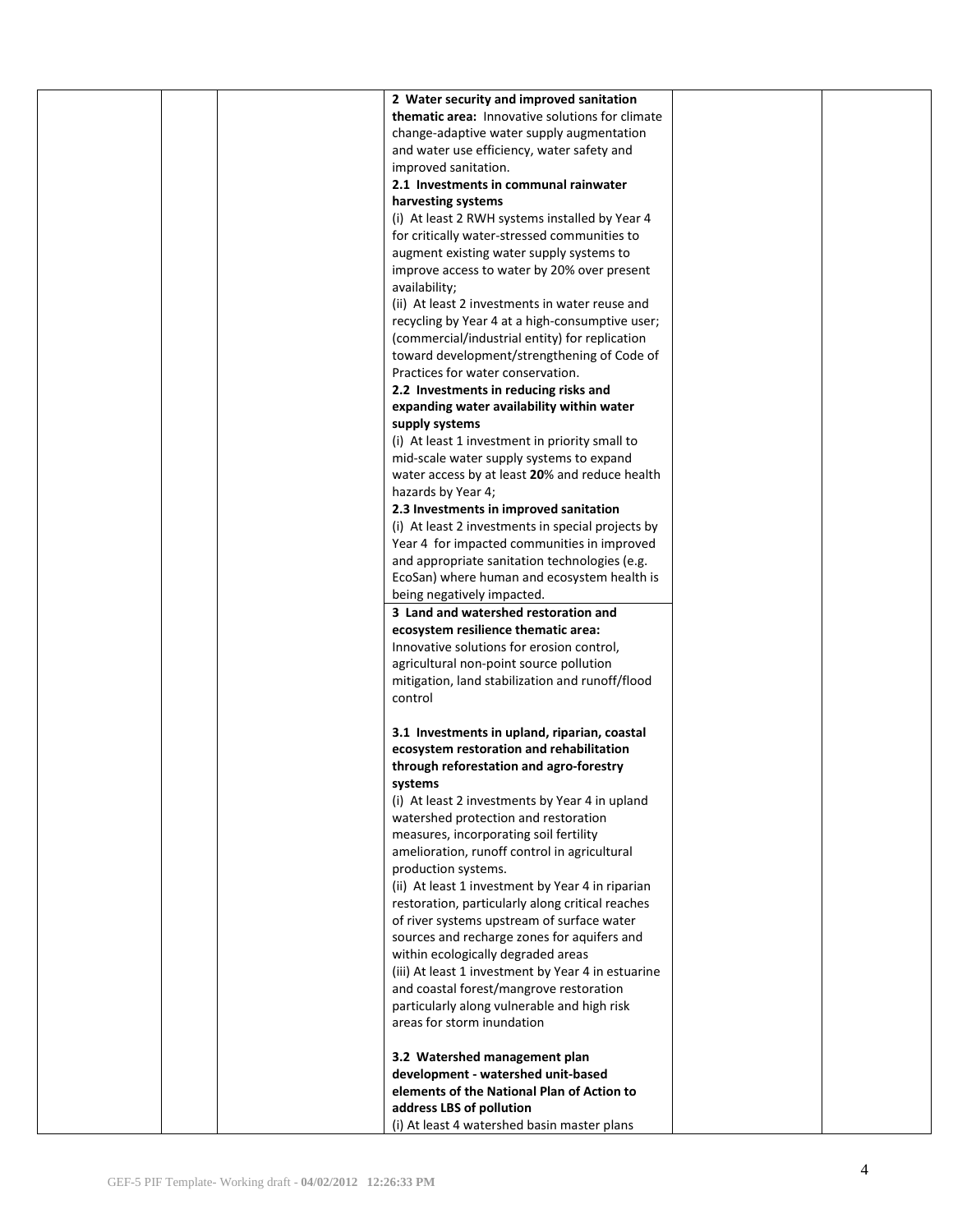|  | 2 Water security and improved sanitation           |  |
|--|----------------------------------------------------|--|
|  | thematic area: Innovative solutions for climate    |  |
|  | change-adaptive water supply augmentation          |  |
|  |                                                    |  |
|  | and water use efficiency, water safety and         |  |
|  | improved sanitation.                               |  |
|  | 2.1 Investments in communal rainwater              |  |
|  | harvesting systems                                 |  |
|  | (i) At least 2 RWH systems installed by Year 4     |  |
|  | for critically water-stressed communities to       |  |
|  | augment existing water supply systems to           |  |
|  | improve access to water by 20% over present        |  |
|  |                                                    |  |
|  | availability;                                      |  |
|  | (ii) At least 2 investments in water reuse and     |  |
|  | recycling by Year 4 at a high-consumptive user;    |  |
|  | (commercial/industrial entity) for replication     |  |
|  | toward development/strengthening of Code of        |  |
|  | Practices for water conservation.                  |  |
|  | 2.2 Investments in reducing risks and              |  |
|  | expanding water availability within water          |  |
|  | supply systems                                     |  |
|  | (i) At least 1 investment in priority small to     |  |
|  |                                                    |  |
|  | mid-scale water supply systems to expand           |  |
|  | water access by at least 20% and reduce health     |  |
|  | hazards by Year 4;                                 |  |
|  | 2.3 Investments in improved sanitation             |  |
|  | (i) At least 2 investments in special projects by  |  |
|  | Year 4 for impacted communities in improved        |  |
|  | and appropriate sanitation technologies (e.g.      |  |
|  | EcoSan) where human and ecosystem health is        |  |
|  | being negatively impacted.                         |  |
|  | 3 Land and watershed restoration and               |  |
|  | ecosystem resilience thematic area:                |  |
|  | Innovative solutions for erosion control,          |  |
|  |                                                    |  |
|  | agricultural non-point source pollution            |  |
|  | mitigation, land stabilization and runoff/flood    |  |
|  | control                                            |  |
|  |                                                    |  |
|  | 3.1 Investments in upland, riparian, coastal       |  |
|  | ecosystem restoration and rehabilitation           |  |
|  | through reforestation and agro-forestry            |  |
|  | systems                                            |  |
|  | (i) At least 2 investments by Year 4 in upland     |  |
|  | watershed protection and restoration               |  |
|  | measures, incorporating soil fertility             |  |
|  |                                                    |  |
|  | amelioration, runoff control in agricultural       |  |
|  | production systems.                                |  |
|  | (ii) At least 1 investment by Year 4 in riparian   |  |
|  | restoration, particularly along critical reaches   |  |
|  | of river systems upstream of surface water         |  |
|  | sources and recharge zones for aquifers and        |  |
|  | within ecologically degraded areas                 |  |
|  | (iii) At least 1 investment by Year 4 in estuarine |  |
|  | and coastal forest/mangrove restoration            |  |
|  | particularly along vulnerable and high risk        |  |
|  | areas for storm inundation                         |  |
|  |                                                    |  |
|  | 3.2 Watershed management plan                      |  |
|  | development - watershed unit-based                 |  |
|  |                                                    |  |
|  | elements of the National Plan of Action to         |  |
|  | address LBS of pollution                           |  |
|  | (i) At least 4 watershed basin master plans        |  |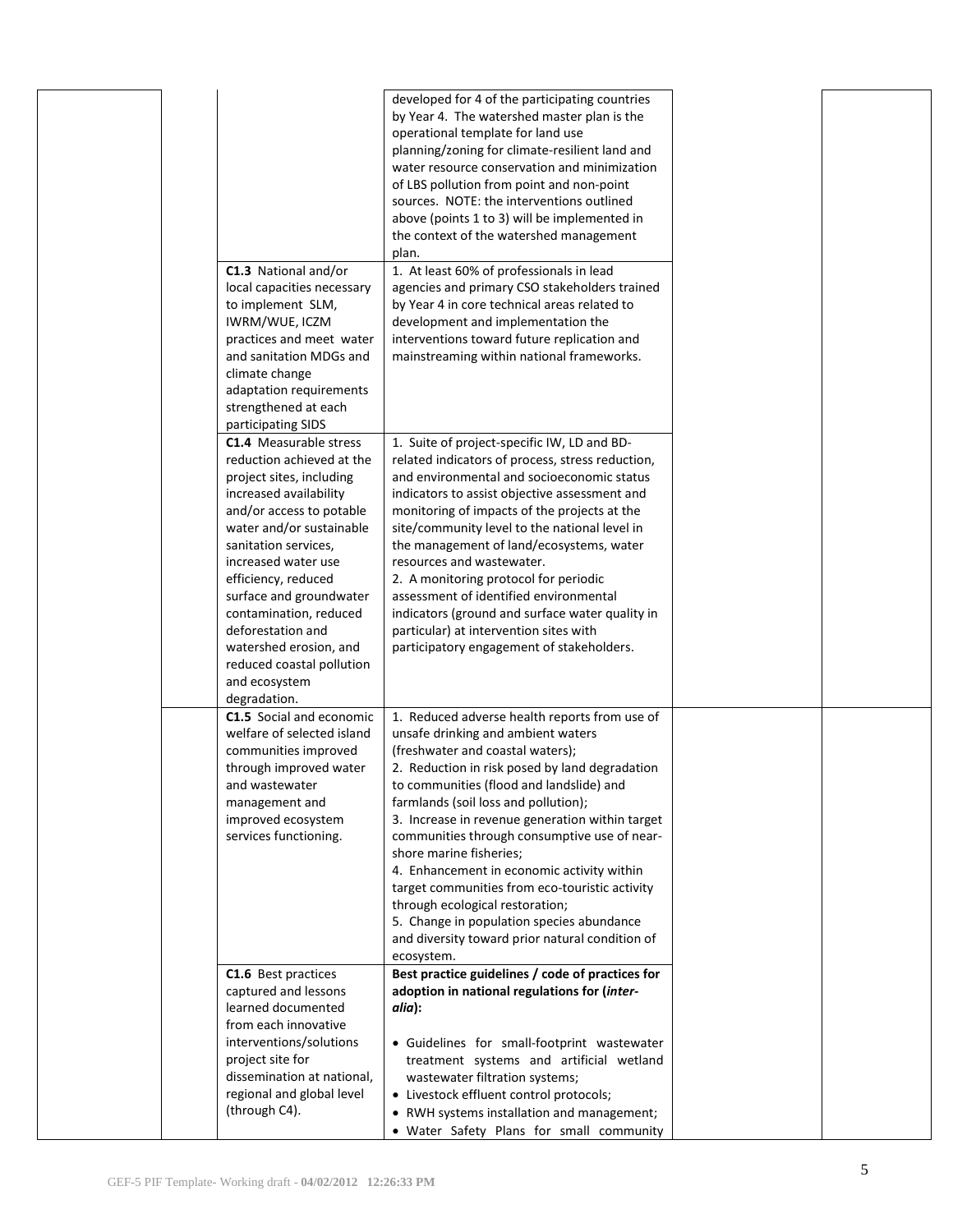|  | C1.3 National and/or<br>local capacities necessary<br>to implement SLM,<br>IWRM/WUE, ICZM<br>practices and meet water<br>and sanitation MDGs and | developed for 4 of the participating countries<br>by Year 4. The watershed master plan is the<br>operational template for land use<br>planning/zoning for climate-resilient land and<br>water resource conservation and minimization<br>of LBS pollution from point and non-point<br>sources. NOTE: the interventions outlined<br>above (points 1 to 3) will be implemented in<br>the context of the watershed management<br>plan.<br>1. At least 60% of professionals in lead<br>agencies and primary CSO stakeholders trained<br>by Year 4 in core technical areas related to<br>development and implementation the<br>interventions toward future replication and<br>mainstreaming within national frameworks. |  |
|--|--------------------------------------------------------------------------------------------------------------------------------------------------|-------------------------------------------------------------------------------------------------------------------------------------------------------------------------------------------------------------------------------------------------------------------------------------------------------------------------------------------------------------------------------------------------------------------------------------------------------------------------------------------------------------------------------------------------------------------------------------------------------------------------------------------------------------------------------------------------------------------|--|
|  | climate change<br>adaptation requirements<br>strengthened at each                                                                                |                                                                                                                                                                                                                                                                                                                                                                                                                                                                                                                                                                                                                                                                                                                   |  |
|  | participating SIDS                                                                                                                               |                                                                                                                                                                                                                                                                                                                                                                                                                                                                                                                                                                                                                                                                                                                   |  |
|  | <b>C1.4</b> Measurable stress<br>reduction achieved at the<br>project sites, including<br>increased availability                                 | 1. Suite of project-specific IW, LD and BD-<br>related indicators of process, stress reduction,<br>and environmental and socioeconomic status<br>indicators to assist objective assessment and                                                                                                                                                                                                                                                                                                                                                                                                                                                                                                                    |  |
|  | and/or access to potable<br>water and/or sustainable<br>sanitation services,                                                                     | monitoring of impacts of the projects at the<br>site/community level to the national level in<br>the management of land/ecosystems, water                                                                                                                                                                                                                                                                                                                                                                                                                                                                                                                                                                         |  |
|  | increased water use                                                                                                                              | resources and wastewater.                                                                                                                                                                                                                                                                                                                                                                                                                                                                                                                                                                                                                                                                                         |  |
|  | efficiency, reduced<br>surface and groundwater                                                                                                   | 2. A monitoring protocol for periodic<br>assessment of identified environmental                                                                                                                                                                                                                                                                                                                                                                                                                                                                                                                                                                                                                                   |  |
|  | contamination, reduced<br>deforestation and                                                                                                      | indicators (ground and surface water quality in<br>particular) at intervention sites with                                                                                                                                                                                                                                                                                                                                                                                                                                                                                                                                                                                                                         |  |
|  | watershed erosion, and<br>reduced coastal pollution<br>and ecosystem<br>degradation.                                                             | participatory engagement of stakeholders.                                                                                                                                                                                                                                                                                                                                                                                                                                                                                                                                                                                                                                                                         |  |
|  | C1.5 Social and economic<br>welfare of selected island                                                                                           | 1. Reduced adverse health reports from use of<br>unsafe drinking and ambient waters                                                                                                                                                                                                                                                                                                                                                                                                                                                                                                                                                                                                                               |  |
|  | communities improved                                                                                                                             | (freshwater and coastal waters);                                                                                                                                                                                                                                                                                                                                                                                                                                                                                                                                                                                                                                                                                  |  |
|  | through improved water<br>and wastewater                                                                                                         | 2. Reduction in risk posed by land degradation<br>to communities (flood and landslide) and                                                                                                                                                                                                                                                                                                                                                                                                                                                                                                                                                                                                                        |  |
|  | management and<br>improved ecosystem                                                                                                             | farmlands (soil loss and pollution);<br>3. Increase in revenue generation within target                                                                                                                                                                                                                                                                                                                                                                                                                                                                                                                                                                                                                           |  |
|  | services functioning.                                                                                                                            | communities through consumptive use of near-<br>shore marine fisheries;                                                                                                                                                                                                                                                                                                                                                                                                                                                                                                                                                                                                                                           |  |
|  |                                                                                                                                                  | 4. Enhancement in economic activity within                                                                                                                                                                                                                                                                                                                                                                                                                                                                                                                                                                                                                                                                        |  |
|  |                                                                                                                                                  | target communities from eco-touristic activity<br>through ecological restoration;                                                                                                                                                                                                                                                                                                                                                                                                                                                                                                                                                                                                                                 |  |
|  |                                                                                                                                                  | 5. Change in population species abundance<br>and diversity toward prior natural condition of                                                                                                                                                                                                                                                                                                                                                                                                                                                                                                                                                                                                                      |  |
|  |                                                                                                                                                  | ecosystem.<br>Best practice guidelines / code of practices for                                                                                                                                                                                                                                                                                                                                                                                                                                                                                                                                                                                                                                                    |  |
|  | C1.6 Best practices<br>captured and lessons                                                                                                      | adoption in national regulations for (inter-                                                                                                                                                                                                                                                                                                                                                                                                                                                                                                                                                                                                                                                                      |  |
|  | learned documented<br>from each innovative                                                                                                       | alia):                                                                                                                                                                                                                                                                                                                                                                                                                                                                                                                                                                                                                                                                                                            |  |
|  | interventions/solutions                                                                                                                          | • Guidelines for small-footprint wastewater                                                                                                                                                                                                                                                                                                                                                                                                                                                                                                                                                                                                                                                                       |  |
|  | project site for<br>dissemination at national,                                                                                                   | treatment systems and artificial wetland<br>wastewater filtration systems;                                                                                                                                                                                                                                                                                                                                                                                                                                                                                                                                                                                                                                        |  |
|  | regional and global level                                                                                                                        | • Livestock effluent control protocols;                                                                                                                                                                                                                                                                                                                                                                                                                                                                                                                                                                                                                                                                           |  |
|  | (through C4).                                                                                                                                    | • RWH systems installation and management;<br>. Water Safety Plans for small community                                                                                                                                                                                                                                                                                                                                                                                                                                                                                                                                                                                                                            |  |
|  |                                                                                                                                                  |                                                                                                                                                                                                                                                                                                                                                                                                                                                                                                                                                                                                                                                                                                                   |  |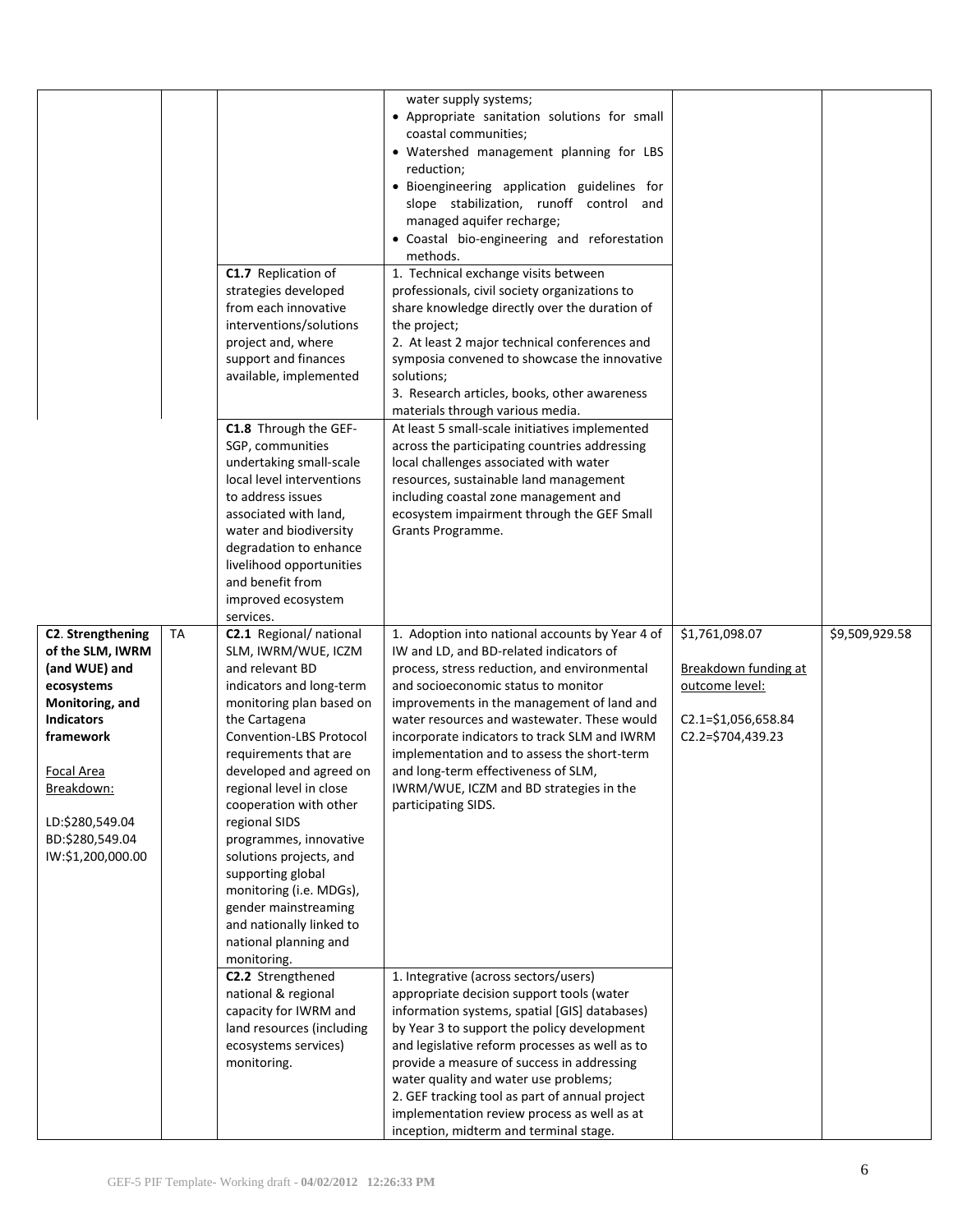|                                                                                                                                                                                                                  |           | C1.7 Replication of                                                                                                                                                                                                                                                                                                                                                                                                                                                                              | water supply systems;<br>• Appropriate sanitation solutions for small<br>coastal communities;<br>• Watershed management planning for LBS<br>reduction;<br>· Bioengineering application guidelines for<br>slope stabilization, runoff control and<br>managed aquifer recharge;<br>· Coastal bio-engineering and reforestation<br>methods.<br>1. Technical exchange visits between                                                                                                       |                                                                                                       |                |
|------------------------------------------------------------------------------------------------------------------------------------------------------------------------------------------------------------------|-----------|--------------------------------------------------------------------------------------------------------------------------------------------------------------------------------------------------------------------------------------------------------------------------------------------------------------------------------------------------------------------------------------------------------------------------------------------------------------------------------------------------|----------------------------------------------------------------------------------------------------------------------------------------------------------------------------------------------------------------------------------------------------------------------------------------------------------------------------------------------------------------------------------------------------------------------------------------------------------------------------------------|-------------------------------------------------------------------------------------------------------|----------------|
|                                                                                                                                                                                                                  |           | strategies developed<br>from each innovative<br>interventions/solutions<br>project and, where<br>support and finances<br>available, implemented                                                                                                                                                                                                                                                                                                                                                  | professionals, civil society organizations to<br>share knowledge directly over the duration of<br>the project;<br>2. At least 2 major technical conferences and<br>symposia convened to showcase the innovative<br>solutions;<br>3. Research articles, books, other awareness<br>materials through various media.                                                                                                                                                                      |                                                                                                       |                |
|                                                                                                                                                                                                                  |           | C1.8 Through the GEF-<br>SGP, communities<br>undertaking small-scale<br>local level interventions<br>to address issues<br>associated with land,<br>water and biodiversity<br>degradation to enhance<br>livelihood opportunities<br>and benefit from<br>improved ecosystem<br>services.                                                                                                                                                                                                           | At least 5 small-scale initiatives implemented<br>across the participating countries addressing<br>local challenges associated with water<br>resources, sustainable land management<br>including coastal zone management and<br>ecosystem impairment through the GEF Small<br>Grants Programme.                                                                                                                                                                                        |                                                                                                       |                |
| C2. Strengthening<br>of the SLM, IWRM<br>(and WUE) and<br>ecosystems<br>Monitoring, and<br><b>Indicators</b><br>framework<br>Focal Area<br>Breakdown:<br>LD:\$280,549.04<br>BD:\$280,549.04<br>IW:\$1,200,000.00 | <b>TA</b> | C2.1 Regional/ national<br>SLM, IWRM/WUE, ICZM<br>and relevant BD<br>indicators and long-term<br>monitoring plan based on<br>the Cartagena<br>Convention-LBS Protocol<br>requirements that are<br>developed and agreed on<br>regional level in close<br>cooperation with other<br>regional SIDS<br>programmes, innovative<br>solutions projects, and<br>supporting global<br>monitoring (i.e. MDGs),<br>gender mainstreaming<br>and nationally linked to<br>national planning and<br>monitoring. | 1. Adoption into national accounts by Year 4 of<br>IW and LD, and BD-related indicators of<br>process, stress reduction, and environmental<br>and socioeconomic status to monitor<br>improvements in the management of land and<br>water resources and wastewater. These would<br>incorporate indicators to track SLM and IWRM<br>implementation and to assess the short-term<br>and long-term effectiveness of SLM,<br>IWRM/WUE, ICZM and BD strategies in the<br>participating SIDS. | \$1,761,098.07<br>Breakdown funding at<br>outcome level:<br>C2.1=\$1,056,658.84<br>$C2.2=5704,439.23$ | \$9,509,929.58 |
|                                                                                                                                                                                                                  |           | C2.2 Strengthened<br>national & regional<br>capacity for IWRM and<br>land resources (including<br>ecosystems services)<br>monitoring.                                                                                                                                                                                                                                                                                                                                                            | 1. Integrative (across sectors/users)<br>appropriate decision support tools (water<br>information systems, spatial [GIS] databases)<br>by Year 3 to support the policy development<br>and legislative reform processes as well as to<br>provide a measure of success in addressing<br>water quality and water use problems;<br>2. GEF tracking tool as part of annual project<br>implementation review process as well as at                                                           |                                                                                                       |                |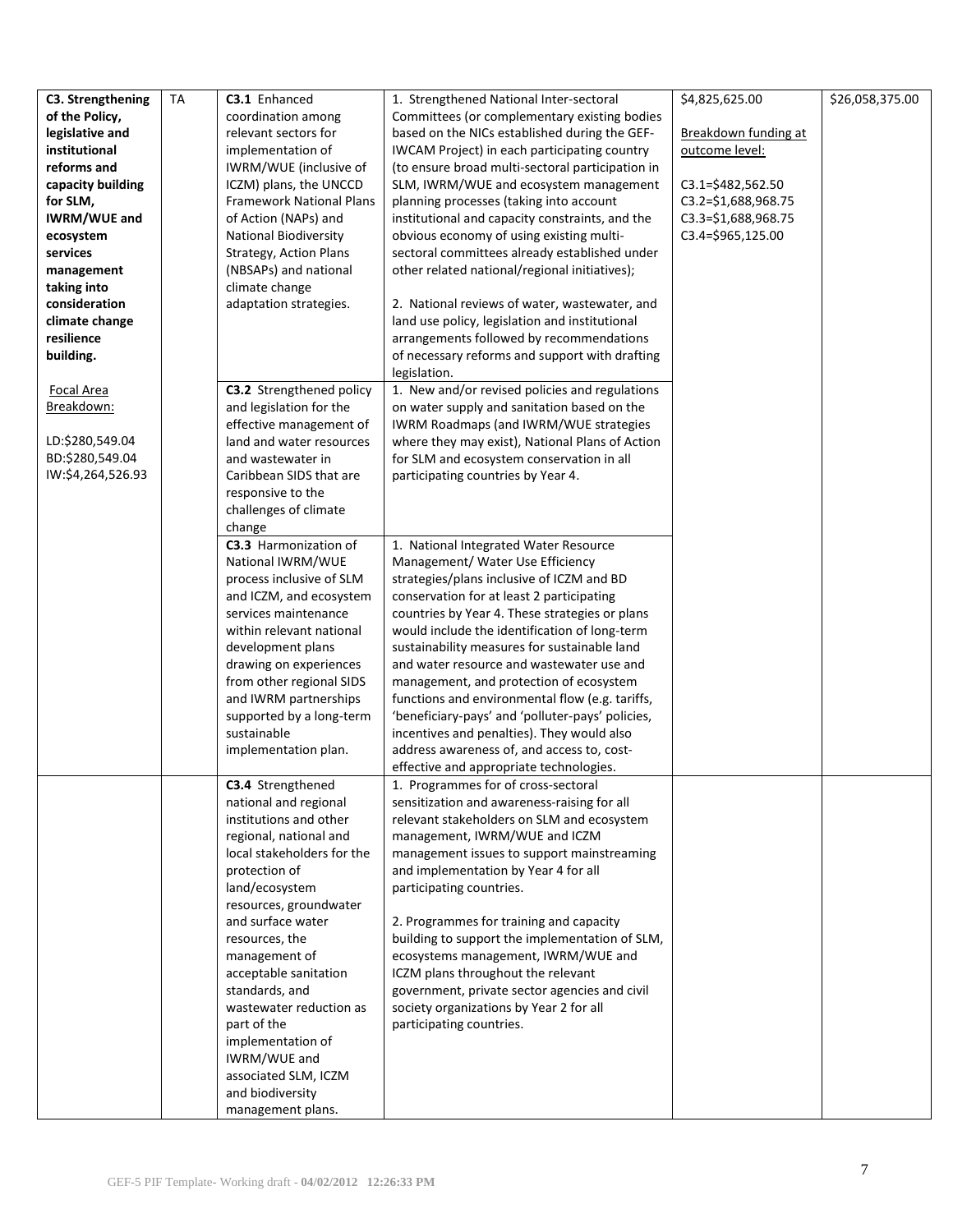| of the Policy,<br>coordination among<br>Committees (or complementary existing bodies<br>legislative and<br>relevant sectors for<br>based on the NICs established during the GEF-<br>Breakdown funding at<br>institutional<br>implementation of<br>IWCAM Project) in each participating country<br>outcome level:<br>reforms and<br>(to ensure broad multi-sectoral participation in<br>IWRM/WUE (inclusive of<br>capacity building<br>ICZM) plans, the UNCCD<br>SLM, IWRM/WUE and ecosystem management<br>$C3.1 = $482,562.50$<br>for SLM,<br><b>Framework National Plans</b><br>planning processes (taking into account<br>C3.2=\$1,688,968.75<br>of Action (NAPs) and<br>C3.3=\$1,688,968.75<br><b>IWRM/WUE and</b><br>institutional and capacity constraints, and the<br>C3.4=\$965,125.00<br><b>National Biodiversity</b><br>obvious economy of using existing multi-<br>ecosystem<br>services<br>Strategy, Action Plans<br>sectoral committees already established under<br>other related national/regional initiatives);<br>(NBSAPs) and national<br>management<br>taking into<br>climate change<br>consideration<br>adaptation strategies.<br>2. National reviews of water, wastewater, and<br>climate change<br>land use policy, legislation and institutional<br>resilience<br>arrangements followed by recommendations<br>of necessary reforms and support with drafting<br>building.<br>legislation.<br><b>Focal Area</b><br>C3.2 Strengthened policy<br>1. New and/or revised policies and regulations<br>Breakdown:<br>and legislation for the<br>on water supply and sanitation based on the<br>effective management of<br>IWRM Roadmaps (and IWRM/WUE strategies<br>LD:\$280,549.04<br>land and water resources<br>where they may exist), National Plans of Action<br>BD:\$280,549.04<br>and wastewater in<br>for SLM and ecosystem conservation in all<br>IW:\$4,264,526.93<br>Caribbean SIDS that are<br>participating countries by Year 4.<br>responsive to the<br>challenges of climate<br>change<br>C3.3 Harmonization of<br>1. National Integrated Water Resource<br>National IWRM/WUE<br>Management/ Water Use Efficiency<br>strategies/plans inclusive of ICZM and BD<br>process inclusive of SLM<br>conservation for at least 2 participating<br>and ICZM, and ecosystem<br>services maintenance<br>countries by Year 4. These strategies or plans<br>within relevant national<br>would include the identification of long-term<br>development plans<br>sustainability measures for sustainable land<br>drawing on experiences<br>and water resource and wastewater use and<br>from other regional SIDS<br>management, and protection of ecosystem<br>functions and environmental flow (e.g. tariffs,<br>and IWRM partnerships<br>supported by a long-term<br>'beneficiary-pays' and 'polluter-pays' policies,<br>sustainable<br>incentives and penalties). They would also<br>address awareness of, and access to, cost-<br>implementation plan.<br>effective and appropriate technologies.<br>C3.4 Strengthened<br>1. Programmes for of cross-sectoral<br>national and regional<br>sensitization and awareness-raising for all<br>institutions and other<br>relevant stakeholders on SLM and ecosystem<br>regional, national and<br>management, IWRM/WUE and ICZM<br>local stakeholders for the<br>management issues to support mainstreaming<br>protection of<br>and implementation by Year 4 for all<br>land/ecosystem<br>participating countries.<br>resources, groundwater<br>and surface water<br>2. Programmes for training and capacity<br>building to support the implementation of SLM,<br>resources, the<br>management of<br>ecosystems management, IWRM/WUE and<br>ICZM plans throughout the relevant<br>acceptable sanitation<br>standards, and<br>government, private sector agencies and civil<br>society organizations by Year 2 for all<br>wastewater reduction as<br>part of the<br>participating countries.<br>implementation of<br>IWRM/WUE and<br>associated SLM, ICZM<br>and biodiversity | C3. Strengthening | <b>TA</b> | C3.1 Enhanced     | 1. Strengthened National Inter-sectoral | \$4,825,625.00 | \$26,058,375.00 |
|------------------------------------------------------------------------------------------------------------------------------------------------------------------------------------------------------------------------------------------------------------------------------------------------------------------------------------------------------------------------------------------------------------------------------------------------------------------------------------------------------------------------------------------------------------------------------------------------------------------------------------------------------------------------------------------------------------------------------------------------------------------------------------------------------------------------------------------------------------------------------------------------------------------------------------------------------------------------------------------------------------------------------------------------------------------------------------------------------------------------------------------------------------------------------------------------------------------------------------------------------------------------------------------------------------------------------------------------------------------------------------------------------------------------------------------------------------------------------------------------------------------------------------------------------------------------------------------------------------------------------------------------------------------------------------------------------------------------------------------------------------------------------------------------------------------------------------------------------------------------------------------------------------------------------------------------------------------------------------------------------------------------------------------------------------------------------------------------------------------------------------------------------------------------------------------------------------------------------------------------------------------------------------------------------------------------------------------------------------------------------------------------------------------------------------------------------------------------------------------------------------------------------------------------------------------------------------------------------------------------------------------------------------------------------------------------------------------------------------------------------------------------------------------------------------------------------------------------------------------------------------------------------------------------------------------------------------------------------------------------------------------------------------------------------------------------------------------------------------------------------------------------------------------------------------------------------------------------------------------------------------------------------------------------------------------------------------------------------------------------------------------------------------------------------------------------------------------------------------------------------------------------------------------------------------------------------------------------------------------------------------------------------------------------------------------------------------------------------------------------------------------------------------------------------------------------------------------------------------------------------------------------------------------------------------------------------------------------------------------------------------------------------------------|-------------------|-----------|-------------------|-----------------------------------------|----------------|-----------------|
|                                                                                                                                                                                                                                                                                                                                                                                                                                                                                                                                                                                                                                                                                                                                                                                                                                                                                                                                                                                                                                                                                                                                                                                                                                                                                                                                                                                                                                                                                                                                                                                                                                                                                                                                                                                                                                                                                                                                                                                                                                                                                                                                                                                                                                                                                                                                                                                                                                                                                                                                                                                                                                                                                                                                                                                                                                                                                                                                                                                                                                                                                                                                                                                                                                                                                                                                                                                                                                                                                                                                                                                                                                                                                                                                                                                                                                                                                                                                                                                                                                          |                   |           |                   |                                         |                |                 |
|                                                                                                                                                                                                                                                                                                                                                                                                                                                                                                                                                                                                                                                                                                                                                                                                                                                                                                                                                                                                                                                                                                                                                                                                                                                                                                                                                                                                                                                                                                                                                                                                                                                                                                                                                                                                                                                                                                                                                                                                                                                                                                                                                                                                                                                                                                                                                                                                                                                                                                                                                                                                                                                                                                                                                                                                                                                                                                                                                                                                                                                                                                                                                                                                                                                                                                                                                                                                                                                                                                                                                                                                                                                                                                                                                                                                                                                                                                                                                                                                                                          |                   |           |                   |                                         |                |                 |
|                                                                                                                                                                                                                                                                                                                                                                                                                                                                                                                                                                                                                                                                                                                                                                                                                                                                                                                                                                                                                                                                                                                                                                                                                                                                                                                                                                                                                                                                                                                                                                                                                                                                                                                                                                                                                                                                                                                                                                                                                                                                                                                                                                                                                                                                                                                                                                                                                                                                                                                                                                                                                                                                                                                                                                                                                                                                                                                                                                                                                                                                                                                                                                                                                                                                                                                                                                                                                                                                                                                                                                                                                                                                                                                                                                                                                                                                                                                                                                                                                                          |                   |           |                   |                                         |                |                 |
|                                                                                                                                                                                                                                                                                                                                                                                                                                                                                                                                                                                                                                                                                                                                                                                                                                                                                                                                                                                                                                                                                                                                                                                                                                                                                                                                                                                                                                                                                                                                                                                                                                                                                                                                                                                                                                                                                                                                                                                                                                                                                                                                                                                                                                                                                                                                                                                                                                                                                                                                                                                                                                                                                                                                                                                                                                                                                                                                                                                                                                                                                                                                                                                                                                                                                                                                                                                                                                                                                                                                                                                                                                                                                                                                                                                                                                                                                                                                                                                                                                          |                   |           |                   |                                         |                |                 |
|                                                                                                                                                                                                                                                                                                                                                                                                                                                                                                                                                                                                                                                                                                                                                                                                                                                                                                                                                                                                                                                                                                                                                                                                                                                                                                                                                                                                                                                                                                                                                                                                                                                                                                                                                                                                                                                                                                                                                                                                                                                                                                                                                                                                                                                                                                                                                                                                                                                                                                                                                                                                                                                                                                                                                                                                                                                                                                                                                                                                                                                                                                                                                                                                                                                                                                                                                                                                                                                                                                                                                                                                                                                                                                                                                                                                                                                                                                                                                                                                                                          |                   |           |                   |                                         |                |                 |
|                                                                                                                                                                                                                                                                                                                                                                                                                                                                                                                                                                                                                                                                                                                                                                                                                                                                                                                                                                                                                                                                                                                                                                                                                                                                                                                                                                                                                                                                                                                                                                                                                                                                                                                                                                                                                                                                                                                                                                                                                                                                                                                                                                                                                                                                                                                                                                                                                                                                                                                                                                                                                                                                                                                                                                                                                                                                                                                                                                                                                                                                                                                                                                                                                                                                                                                                                                                                                                                                                                                                                                                                                                                                                                                                                                                                                                                                                                                                                                                                                                          |                   |           |                   |                                         |                |                 |
|                                                                                                                                                                                                                                                                                                                                                                                                                                                                                                                                                                                                                                                                                                                                                                                                                                                                                                                                                                                                                                                                                                                                                                                                                                                                                                                                                                                                                                                                                                                                                                                                                                                                                                                                                                                                                                                                                                                                                                                                                                                                                                                                                                                                                                                                                                                                                                                                                                                                                                                                                                                                                                                                                                                                                                                                                                                                                                                                                                                                                                                                                                                                                                                                                                                                                                                                                                                                                                                                                                                                                                                                                                                                                                                                                                                                                                                                                                                                                                                                                                          |                   |           |                   |                                         |                |                 |
|                                                                                                                                                                                                                                                                                                                                                                                                                                                                                                                                                                                                                                                                                                                                                                                                                                                                                                                                                                                                                                                                                                                                                                                                                                                                                                                                                                                                                                                                                                                                                                                                                                                                                                                                                                                                                                                                                                                                                                                                                                                                                                                                                                                                                                                                                                                                                                                                                                                                                                                                                                                                                                                                                                                                                                                                                                                                                                                                                                                                                                                                                                                                                                                                                                                                                                                                                                                                                                                                                                                                                                                                                                                                                                                                                                                                                                                                                                                                                                                                                                          |                   |           |                   |                                         |                |                 |
|                                                                                                                                                                                                                                                                                                                                                                                                                                                                                                                                                                                                                                                                                                                                                                                                                                                                                                                                                                                                                                                                                                                                                                                                                                                                                                                                                                                                                                                                                                                                                                                                                                                                                                                                                                                                                                                                                                                                                                                                                                                                                                                                                                                                                                                                                                                                                                                                                                                                                                                                                                                                                                                                                                                                                                                                                                                                                                                                                                                                                                                                                                                                                                                                                                                                                                                                                                                                                                                                                                                                                                                                                                                                                                                                                                                                                                                                                                                                                                                                                                          |                   |           |                   |                                         |                |                 |
|                                                                                                                                                                                                                                                                                                                                                                                                                                                                                                                                                                                                                                                                                                                                                                                                                                                                                                                                                                                                                                                                                                                                                                                                                                                                                                                                                                                                                                                                                                                                                                                                                                                                                                                                                                                                                                                                                                                                                                                                                                                                                                                                                                                                                                                                                                                                                                                                                                                                                                                                                                                                                                                                                                                                                                                                                                                                                                                                                                                                                                                                                                                                                                                                                                                                                                                                                                                                                                                                                                                                                                                                                                                                                                                                                                                                                                                                                                                                                                                                                                          |                   |           |                   |                                         |                |                 |
|                                                                                                                                                                                                                                                                                                                                                                                                                                                                                                                                                                                                                                                                                                                                                                                                                                                                                                                                                                                                                                                                                                                                                                                                                                                                                                                                                                                                                                                                                                                                                                                                                                                                                                                                                                                                                                                                                                                                                                                                                                                                                                                                                                                                                                                                                                                                                                                                                                                                                                                                                                                                                                                                                                                                                                                                                                                                                                                                                                                                                                                                                                                                                                                                                                                                                                                                                                                                                                                                                                                                                                                                                                                                                                                                                                                                                                                                                                                                                                                                                                          |                   |           |                   |                                         |                |                 |
|                                                                                                                                                                                                                                                                                                                                                                                                                                                                                                                                                                                                                                                                                                                                                                                                                                                                                                                                                                                                                                                                                                                                                                                                                                                                                                                                                                                                                                                                                                                                                                                                                                                                                                                                                                                                                                                                                                                                                                                                                                                                                                                                                                                                                                                                                                                                                                                                                                                                                                                                                                                                                                                                                                                                                                                                                                                                                                                                                                                                                                                                                                                                                                                                                                                                                                                                                                                                                                                                                                                                                                                                                                                                                                                                                                                                                                                                                                                                                                                                                                          |                   |           |                   |                                         |                |                 |
|                                                                                                                                                                                                                                                                                                                                                                                                                                                                                                                                                                                                                                                                                                                                                                                                                                                                                                                                                                                                                                                                                                                                                                                                                                                                                                                                                                                                                                                                                                                                                                                                                                                                                                                                                                                                                                                                                                                                                                                                                                                                                                                                                                                                                                                                                                                                                                                                                                                                                                                                                                                                                                                                                                                                                                                                                                                                                                                                                                                                                                                                                                                                                                                                                                                                                                                                                                                                                                                                                                                                                                                                                                                                                                                                                                                                                                                                                                                                                                                                                                          |                   |           |                   |                                         |                |                 |
|                                                                                                                                                                                                                                                                                                                                                                                                                                                                                                                                                                                                                                                                                                                                                                                                                                                                                                                                                                                                                                                                                                                                                                                                                                                                                                                                                                                                                                                                                                                                                                                                                                                                                                                                                                                                                                                                                                                                                                                                                                                                                                                                                                                                                                                                                                                                                                                                                                                                                                                                                                                                                                                                                                                                                                                                                                                                                                                                                                                                                                                                                                                                                                                                                                                                                                                                                                                                                                                                                                                                                                                                                                                                                                                                                                                                                                                                                                                                                                                                                                          |                   |           |                   |                                         |                |                 |
|                                                                                                                                                                                                                                                                                                                                                                                                                                                                                                                                                                                                                                                                                                                                                                                                                                                                                                                                                                                                                                                                                                                                                                                                                                                                                                                                                                                                                                                                                                                                                                                                                                                                                                                                                                                                                                                                                                                                                                                                                                                                                                                                                                                                                                                                                                                                                                                                                                                                                                                                                                                                                                                                                                                                                                                                                                                                                                                                                                                                                                                                                                                                                                                                                                                                                                                                                                                                                                                                                                                                                                                                                                                                                                                                                                                                                                                                                                                                                                                                                                          |                   |           |                   |                                         |                |                 |
|                                                                                                                                                                                                                                                                                                                                                                                                                                                                                                                                                                                                                                                                                                                                                                                                                                                                                                                                                                                                                                                                                                                                                                                                                                                                                                                                                                                                                                                                                                                                                                                                                                                                                                                                                                                                                                                                                                                                                                                                                                                                                                                                                                                                                                                                                                                                                                                                                                                                                                                                                                                                                                                                                                                                                                                                                                                                                                                                                                                                                                                                                                                                                                                                                                                                                                                                                                                                                                                                                                                                                                                                                                                                                                                                                                                                                                                                                                                                                                                                                                          |                   |           |                   |                                         |                |                 |
|                                                                                                                                                                                                                                                                                                                                                                                                                                                                                                                                                                                                                                                                                                                                                                                                                                                                                                                                                                                                                                                                                                                                                                                                                                                                                                                                                                                                                                                                                                                                                                                                                                                                                                                                                                                                                                                                                                                                                                                                                                                                                                                                                                                                                                                                                                                                                                                                                                                                                                                                                                                                                                                                                                                                                                                                                                                                                                                                                                                                                                                                                                                                                                                                                                                                                                                                                                                                                                                                                                                                                                                                                                                                                                                                                                                                                                                                                                                                                                                                                                          |                   |           |                   |                                         |                |                 |
|                                                                                                                                                                                                                                                                                                                                                                                                                                                                                                                                                                                                                                                                                                                                                                                                                                                                                                                                                                                                                                                                                                                                                                                                                                                                                                                                                                                                                                                                                                                                                                                                                                                                                                                                                                                                                                                                                                                                                                                                                                                                                                                                                                                                                                                                                                                                                                                                                                                                                                                                                                                                                                                                                                                                                                                                                                                                                                                                                                                                                                                                                                                                                                                                                                                                                                                                                                                                                                                                                                                                                                                                                                                                                                                                                                                                                                                                                                                                                                                                                                          |                   |           |                   |                                         |                |                 |
|                                                                                                                                                                                                                                                                                                                                                                                                                                                                                                                                                                                                                                                                                                                                                                                                                                                                                                                                                                                                                                                                                                                                                                                                                                                                                                                                                                                                                                                                                                                                                                                                                                                                                                                                                                                                                                                                                                                                                                                                                                                                                                                                                                                                                                                                                                                                                                                                                                                                                                                                                                                                                                                                                                                                                                                                                                                                                                                                                                                                                                                                                                                                                                                                                                                                                                                                                                                                                                                                                                                                                                                                                                                                                                                                                                                                                                                                                                                                                                                                                                          |                   |           |                   |                                         |                |                 |
|                                                                                                                                                                                                                                                                                                                                                                                                                                                                                                                                                                                                                                                                                                                                                                                                                                                                                                                                                                                                                                                                                                                                                                                                                                                                                                                                                                                                                                                                                                                                                                                                                                                                                                                                                                                                                                                                                                                                                                                                                                                                                                                                                                                                                                                                                                                                                                                                                                                                                                                                                                                                                                                                                                                                                                                                                                                                                                                                                                                                                                                                                                                                                                                                                                                                                                                                                                                                                                                                                                                                                                                                                                                                                                                                                                                                                                                                                                                                                                                                                                          |                   |           |                   |                                         |                |                 |
|                                                                                                                                                                                                                                                                                                                                                                                                                                                                                                                                                                                                                                                                                                                                                                                                                                                                                                                                                                                                                                                                                                                                                                                                                                                                                                                                                                                                                                                                                                                                                                                                                                                                                                                                                                                                                                                                                                                                                                                                                                                                                                                                                                                                                                                                                                                                                                                                                                                                                                                                                                                                                                                                                                                                                                                                                                                                                                                                                                                                                                                                                                                                                                                                                                                                                                                                                                                                                                                                                                                                                                                                                                                                                                                                                                                                                                                                                                                                                                                                                                          |                   |           |                   |                                         |                |                 |
|                                                                                                                                                                                                                                                                                                                                                                                                                                                                                                                                                                                                                                                                                                                                                                                                                                                                                                                                                                                                                                                                                                                                                                                                                                                                                                                                                                                                                                                                                                                                                                                                                                                                                                                                                                                                                                                                                                                                                                                                                                                                                                                                                                                                                                                                                                                                                                                                                                                                                                                                                                                                                                                                                                                                                                                                                                                                                                                                                                                                                                                                                                                                                                                                                                                                                                                                                                                                                                                                                                                                                                                                                                                                                                                                                                                                                                                                                                                                                                                                                                          |                   |           |                   |                                         |                |                 |
|                                                                                                                                                                                                                                                                                                                                                                                                                                                                                                                                                                                                                                                                                                                                                                                                                                                                                                                                                                                                                                                                                                                                                                                                                                                                                                                                                                                                                                                                                                                                                                                                                                                                                                                                                                                                                                                                                                                                                                                                                                                                                                                                                                                                                                                                                                                                                                                                                                                                                                                                                                                                                                                                                                                                                                                                                                                                                                                                                                                                                                                                                                                                                                                                                                                                                                                                                                                                                                                                                                                                                                                                                                                                                                                                                                                                                                                                                                                                                                                                                                          |                   |           |                   |                                         |                |                 |
|                                                                                                                                                                                                                                                                                                                                                                                                                                                                                                                                                                                                                                                                                                                                                                                                                                                                                                                                                                                                                                                                                                                                                                                                                                                                                                                                                                                                                                                                                                                                                                                                                                                                                                                                                                                                                                                                                                                                                                                                                                                                                                                                                                                                                                                                                                                                                                                                                                                                                                                                                                                                                                                                                                                                                                                                                                                                                                                                                                                                                                                                                                                                                                                                                                                                                                                                                                                                                                                                                                                                                                                                                                                                                                                                                                                                                                                                                                                                                                                                                                          |                   |           |                   |                                         |                |                 |
|                                                                                                                                                                                                                                                                                                                                                                                                                                                                                                                                                                                                                                                                                                                                                                                                                                                                                                                                                                                                                                                                                                                                                                                                                                                                                                                                                                                                                                                                                                                                                                                                                                                                                                                                                                                                                                                                                                                                                                                                                                                                                                                                                                                                                                                                                                                                                                                                                                                                                                                                                                                                                                                                                                                                                                                                                                                                                                                                                                                                                                                                                                                                                                                                                                                                                                                                                                                                                                                                                                                                                                                                                                                                                                                                                                                                                                                                                                                                                                                                                                          |                   |           |                   |                                         |                |                 |
|                                                                                                                                                                                                                                                                                                                                                                                                                                                                                                                                                                                                                                                                                                                                                                                                                                                                                                                                                                                                                                                                                                                                                                                                                                                                                                                                                                                                                                                                                                                                                                                                                                                                                                                                                                                                                                                                                                                                                                                                                                                                                                                                                                                                                                                                                                                                                                                                                                                                                                                                                                                                                                                                                                                                                                                                                                                                                                                                                                                                                                                                                                                                                                                                                                                                                                                                                                                                                                                                                                                                                                                                                                                                                                                                                                                                                                                                                                                                                                                                                                          |                   |           |                   |                                         |                |                 |
|                                                                                                                                                                                                                                                                                                                                                                                                                                                                                                                                                                                                                                                                                                                                                                                                                                                                                                                                                                                                                                                                                                                                                                                                                                                                                                                                                                                                                                                                                                                                                                                                                                                                                                                                                                                                                                                                                                                                                                                                                                                                                                                                                                                                                                                                                                                                                                                                                                                                                                                                                                                                                                                                                                                                                                                                                                                                                                                                                                                                                                                                                                                                                                                                                                                                                                                                                                                                                                                                                                                                                                                                                                                                                                                                                                                                                                                                                                                                                                                                                                          |                   |           |                   |                                         |                |                 |
|                                                                                                                                                                                                                                                                                                                                                                                                                                                                                                                                                                                                                                                                                                                                                                                                                                                                                                                                                                                                                                                                                                                                                                                                                                                                                                                                                                                                                                                                                                                                                                                                                                                                                                                                                                                                                                                                                                                                                                                                                                                                                                                                                                                                                                                                                                                                                                                                                                                                                                                                                                                                                                                                                                                                                                                                                                                                                                                                                                                                                                                                                                                                                                                                                                                                                                                                                                                                                                                                                                                                                                                                                                                                                                                                                                                                                                                                                                                                                                                                                                          |                   |           |                   |                                         |                |                 |
|                                                                                                                                                                                                                                                                                                                                                                                                                                                                                                                                                                                                                                                                                                                                                                                                                                                                                                                                                                                                                                                                                                                                                                                                                                                                                                                                                                                                                                                                                                                                                                                                                                                                                                                                                                                                                                                                                                                                                                                                                                                                                                                                                                                                                                                                                                                                                                                                                                                                                                                                                                                                                                                                                                                                                                                                                                                                                                                                                                                                                                                                                                                                                                                                                                                                                                                                                                                                                                                                                                                                                                                                                                                                                                                                                                                                                                                                                                                                                                                                                                          |                   |           |                   |                                         |                |                 |
|                                                                                                                                                                                                                                                                                                                                                                                                                                                                                                                                                                                                                                                                                                                                                                                                                                                                                                                                                                                                                                                                                                                                                                                                                                                                                                                                                                                                                                                                                                                                                                                                                                                                                                                                                                                                                                                                                                                                                                                                                                                                                                                                                                                                                                                                                                                                                                                                                                                                                                                                                                                                                                                                                                                                                                                                                                                                                                                                                                                                                                                                                                                                                                                                                                                                                                                                                                                                                                                                                                                                                                                                                                                                                                                                                                                                                                                                                                                                                                                                                                          |                   |           |                   |                                         |                |                 |
|                                                                                                                                                                                                                                                                                                                                                                                                                                                                                                                                                                                                                                                                                                                                                                                                                                                                                                                                                                                                                                                                                                                                                                                                                                                                                                                                                                                                                                                                                                                                                                                                                                                                                                                                                                                                                                                                                                                                                                                                                                                                                                                                                                                                                                                                                                                                                                                                                                                                                                                                                                                                                                                                                                                                                                                                                                                                                                                                                                                                                                                                                                                                                                                                                                                                                                                                                                                                                                                                                                                                                                                                                                                                                                                                                                                                                                                                                                                                                                                                                                          |                   |           |                   |                                         |                |                 |
|                                                                                                                                                                                                                                                                                                                                                                                                                                                                                                                                                                                                                                                                                                                                                                                                                                                                                                                                                                                                                                                                                                                                                                                                                                                                                                                                                                                                                                                                                                                                                                                                                                                                                                                                                                                                                                                                                                                                                                                                                                                                                                                                                                                                                                                                                                                                                                                                                                                                                                                                                                                                                                                                                                                                                                                                                                                                                                                                                                                                                                                                                                                                                                                                                                                                                                                                                                                                                                                                                                                                                                                                                                                                                                                                                                                                                                                                                                                                                                                                                                          |                   |           |                   |                                         |                |                 |
|                                                                                                                                                                                                                                                                                                                                                                                                                                                                                                                                                                                                                                                                                                                                                                                                                                                                                                                                                                                                                                                                                                                                                                                                                                                                                                                                                                                                                                                                                                                                                                                                                                                                                                                                                                                                                                                                                                                                                                                                                                                                                                                                                                                                                                                                                                                                                                                                                                                                                                                                                                                                                                                                                                                                                                                                                                                                                                                                                                                                                                                                                                                                                                                                                                                                                                                                                                                                                                                                                                                                                                                                                                                                                                                                                                                                                                                                                                                                                                                                                                          |                   |           |                   |                                         |                |                 |
|                                                                                                                                                                                                                                                                                                                                                                                                                                                                                                                                                                                                                                                                                                                                                                                                                                                                                                                                                                                                                                                                                                                                                                                                                                                                                                                                                                                                                                                                                                                                                                                                                                                                                                                                                                                                                                                                                                                                                                                                                                                                                                                                                                                                                                                                                                                                                                                                                                                                                                                                                                                                                                                                                                                                                                                                                                                                                                                                                                                                                                                                                                                                                                                                                                                                                                                                                                                                                                                                                                                                                                                                                                                                                                                                                                                                                                                                                                                                                                                                                                          |                   |           |                   |                                         |                |                 |
|                                                                                                                                                                                                                                                                                                                                                                                                                                                                                                                                                                                                                                                                                                                                                                                                                                                                                                                                                                                                                                                                                                                                                                                                                                                                                                                                                                                                                                                                                                                                                                                                                                                                                                                                                                                                                                                                                                                                                                                                                                                                                                                                                                                                                                                                                                                                                                                                                                                                                                                                                                                                                                                                                                                                                                                                                                                                                                                                                                                                                                                                                                                                                                                                                                                                                                                                                                                                                                                                                                                                                                                                                                                                                                                                                                                                                                                                                                                                                                                                                                          |                   |           |                   |                                         |                |                 |
|                                                                                                                                                                                                                                                                                                                                                                                                                                                                                                                                                                                                                                                                                                                                                                                                                                                                                                                                                                                                                                                                                                                                                                                                                                                                                                                                                                                                                                                                                                                                                                                                                                                                                                                                                                                                                                                                                                                                                                                                                                                                                                                                                                                                                                                                                                                                                                                                                                                                                                                                                                                                                                                                                                                                                                                                                                                                                                                                                                                                                                                                                                                                                                                                                                                                                                                                                                                                                                                                                                                                                                                                                                                                                                                                                                                                                                                                                                                                                                                                                                          |                   |           |                   |                                         |                |                 |
|                                                                                                                                                                                                                                                                                                                                                                                                                                                                                                                                                                                                                                                                                                                                                                                                                                                                                                                                                                                                                                                                                                                                                                                                                                                                                                                                                                                                                                                                                                                                                                                                                                                                                                                                                                                                                                                                                                                                                                                                                                                                                                                                                                                                                                                                                                                                                                                                                                                                                                                                                                                                                                                                                                                                                                                                                                                                                                                                                                                                                                                                                                                                                                                                                                                                                                                                                                                                                                                                                                                                                                                                                                                                                                                                                                                                                                                                                                                                                                                                                                          |                   |           |                   |                                         |                |                 |
|                                                                                                                                                                                                                                                                                                                                                                                                                                                                                                                                                                                                                                                                                                                                                                                                                                                                                                                                                                                                                                                                                                                                                                                                                                                                                                                                                                                                                                                                                                                                                                                                                                                                                                                                                                                                                                                                                                                                                                                                                                                                                                                                                                                                                                                                                                                                                                                                                                                                                                                                                                                                                                                                                                                                                                                                                                                                                                                                                                                                                                                                                                                                                                                                                                                                                                                                                                                                                                                                                                                                                                                                                                                                                                                                                                                                                                                                                                                                                                                                                                          |                   |           |                   |                                         |                |                 |
|                                                                                                                                                                                                                                                                                                                                                                                                                                                                                                                                                                                                                                                                                                                                                                                                                                                                                                                                                                                                                                                                                                                                                                                                                                                                                                                                                                                                                                                                                                                                                                                                                                                                                                                                                                                                                                                                                                                                                                                                                                                                                                                                                                                                                                                                                                                                                                                                                                                                                                                                                                                                                                                                                                                                                                                                                                                                                                                                                                                                                                                                                                                                                                                                                                                                                                                                                                                                                                                                                                                                                                                                                                                                                                                                                                                                                                                                                                                                                                                                                                          |                   |           |                   |                                         |                |                 |
|                                                                                                                                                                                                                                                                                                                                                                                                                                                                                                                                                                                                                                                                                                                                                                                                                                                                                                                                                                                                                                                                                                                                                                                                                                                                                                                                                                                                                                                                                                                                                                                                                                                                                                                                                                                                                                                                                                                                                                                                                                                                                                                                                                                                                                                                                                                                                                                                                                                                                                                                                                                                                                                                                                                                                                                                                                                                                                                                                                                                                                                                                                                                                                                                                                                                                                                                                                                                                                                                                                                                                                                                                                                                                                                                                                                                                                                                                                                                                                                                                                          |                   |           |                   |                                         |                |                 |
|                                                                                                                                                                                                                                                                                                                                                                                                                                                                                                                                                                                                                                                                                                                                                                                                                                                                                                                                                                                                                                                                                                                                                                                                                                                                                                                                                                                                                                                                                                                                                                                                                                                                                                                                                                                                                                                                                                                                                                                                                                                                                                                                                                                                                                                                                                                                                                                                                                                                                                                                                                                                                                                                                                                                                                                                                                                                                                                                                                                                                                                                                                                                                                                                                                                                                                                                                                                                                                                                                                                                                                                                                                                                                                                                                                                                                                                                                                                                                                                                                                          |                   |           |                   |                                         |                |                 |
|                                                                                                                                                                                                                                                                                                                                                                                                                                                                                                                                                                                                                                                                                                                                                                                                                                                                                                                                                                                                                                                                                                                                                                                                                                                                                                                                                                                                                                                                                                                                                                                                                                                                                                                                                                                                                                                                                                                                                                                                                                                                                                                                                                                                                                                                                                                                                                                                                                                                                                                                                                                                                                                                                                                                                                                                                                                                                                                                                                                                                                                                                                                                                                                                                                                                                                                                                                                                                                                                                                                                                                                                                                                                                                                                                                                                                                                                                                                                                                                                                                          |                   |           |                   |                                         |                |                 |
|                                                                                                                                                                                                                                                                                                                                                                                                                                                                                                                                                                                                                                                                                                                                                                                                                                                                                                                                                                                                                                                                                                                                                                                                                                                                                                                                                                                                                                                                                                                                                                                                                                                                                                                                                                                                                                                                                                                                                                                                                                                                                                                                                                                                                                                                                                                                                                                                                                                                                                                                                                                                                                                                                                                                                                                                                                                                                                                                                                                                                                                                                                                                                                                                                                                                                                                                                                                                                                                                                                                                                                                                                                                                                                                                                                                                                                                                                                                                                                                                                                          |                   |           |                   |                                         |                |                 |
|                                                                                                                                                                                                                                                                                                                                                                                                                                                                                                                                                                                                                                                                                                                                                                                                                                                                                                                                                                                                                                                                                                                                                                                                                                                                                                                                                                                                                                                                                                                                                                                                                                                                                                                                                                                                                                                                                                                                                                                                                                                                                                                                                                                                                                                                                                                                                                                                                                                                                                                                                                                                                                                                                                                                                                                                                                                                                                                                                                                                                                                                                                                                                                                                                                                                                                                                                                                                                                                                                                                                                                                                                                                                                                                                                                                                                                                                                                                                                                                                                                          |                   |           |                   |                                         |                |                 |
|                                                                                                                                                                                                                                                                                                                                                                                                                                                                                                                                                                                                                                                                                                                                                                                                                                                                                                                                                                                                                                                                                                                                                                                                                                                                                                                                                                                                                                                                                                                                                                                                                                                                                                                                                                                                                                                                                                                                                                                                                                                                                                                                                                                                                                                                                                                                                                                                                                                                                                                                                                                                                                                                                                                                                                                                                                                                                                                                                                                                                                                                                                                                                                                                                                                                                                                                                                                                                                                                                                                                                                                                                                                                                                                                                                                                                                                                                                                                                                                                                                          |                   |           |                   |                                         |                |                 |
|                                                                                                                                                                                                                                                                                                                                                                                                                                                                                                                                                                                                                                                                                                                                                                                                                                                                                                                                                                                                                                                                                                                                                                                                                                                                                                                                                                                                                                                                                                                                                                                                                                                                                                                                                                                                                                                                                                                                                                                                                                                                                                                                                                                                                                                                                                                                                                                                                                                                                                                                                                                                                                                                                                                                                                                                                                                                                                                                                                                                                                                                                                                                                                                                                                                                                                                                                                                                                                                                                                                                                                                                                                                                                                                                                                                                                                                                                                                                                                                                                                          |                   |           |                   |                                         |                |                 |
|                                                                                                                                                                                                                                                                                                                                                                                                                                                                                                                                                                                                                                                                                                                                                                                                                                                                                                                                                                                                                                                                                                                                                                                                                                                                                                                                                                                                                                                                                                                                                                                                                                                                                                                                                                                                                                                                                                                                                                                                                                                                                                                                                                                                                                                                                                                                                                                                                                                                                                                                                                                                                                                                                                                                                                                                                                                                                                                                                                                                                                                                                                                                                                                                                                                                                                                                                                                                                                                                                                                                                                                                                                                                                                                                                                                                                                                                                                                                                                                                                                          |                   |           |                   |                                         |                |                 |
|                                                                                                                                                                                                                                                                                                                                                                                                                                                                                                                                                                                                                                                                                                                                                                                                                                                                                                                                                                                                                                                                                                                                                                                                                                                                                                                                                                                                                                                                                                                                                                                                                                                                                                                                                                                                                                                                                                                                                                                                                                                                                                                                                                                                                                                                                                                                                                                                                                                                                                                                                                                                                                                                                                                                                                                                                                                                                                                                                                                                                                                                                                                                                                                                                                                                                                                                                                                                                                                                                                                                                                                                                                                                                                                                                                                                                                                                                                                                                                                                                                          |                   |           |                   |                                         |                |                 |
|                                                                                                                                                                                                                                                                                                                                                                                                                                                                                                                                                                                                                                                                                                                                                                                                                                                                                                                                                                                                                                                                                                                                                                                                                                                                                                                                                                                                                                                                                                                                                                                                                                                                                                                                                                                                                                                                                                                                                                                                                                                                                                                                                                                                                                                                                                                                                                                                                                                                                                                                                                                                                                                                                                                                                                                                                                                                                                                                                                                                                                                                                                                                                                                                                                                                                                                                                                                                                                                                                                                                                                                                                                                                                                                                                                                                                                                                                                                                                                                                                                          |                   |           |                   |                                         |                |                 |
|                                                                                                                                                                                                                                                                                                                                                                                                                                                                                                                                                                                                                                                                                                                                                                                                                                                                                                                                                                                                                                                                                                                                                                                                                                                                                                                                                                                                                                                                                                                                                                                                                                                                                                                                                                                                                                                                                                                                                                                                                                                                                                                                                                                                                                                                                                                                                                                                                                                                                                                                                                                                                                                                                                                                                                                                                                                                                                                                                                                                                                                                                                                                                                                                                                                                                                                                                                                                                                                                                                                                                                                                                                                                                                                                                                                                                                                                                                                                                                                                                                          |                   |           |                   |                                         |                |                 |
|                                                                                                                                                                                                                                                                                                                                                                                                                                                                                                                                                                                                                                                                                                                                                                                                                                                                                                                                                                                                                                                                                                                                                                                                                                                                                                                                                                                                                                                                                                                                                                                                                                                                                                                                                                                                                                                                                                                                                                                                                                                                                                                                                                                                                                                                                                                                                                                                                                                                                                                                                                                                                                                                                                                                                                                                                                                                                                                                                                                                                                                                                                                                                                                                                                                                                                                                                                                                                                                                                                                                                                                                                                                                                                                                                                                                                                                                                                                                                                                                                                          |                   |           |                   |                                         |                |                 |
|                                                                                                                                                                                                                                                                                                                                                                                                                                                                                                                                                                                                                                                                                                                                                                                                                                                                                                                                                                                                                                                                                                                                                                                                                                                                                                                                                                                                                                                                                                                                                                                                                                                                                                                                                                                                                                                                                                                                                                                                                                                                                                                                                                                                                                                                                                                                                                                                                                                                                                                                                                                                                                                                                                                                                                                                                                                                                                                                                                                                                                                                                                                                                                                                                                                                                                                                                                                                                                                                                                                                                                                                                                                                                                                                                                                                                                                                                                                                                                                                                                          |                   |           |                   |                                         |                |                 |
|                                                                                                                                                                                                                                                                                                                                                                                                                                                                                                                                                                                                                                                                                                                                                                                                                                                                                                                                                                                                                                                                                                                                                                                                                                                                                                                                                                                                                                                                                                                                                                                                                                                                                                                                                                                                                                                                                                                                                                                                                                                                                                                                                                                                                                                                                                                                                                                                                                                                                                                                                                                                                                                                                                                                                                                                                                                                                                                                                                                                                                                                                                                                                                                                                                                                                                                                                                                                                                                                                                                                                                                                                                                                                                                                                                                                                                                                                                                                                                                                                                          |                   |           |                   |                                         |                |                 |
|                                                                                                                                                                                                                                                                                                                                                                                                                                                                                                                                                                                                                                                                                                                                                                                                                                                                                                                                                                                                                                                                                                                                                                                                                                                                                                                                                                                                                                                                                                                                                                                                                                                                                                                                                                                                                                                                                                                                                                                                                                                                                                                                                                                                                                                                                                                                                                                                                                                                                                                                                                                                                                                                                                                                                                                                                                                                                                                                                                                                                                                                                                                                                                                                                                                                                                                                                                                                                                                                                                                                                                                                                                                                                                                                                                                                                                                                                                                                                                                                                                          |                   |           |                   |                                         |                |                 |
|                                                                                                                                                                                                                                                                                                                                                                                                                                                                                                                                                                                                                                                                                                                                                                                                                                                                                                                                                                                                                                                                                                                                                                                                                                                                                                                                                                                                                                                                                                                                                                                                                                                                                                                                                                                                                                                                                                                                                                                                                                                                                                                                                                                                                                                                                                                                                                                                                                                                                                                                                                                                                                                                                                                                                                                                                                                                                                                                                                                                                                                                                                                                                                                                                                                                                                                                                                                                                                                                                                                                                                                                                                                                                                                                                                                                                                                                                                                                                                                                                                          |                   |           |                   |                                         |                |                 |
|                                                                                                                                                                                                                                                                                                                                                                                                                                                                                                                                                                                                                                                                                                                                                                                                                                                                                                                                                                                                                                                                                                                                                                                                                                                                                                                                                                                                                                                                                                                                                                                                                                                                                                                                                                                                                                                                                                                                                                                                                                                                                                                                                                                                                                                                                                                                                                                                                                                                                                                                                                                                                                                                                                                                                                                                                                                                                                                                                                                                                                                                                                                                                                                                                                                                                                                                                                                                                                                                                                                                                                                                                                                                                                                                                                                                                                                                                                                                                                                                                                          |                   |           |                   |                                         |                |                 |
|                                                                                                                                                                                                                                                                                                                                                                                                                                                                                                                                                                                                                                                                                                                                                                                                                                                                                                                                                                                                                                                                                                                                                                                                                                                                                                                                                                                                                                                                                                                                                                                                                                                                                                                                                                                                                                                                                                                                                                                                                                                                                                                                                                                                                                                                                                                                                                                                                                                                                                                                                                                                                                                                                                                                                                                                                                                                                                                                                                                                                                                                                                                                                                                                                                                                                                                                                                                                                                                                                                                                                                                                                                                                                                                                                                                                                                                                                                                                                                                                                                          |                   |           |                   |                                         |                |                 |
|                                                                                                                                                                                                                                                                                                                                                                                                                                                                                                                                                                                                                                                                                                                                                                                                                                                                                                                                                                                                                                                                                                                                                                                                                                                                                                                                                                                                                                                                                                                                                                                                                                                                                                                                                                                                                                                                                                                                                                                                                                                                                                                                                                                                                                                                                                                                                                                                                                                                                                                                                                                                                                                                                                                                                                                                                                                                                                                                                                                                                                                                                                                                                                                                                                                                                                                                                                                                                                                                                                                                                                                                                                                                                                                                                                                                                                                                                                                                                                                                                                          |                   |           | management plans. |                                         |                |                 |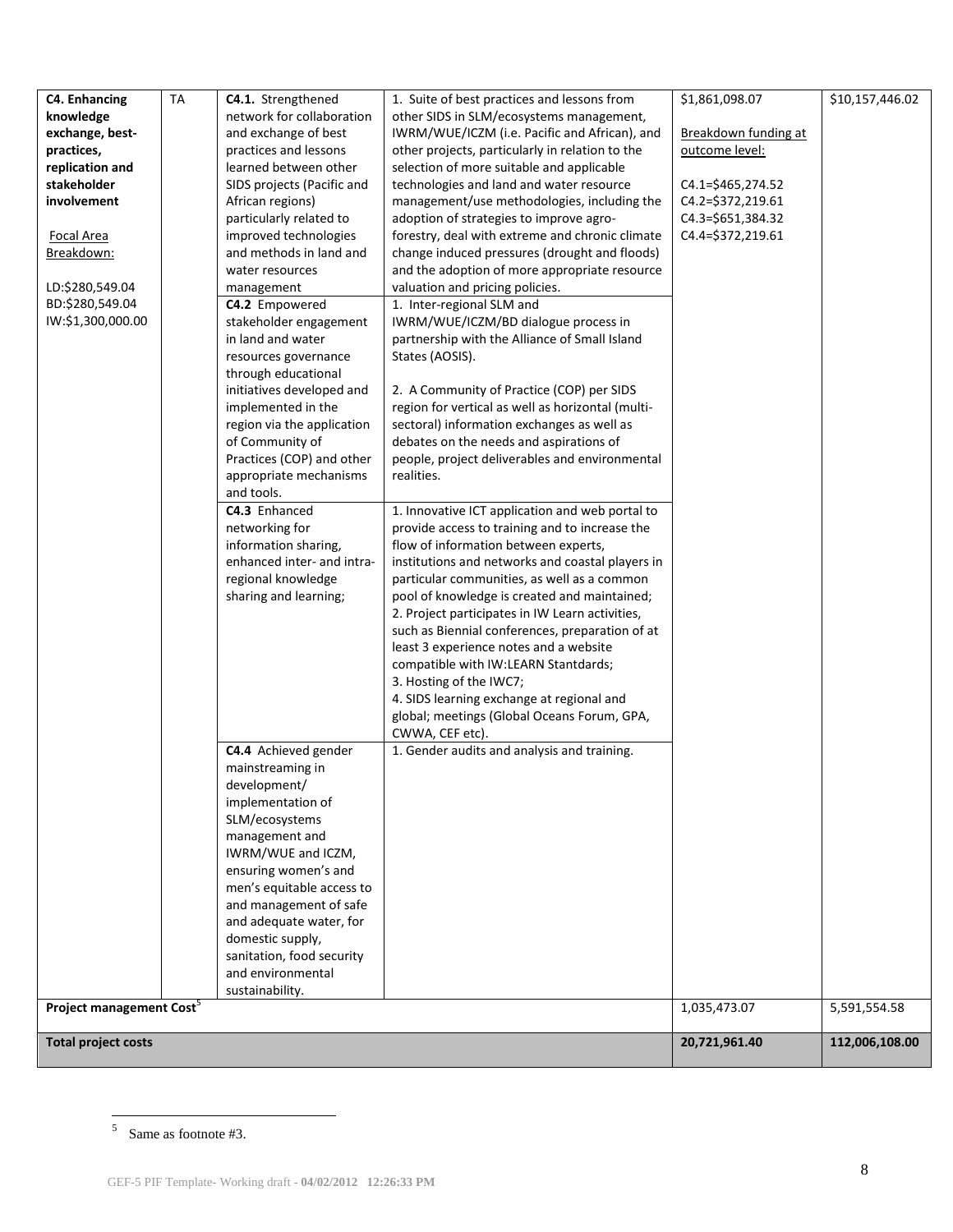| <b>C4. Enhancing</b><br>knowledge<br>exchange, best-<br>practices,<br>replication and<br>stakeholder<br>involvement<br><b>Focal Area</b><br>Breakdown:<br>LD:\$280,549.04<br>BD:\$280,549.04<br>IW:\$1,300,000.00 | <b>TA</b> | C4.1. Strengthened<br>network for collaboration<br>and exchange of best<br>practices and lessons<br>learned between other<br>SIDS projects (Pacific and<br>African regions)<br>particularly related to<br>improved technologies<br>and methods in land and<br>water resources<br>management<br>C4.2 Empowered<br>stakeholder engagement<br>in land and water<br>resources governance<br>through educational<br>initiatives developed and<br>implemented in the<br>region via the application<br>of Community of<br>Practices (COP) and other<br>appropriate mechanisms<br>and tools.<br>C4.3 Enhanced<br>networking for<br>information sharing,<br>enhanced inter- and intra-<br>regional knowledge<br>sharing and learning;<br>C4.4 Achieved gender<br>mainstreaming in | 1. Suite of best practices and lessons from<br>other SIDS in SLM/ecosystems management,<br>IWRM/WUE/ICZM (i.e. Pacific and African), and<br>other projects, particularly in relation to the<br>selection of more suitable and applicable<br>technologies and land and water resource<br>management/use methodologies, including the<br>adoption of strategies to improve agro-<br>forestry, deal with extreme and chronic climate<br>change induced pressures (drought and floods)<br>and the adoption of more appropriate resource<br>valuation and pricing policies.<br>1. Inter-regional SLM and<br>IWRM/WUE/ICZM/BD dialogue process in<br>partnership with the Alliance of Small Island<br>States (AOSIS).<br>2. A Community of Practice (COP) per SIDS<br>region for vertical as well as horizontal (multi-<br>sectoral) information exchanges as well as<br>debates on the needs and aspirations of<br>people, project deliverables and environmental<br>realities.<br>1. Innovative ICT application and web portal to<br>provide access to training and to increase the<br>flow of information between experts,<br>institutions and networks and coastal players in<br>particular communities, as well as a common<br>pool of knowledge is created and maintained;<br>2. Project participates in IW Learn activities,<br>such as Biennial conferences, preparation of at<br>least 3 experience notes and a website<br>compatible with IW:LEARN Stantdards;<br>3. Hosting of the IWC7;<br>4. SIDS learning exchange at regional and<br>global; meetings (Global Oceans Forum, GPA,<br>CWWA, CEF etc).<br>1. Gender audits and analysis and training. | \$1,861,098.07<br>Breakdown funding at<br>outcome level:<br>$C4.1 = $465,274.52$<br>C4.2=\$372,219.61<br>C4.3=\$651,384.32<br>C4.4=\$372,219.61 | \$10,157,446.02 |
|-------------------------------------------------------------------------------------------------------------------------------------------------------------------------------------------------------------------|-----------|--------------------------------------------------------------------------------------------------------------------------------------------------------------------------------------------------------------------------------------------------------------------------------------------------------------------------------------------------------------------------------------------------------------------------------------------------------------------------------------------------------------------------------------------------------------------------------------------------------------------------------------------------------------------------------------------------------------------------------------------------------------------------|-------------------------------------------------------------------------------------------------------------------------------------------------------------------------------------------------------------------------------------------------------------------------------------------------------------------------------------------------------------------------------------------------------------------------------------------------------------------------------------------------------------------------------------------------------------------------------------------------------------------------------------------------------------------------------------------------------------------------------------------------------------------------------------------------------------------------------------------------------------------------------------------------------------------------------------------------------------------------------------------------------------------------------------------------------------------------------------------------------------------------------------------------------------------------------------------------------------------------------------------------------------------------------------------------------------------------------------------------------------------------------------------------------------------------------------------------------------------------------------------------------------------------------------------------------------------------------------------------------------------------------------------------------------|-------------------------------------------------------------------------------------------------------------------------------------------------|-----------------|
|                                                                                                                                                                                                                   |           | development/<br>implementation of<br>SLM/ecosystems<br>management and<br>IWRM/WUE and ICZM,<br>ensuring women's and<br>men's equitable access to<br>and management of safe<br>and adequate water, for<br>domestic supply,<br>sanitation, food security<br>and environmental                                                                                                                                                                                                                                                                                                                                                                                                                                                                                              |                                                                                                                                                                                                                                                                                                                                                                                                                                                                                                                                                                                                                                                                                                                                                                                                                                                                                                                                                                                                                                                                                                                                                                                                                                                                                                                                                                                                                                                                                                                                                                                                                                                             |                                                                                                                                                 |                 |
| Project management Cost <sup>5</sup>                                                                                                                                                                              |           | sustainability.                                                                                                                                                                                                                                                                                                                                                                                                                                                                                                                                                                                                                                                                                                                                                          |                                                                                                                                                                                                                                                                                                                                                                                                                                                                                                                                                                                                                                                                                                                                                                                                                                                                                                                                                                                                                                                                                                                                                                                                                                                                                                                                                                                                                                                                                                                                                                                                                                                             | 1,035,473.07                                                                                                                                    | 5,591,554.58    |
|                                                                                                                                                                                                                   |           |                                                                                                                                                                                                                                                                                                                                                                                                                                                                                                                                                                                                                                                                                                                                                                          |                                                                                                                                                                                                                                                                                                                                                                                                                                                                                                                                                                                                                                                                                                                                                                                                                                                                                                                                                                                                                                                                                                                                                                                                                                                                                                                                                                                                                                                                                                                                                                                                                                                             |                                                                                                                                                 |                 |
| <b>Total project costs</b>                                                                                                                                                                                        |           |                                                                                                                                                                                                                                                                                                                                                                                                                                                                                                                                                                                                                                                                                                                                                                          |                                                                                                                                                                                                                                                                                                                                                                                                                                                                                                                                                                                                                                                                                                                                                                                                                                                                                                                                                                                                                                                                                                                                                                                                                                                                                                                                                                                                                                                                                                                                                                                                                                                             | 20,721,961.40                                                                                                                                   | 112,006,108.00  |

 $5$  Same as footnote #3.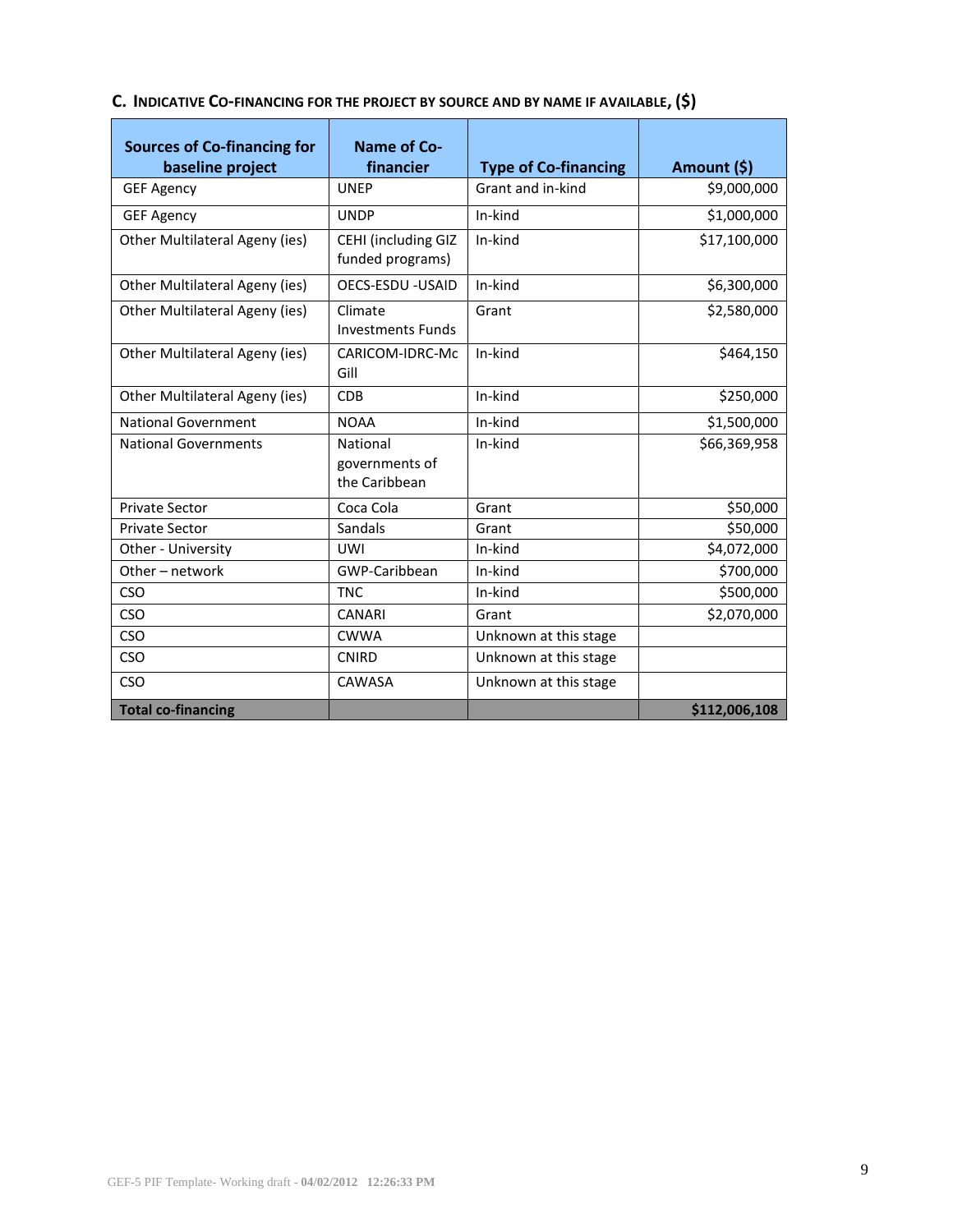| <b>Sources of Co-financing for</b><br>baseline project | Name of Co-<br>financier                    | <b>Type of Co-financing</b> | Amount (\$)   |
|--------------------------------------------------------|---------------------------------------------|-----------------------------|---------------|
| <b>GEF Agency</b>                                      | <b>UNEP</b>                                 | Grant and in-kind           | \$9,000,000   |
| <b>GEF Agency</b>                                      | <b>UNDP</b>                                 | In-kind                     | \$1,000,000   |
| Other Multilateral Ageny (ies)                         | CEHI (including GIZ<br>funded programs)     | In-kind                     | \$17,100,000  |
| Other Multilateral Ageny (ies)                         | OECS-ESDU - USAID                           | In-kind                     | \$6,300,000   |
| Other Multilateral Ageny (ies)                         | Climate<br><b>Investments Funds</b>         | Grant                       | \$2,580,000   |
| Other Multilateral Ageny (ies)                         | CARICOM-IDRC-Mc<br>Gill                     | In-kind                     | \$464,150     |
| Other Multilateral Ageny (ies)                         | <b>CDB</b>                                  | In-kind                     | \$250,000     |
| <b>National Government</b>                             | <b>NOAA</b>                                 | In-kind                     | \$1,500,000   |
| <b>National Governments</b>                            | National<br>governments of<br>the Caribbean | In-kind                     | \$66,369,958  |
| <b>Private Sector</b>                                  | Coca Cola                                   | Grant                       | \$50,000      |
| <b>Private Sector</b>                                  | Sandals                                     | Grant                       | \$50,000      |
| Other - University                                     | <b>UWI</b>                                  | In-kind                     | \$4,072,000   |
| Other - network                                        | GWP-Caribbean                               | In-kind                     | \$700,000     |
| CSO                                                    | <b>TNC</b>                                  | In-kind                     | \$500,000     |
| <b>CSO</b>                                             | <b>CANARI</b>                               | Grant                       | \$2,070,000   |
| <b>CSO</b>                                             | <b>CWWA</b>                                 | Unknown at this stage       |               |
| CSO                                                    | <b>CNIRD</b>                                | Unknown at this stage       |               |
| <b>CSO</b>                                             | CAWASA                                      | Unknown at this stage       |               |
| <b>Total co-financing</b>                              |                                             |                             | \$112,006,108 |

## **C. INDICATIVE CO-[FINANCING](http://gefweb.org/Documents/Council_Documents/GEF_C21/C.20.6.Rev.1.pdf) FOR THE PROJECT BY SOURCE AND BY NAME IF AVAILABLE, (\$)**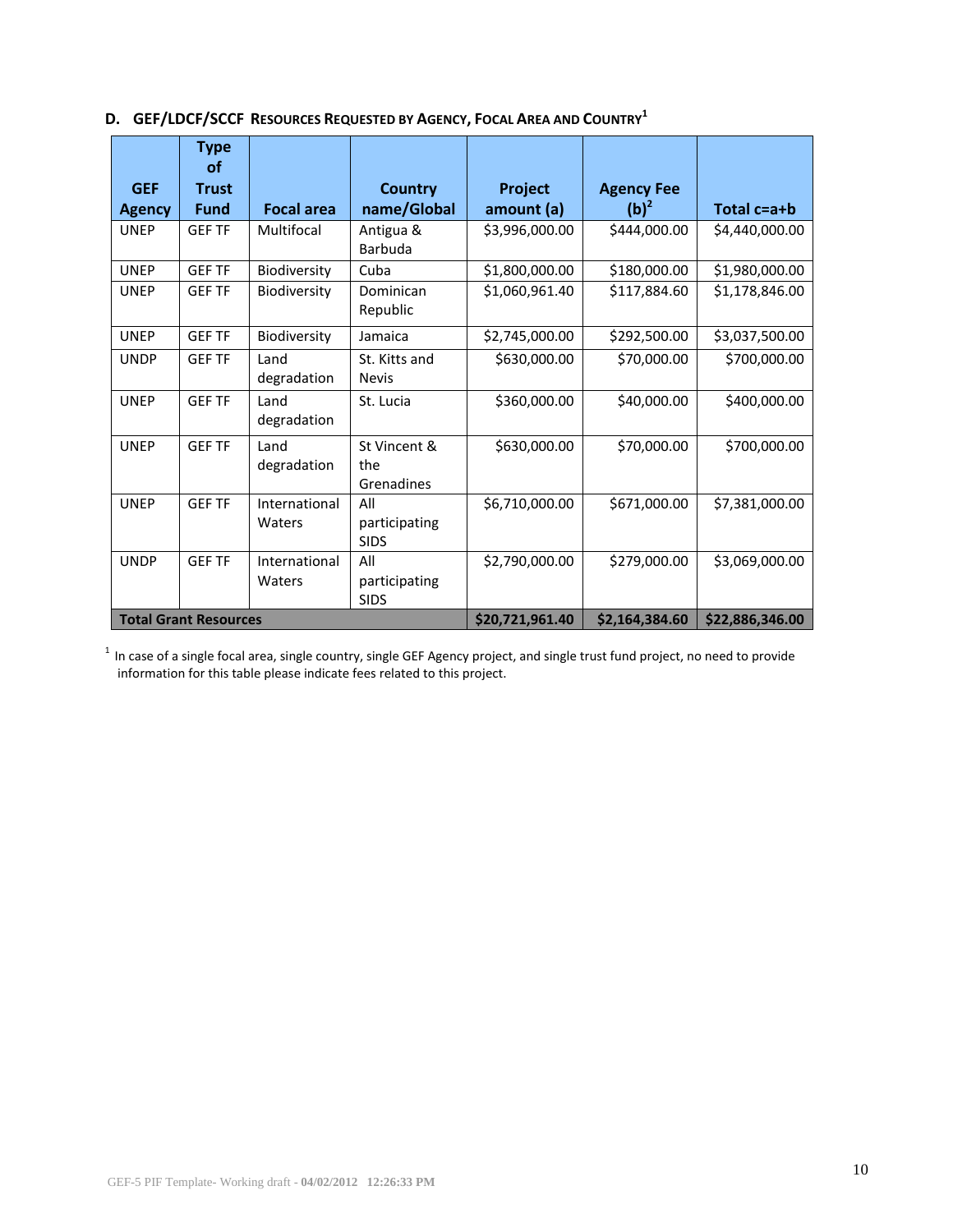|               | <b>Type</b><br><b>of</b>     |                         |                                     |                 |                   |                 |
|---------------|------------------------------|-------------------------|-------------------------------------|-----------------|-------------------|-----------------|
| <b>GEF</b>    | <b>Trust</b>                 |                         | <b>Country</b>                      | Project         | <b>Agency Fee</b> |                 |
| <b>Agency</b> | <b>Fund</b>                  | <b>Focal area</b>       | name/Global                         | amount (a)      | $(b)^2$           | Total c=a+b     |
| <b>UNEP</b>   | <b>GEF TF</b>                | Multifocal              | Antigua &<br>Barbuda                | \$3,996,000.00  | \$444,000.00      | \$4,440,000.00  |
| <b>UNEP</b>   | <b>GEF TF</b>                | Biodiversity            | Cuba                                | \$1,800,000.00  | \$180,000.00      | \$1,980,000.00  |
| <b>UNEP</b>   | <b>GEF TF</b>                | Biodiversity            | Dominican<br>Republic               | \$1,060,961.40  | \$117,884.60      | \$1,178,846.00  |
| <b>UNEP</b>   | <b>GEF TF</b>                | Biodiversity            | Jamaica                             | \$2,745,000.00  | \$292,500.00      | \$3,037,500.00  |
| <b>UNDP</b>   | <b>GEF TF</b>                | Land<br>degradation     | St. Kitts and<br><b>Nevis</b>       | \$630,000.00    | \$70,000.00       | \$700,000.00    |
| <b>UNEP</b>   | <b>GEF TF</b>                | Land<br>degradation     | St. Lucia                           | \$360,000.00    | \$40,000.00       | \$400,000.00    |
| <b>UNEP</b>   | <b>GEF TF</b>                | Land<br>degradation     | St Vincent &<br>the<br>Grenadines   | \$630,000.00    | \$70,000.00       | \$700,000.00    |
| <b>UNEP</b>   | <b>GEF TF</b>                | International<br>Waters | All<br>participating<br><b>SIDS</b> | \$6,710,000.00  | \$671,000.00      | \$7,381,000.00  |
| <b>UNDP</b>   | <b>GEF TF</b>                | International<br>Waters | All<br>participating<br><b>SIDS</b> | \$2,790,000.00  | \$279,000.00      | \$3,069,000.00  |
|               | <b>Total Grant Resources</b> |                         |                                     | \$20,721,961.40 | \$2,164,384.60    | \$22,886,346.00 |

**D. GEF/LDCF/SCCF RESOURCES REQUESTED BY AGENCY, FOCAL AREA AND COUNTRY<sup>1</sup>**

 $1$  In case of a single focal area, single country, single GEF Agency project, and single trust fund project, no need to provide information for this table please indicate fees related to this project.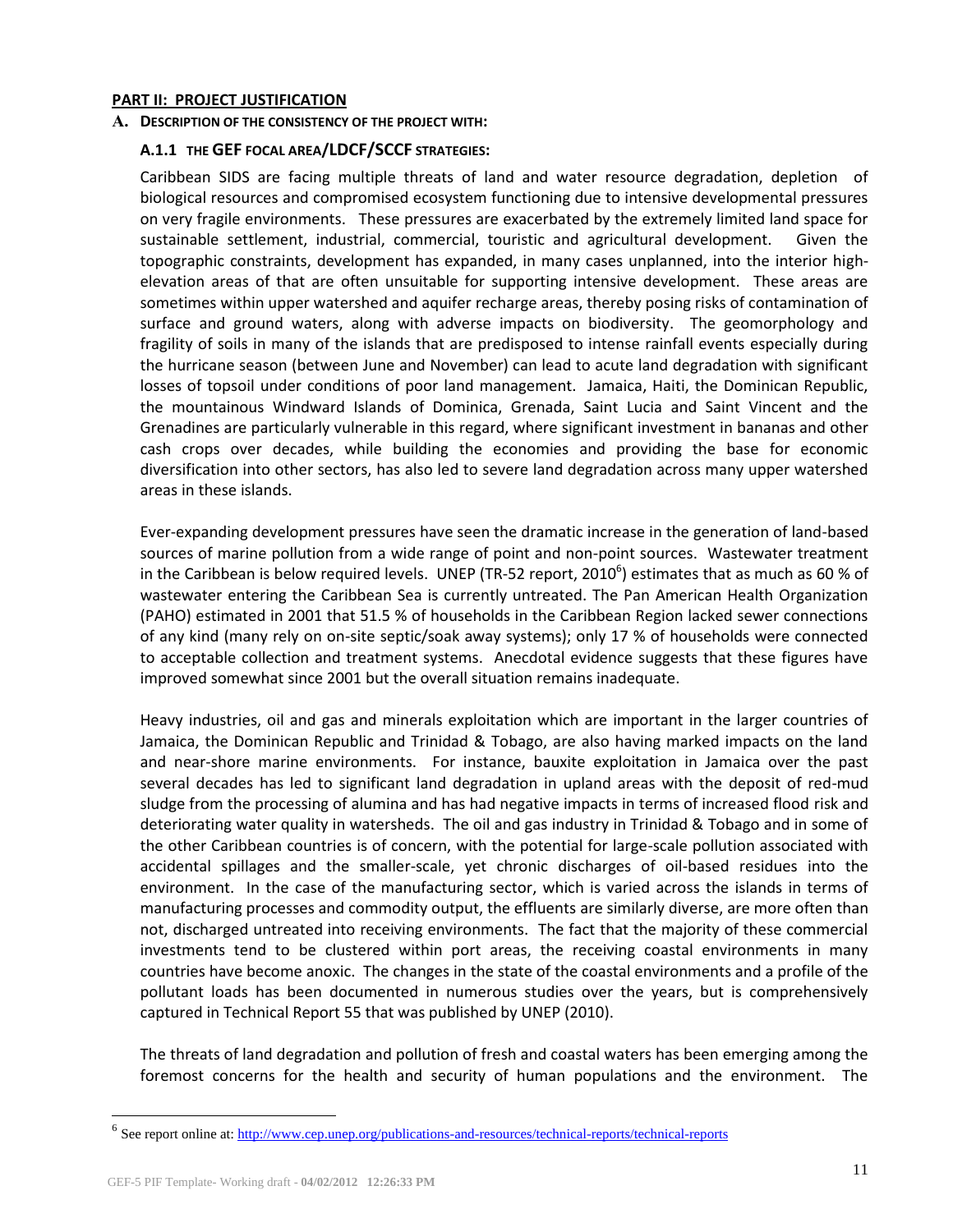#### **PART II: PROJECT JUSTIFICATION**

### **A. DESCRIPTION OF THE CONSISTENCY OF THE PROJECT WITH:**

### **A.1.1 THE GEF [FOCAL AREA](http://www.thegef.org/gef/sites/thegef.org/files/documents/GEF.R.5.19.Rev_.1.2009.pdf)/[LDCF/SCCF](http://www.thegef.org/gef/sites/thegef.org/files/documents/Program%20strategy%20V.2.pdf) STRATEGIES:**

Caribbean SIDS are facing multiple threats of land and water resource degradation, depletion of biological resources and compromised ecosystem functioning due to intensive developmental pressures on very fragile environments. These pressures are exacerbated by the extremely limited land space for sustainable settlement, industrial, commercial, touristic and agricultural development. Given the topographic constraints, development has expanded, in many cases unplanned, into the interior highelevation areas of that are often unsuitable for supporting intensive development. These areas are sometimes within upper watershed and aquifer recharge areas, thereby posing risks of contamination of surface and ground waters, along with adverse impacts on biodiversity. The geomorphology and fragility of soils in many of the islands that are predisposed to intense rainfall events especially during the hurricane season (between June and November) can lead to acute land degradation with significant losses of topsoil under conditions of poor land management. Jamaica, Haiti, the Dominican Republic, the mountainous Windward Islands of Dominica, Grenada, Saint Lucia and Saint Vincent and the Grenadines are particularly vulnerable in this regard, where significant investment in bananas and other cash crops over decades, while building the economies and providing the base for economic diversification into other sectors, has also led to severe land degradation across many upper watershed areas in these islands.

Ever-expanding development pressures have seen the dramatic increase in the generation of land-based sources of marine pollution from a wide range of point and non-point sources. Wastewater treatment in the Caribbean is below required levels. UNEP (TR-52 report, 2010<sup>6</sup>) estimates that as much as 60 % of wastewater entering the Caribbean Sea is currently untreated. The Pan American Health Organization (PAHO) estimated in 2001 that 51.5 % of households in the Caribbean Region lacked sewer connections of any kind (many rely on on-site septic/soak away systems); only 17 % of households were connected to acceptable collection and treatment systems. Anecdotal evidence suggests that these figures have improved somewhat since 2001 but the overall situation remains inadequate.

Heavy industries, oil and gas and minerals exploitation which are important in the larger countries of Jamaica, the Dominican Republic and Trinidad & Tobago, are also having marked impacts on the land and near-shore marine environments. For instance, bauxite exploitation in Jamaica over the past several decades has led to significant land degradation in upland areas with the deposit of red-mud sludge from the processing of alumina and has had negative impacts in terms of increased flood risk and deteriorating water quality in watersheds. The oil and gas industry in Trinidad & Tobago and in some of the other Caribbean countries is of concern, with the potential for large-scale pollution associated with accidental spillages and the smaller-scale, yet chronic discharges of oil-based residues into the environment. In the case of the manufacturing sector, which is varied across the islands in terms of manufacturing processes and commodity output, the effluents are similarly diverse, are more often than not, discharged untreated into receiving environments. The fact that the majority of these commercial investments tend to be clustered within port areas, the receiving coastal environments in many countries have become anoxic. The changes in the state of the coastal environments and a profile of the pollutant loads has been documented in numerous studies over the years, but is comprehensively captured in Technical Report 55 that was published by UNEP (2010).

The threats of land degradation and pollution of fresh and coastal waters has been emerging among the foremost concerns for the health and security of human populations and the environment. The

 $\overline{a}$ 

<sup>&</sup>lt;sup>6</sup> See report online at[: http://www.cep.unep.org/publications-and-resources/technical-reports/technical-reports](http://www.cep.unep.org/publications-and-resources/technical-reports/technical-reports)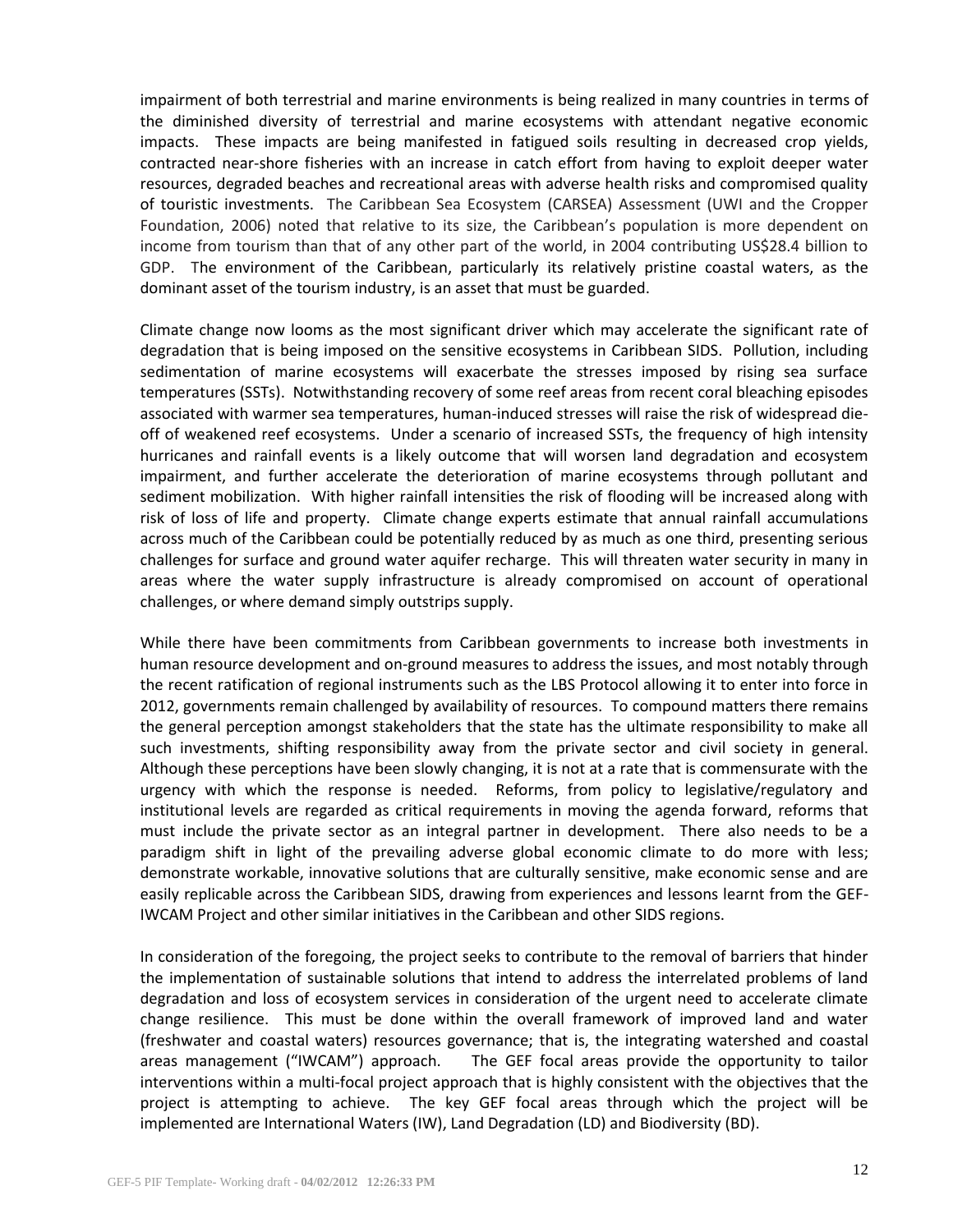impairment of both terrestrial and marine environments is being realized in many countries in terms of the diminished diversity of terrestrial and marine ecosystems with attendant negative economic impacts. These impacts are being manifested in fatigued soils resulting in decreased crop yields, contracted near-shore fisheries with an increase in catch effort from having to exploit deeper water resources, degraded beaches and recreational areas with adverse health risks and compromised quality of touristic investments. The Caribbean Sea Ecosystem (CARSEA) Assessment (UWI and the Cropper Foundation, 2006) noted that relative to its size, the Caribbean's population is more dependent on income from tourism than that of any other part of the world, in 2004 contributing US\$28.4 billion to GDP. The environment of the Caribbean, particularly its relatively pristine coastal waters, as the dominant asset of the tourism industry, is an asset that must be guarded.

Climate change now looms as the most significant driver which may accelerate the significant rate of degradation that is being imposed on the sensitive ecosystems in Caribbean SIDS. Pollution, including sedimentation of marine ecosystems will exacerbate the stresses imposed by rising sea surface temperatures (SSTs). Notwithstanding recovery of some reef areas from recent coral bleaching episodes associated with warmer sea temperatures, human-induced stresses will raise the risk of widespread dieoff of weakened reef ecosystems. Under a scenario of increased SSTs, the frequency of high intensity hurricanes and rainfall events is a likely outcome that will worsen land degradation and ecosystem impairment, and further accelerate the deterioration of marine ecosystems through pollutant and sediment mobilization. With higher rainfall intensities the risk of flooding will be increased along with risk of loss of life and property. Climate change experts estimate that annual rainfall accumulations across much of the Caribbean could be potentially reduced by as much as one third, presenting serious challenges for surface and ground water aquifer recharge. This will threaten water security in many in areas where the water supply infrastructure is already compromised on account of operational challenges, or where demand simply outstrips supply.

While there have been commitments from Caribbean governments to increase both investments in human resource development and on-ground measures to address the issues, and most notably through the recent ratification of regional instruments such as the LBS Protocol allowing it to enter into force in 2012, governments remain challenged by availability of resources. To compound matters there remains the general perception amongst stakeholders that the state has the ultimate responsibility to make all such investments, shifting responsibility away from the private sector and civil society in general. Although these perceptions have been slowly changing, it is not at a rate that is commensurate with the urgency with which the response is needed. Reforms, from policy to legislative/regulatory and institutional levels are regarded as critical requirements in moving the agenda forward, reforms that must include the private sector as an integral partner in development. There also needs to be a paradigm shift in light of the prevailing adverse global economic climate to do more with less; demonstrate workable, innovative solutions that are culturally sensitive, make economic sense and are easily replicable across the Caribbean SIDS, drawing from experiences and lessons learnt from the GEF-IWCAM Project and other similar initiatives in the Caribbean and other SIDS regions.

In consideration of the foregoing, the project seeks to contribute to the removal of barriers that hinder the implementation of sustainable solutions that intend to address the interrelated problems of land degradation and loss of ecosystem services in consideration of the urgent need to accelerate climate change resilience. This must be done within the overall framework of improved land and water (freshwater and coastal waters) resources governance; that is, the integrating watershed and coastal areas management ("IWCAM") approach. The GEF focal areas provide the opportunity to tailor interventions within a multi-focal project approach that is highly consistent with the objectives that the project is attempting to achieve. The key GEF focal areas through which the project will be implemented are International Waters (IW), Land Degradation (LD) and Biodiversity (BD).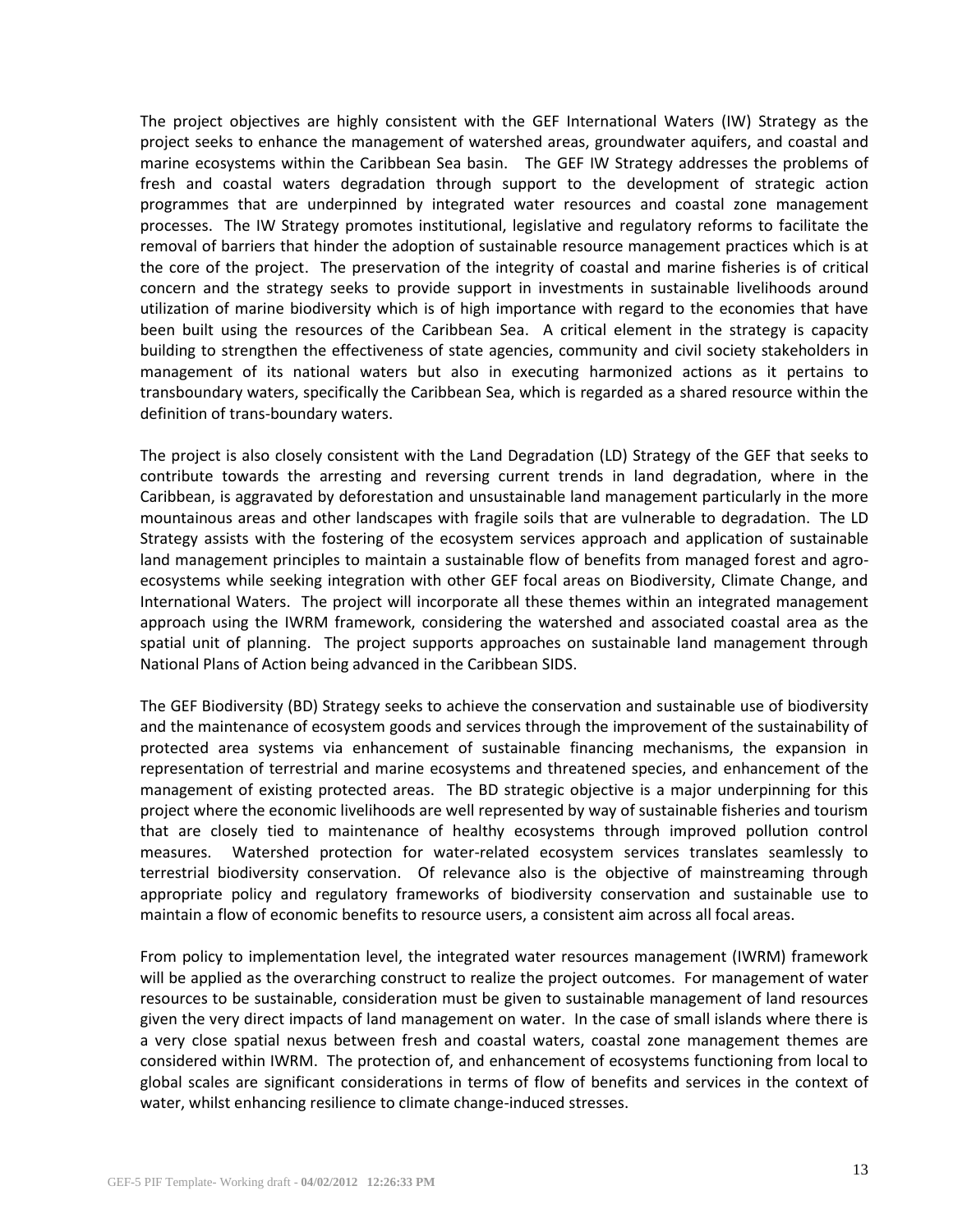The project objectives are highly consistent with the GEF International Waters (IW) Strategy as the project seeks to enhance the management of watershed areas, groundwater aquifers, and coastal and marine ecosystems within the Caribbean Sea basin. The GEF IW Strategy addresses the problems of fresh and coastal waters degradation through support to the development of strategic action programmes that are underpinned by integrated water resources and coastal zone management processes. The IW Strategy promotes institutional, legislative and regulatory reforms to facilitate the removal of barriers that hinder the adoption of sustainable resource management practices which is at the core of the project. The preservation of the integrity of coastal and marine fisheries is of critical concern and the strategy seeks to provide support in investments in sustainable livelihoods around utilization of marine biodiversity which is of high importance with regard to the economies that have been built using the resources of the Caribbean Sea. A critical element in the strategy is capacity building to strengthen the effectiveness of state agencies, community and civil society stakeholders in management of its national waters but also in executing harmonized actions as it pertains to transboundary waters, specifically the Caribbean Sea, which is regarded as a shared resource within the definition of trans-boundary waters.

The project is also closely consistent with the Land Degradation (LD) Strategy of the GEF that seeks to contribute towards the arresting and reversing current trends in land degradation, where in the Caribbean, is aggravated by deforestation and unsustainable land management particularly in the more mountainous areas and other landscapes with fragile soils that are vulnerable to degradation. The LD Strategy assists with the fostering of the ecosystem services approach and application of sustainable land management principles to maintain a sustainable flow of benefits from managed forest and agroecosystems while seeking integration with other GEF focal areas on Biodiversity, Climate Change, and International Waters. The project will incorporate all these themes within an integrated management approach using the IWRM framework, considering the watershed and associated coastal area as the spatial unit of planning. The project supports approaches on sustainable land management through National Plans of Action being advanced in the Caribbean SIDS.

The GEF Biodiversity (BD) Strategy seeks to achieve the conservation and sustainable use of biodiversity and the maintenance of ecosystem goods and services through the improvement of the sustainability of protected area systems via enhancement of sustainable financing mechanisms, the expansion in representation of terrestrial and marine ecosystems and threatened species, and enhancement of the management of existing protected areas. The BD strategic objective is a major underpinning for this project where the economic livelihoods are well represented by way of sustainable fisheries and tourism that are closely tied to maintenance of healthy ecosystems through improved pollution control measures. Watershed protection for water-related ecosystem services translates seamlessly to terrestrial biodiversity conservation. Of relevance also is the objective of mainstreaming through appropriate policy and regulatory frameworks of biodiversity conservation and sustainable use to maintain a flow of economic benefits to resource users, a consistent aim across all focal areas.

From policy to implementation level, the integrated water resources management (IWRM) framework will be applied as the overarching construct to realize the project outcomes. For management of water resources to be sustainable, consideration must be given to sustainable management of land resources given the very direct impacts of land management on water. In the case of small islands where there is a very close spatial nexus between fresh and coastal waters, coastal zone management themes are considered within IWRM. The protection of, and enhancement of ecosystems functioning from local to global scales are significant considerations in terms of flow of benefits and services in the context of water, whilst enhancing resilience to climate change-induced stresses.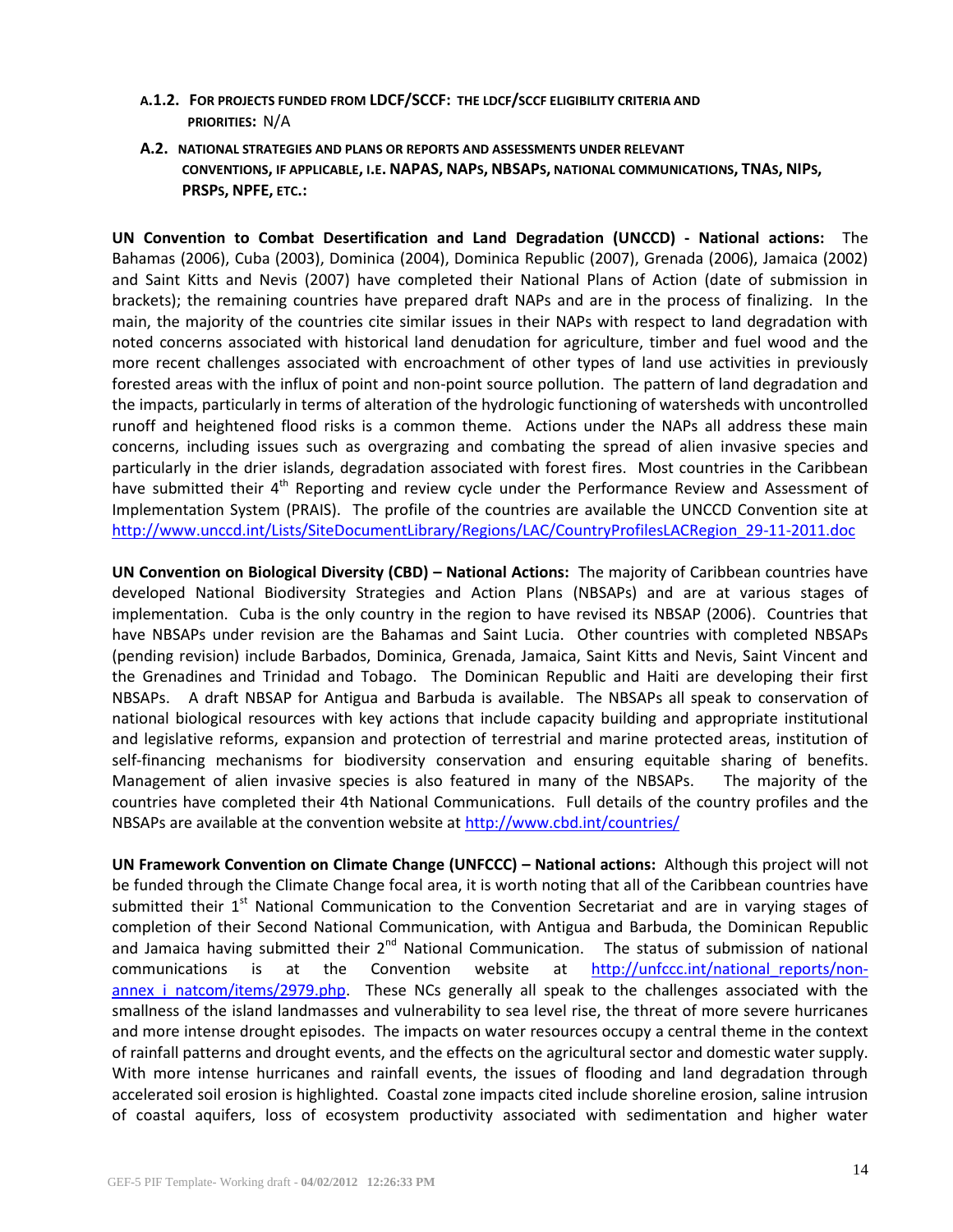### **A.1.2. FOR PROJECTS FUNDED FROM LDCF/SCCF: THE LDCF/SCCF ELIGIBILITY CRITERIA AND PRIORITIES:** N/A

**A.2. NATIONAL STRATEGIES AND PLANS OR REPORTS AND ASSESSMENTS UNDER RELEVANT**  CONVENTIONS, IF APPLICABLE, I.E. NAPAS, NAPS, NBSAPS, NATIONAL COMMUNICATIONS, TNAS, NIPS, **PRSPS, NPFE, ETC.:**

**UN Convention to Combat Desertification and Land Degradation (UNCCD) - National actions:** The Bahamas (2006), Cuba (2003), Dominica (2004), Dominica Republic (2007), Grenada (2006), Jamaica (2002) and Saint Kitts and Nevis (2007) have completed their National Plans of Action (date of submission in brackets); the remaining countries have prepared draft NAPs and are in the process of finalizing. In the main, the majority of the countries cite similar issues in their NAPs with respect to land degradation with noted concerns associated with historical land denudation for agriculture, timber and fuel wood and the more recent challenges associated with encroachment of other types of land use activities in previously forested areas with the influx of point and non-point source pollution. The pattern of land degradation and the impacts, particularly in terms of alteration of the hydrologic functioning of watersheds with uncontrolled runoff and heightened flood risks is a common theme. Actions under the NAPs all address these main concerns, including issues such as overgrazing and combating the spread of alien invasive species and particularly in the drier islands, degradation associated with forest fires. Most countries in the Caribbean have submitted their  $4<sup>th</sup>$  Reporting and review cycle under the Performance Review and Assessment of Implementation System (PRAIS). The profile of the countries are available the UNCCD Convention site at [http://www.unccd.int/Lists/SiteDocumentLibrary/Regions/LAC/CountryProfilesLACRegion\\_29-11-2011.doc](http://www.unccd.int/Lists/SiteDocumentLibrary/Regions/LAC/CountryProfilesLACRegion_29-11-2011.doc)

**UN Convention on Biological Diversity (CBD) – National Actions:** The majority of Caribbean countries have developed National Biodiversity Strategies and Action Plans (NBSAPs) and are at various stages of implementation. Cuba is the only country in the region to have revised its NBSAP (2006). Countries that have NBSAPs under revision are the Bahamas and Saint Lucia. Other countries with completed NBSAPs (pending revision) include Barbados, Dominica, Grenada, Jamaica, Saint Kitts and Nevis, Saint Vincent and the Grenadines and Trinidad and Tobago. The Dominican Republic and Haiti are developing their first NBSAPs. A draft NBSAP for Antigua and Barbuda is available. The NBSAPs all speak to conservation of national biological resources with key actions that include capacity building and appropriate institutional and legislative reforms, expansion and protection of terrestrial and marine protected areas, institution of self-financing mechanisms for biodiversity conservation and ensuring equitable sharing of benefits. Management of alien invasive species is also featured in many of the NBSAPs. The majority of the countries have completed their 4th National Communications. Full details of the country profiles and the NBSAPs are available at the convention website at <http://www.cbd.int/countries/>

**UN Framework Convention on Climate Change (UNFCCC) – National actions:** Although this project will not be funded through the Climate Change focal area, it is worth noting that all of the Caribbean countries have submitted their  $1<sup>st</sup>$  National Communication to the Convention Secretariat and are in varying stages of completion of their Second National Communication, with Antigua and Barbuda, the Dominican Republic and Jamaica having submitted their 2<sup>nd</sup> National Communication. The status of submission of national communications is at the Convention website at [http://unfccc.int/national\\_reports/non](http://unfccc.int/national_reports/non-annex_i_natcom/items/2979.php)annex i natcom/items/2979.php. These NCs generally all speak to the challenges associated with the smallness of the island landmasses and vulnerability to sea level rise, the threat of more severe hurricanes and more intense drought episodes. The impacts on water resources occupy a central theme in the context of rainfall patterns and drought events, and the effects on the agricultural sector and domestic water supply. With more intense hurricanes and rainfall events, the issues of flooding and land degradation through accelerated soil erosion is highlighted. Coastal zone impacts cited include shoreline erosion, saline intrusion of coastal aquifers, loss of ecosystem productivity associated with sedimentation and higher water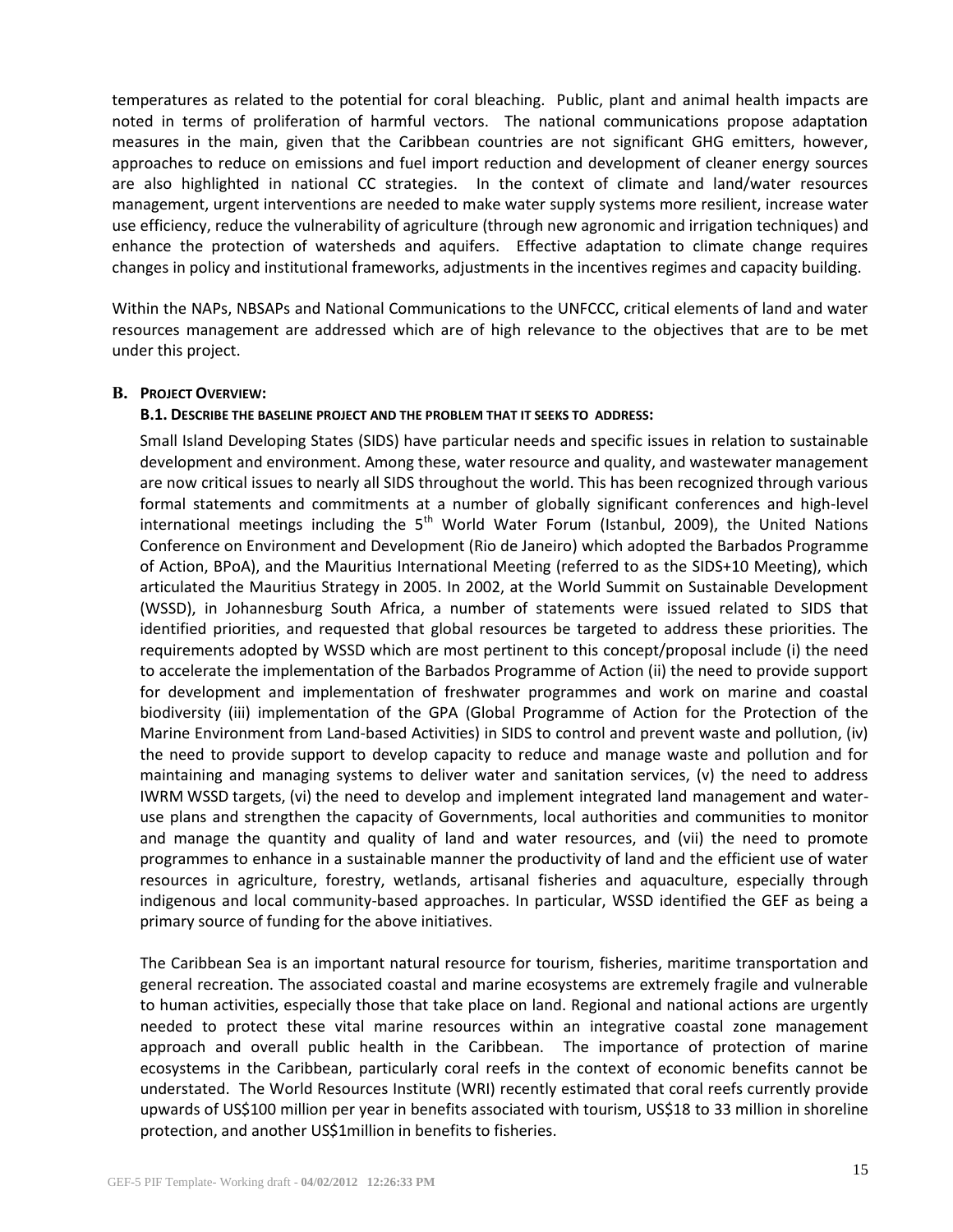temperatures as related to the potential for coral bleaching. Public, plant and animal health impacts are noted in terms of proliferation of harmful vectors. The national communications propose adaptation measures in the main, given that the Caribbean countries are not significant GHG emitters, however, approaches to reduce on emissions and fuel import reduction and development of cleaner energy sources are also highlighted in national CC strategies. In the context of climate and land/water resources management, urgent interventions are needed to make water supply systems more resilient, increase water use efficiency, reduce the vulnerability of agriculture (through new agronomic and irrigation techniques) and enhance the protection of watersheds and aquifers. Effective adaptation to climate change requires changes in policy and institutional frameworks, adjustments in the incentives regimes and capacity building.

Within the NAPs, NBSAPs and National Communications to the UNFCCC, critical elements of land and water resources management are addressed which are of high relevance to the objectives that are to be met under this project.

### **B. PROJECT OVERVIEW:**

### **B.1. DESCRIBE THE BASELINE PROJECT AND THE PROBLEM THAT IT SEEKS TO ADDRESS:**

Small Island Developing States (SIDS) have particular needs and specific issues in relation to sustainable development and environment. Among these, water resource and quality, and wastewater management are now critical issues to nearly all SIDS throughout the world. This has been recognized through various formal statements and commitments at a number of globally significant conferences and high-level international meetings including the  $5<sup>th</sup>$  World Water Forum (Istanbul, 2009), the United Nations Conference on Environment and Development (Rio de Janeiro) which adopted the Barbados Programme of Action, BPoA), and the Mauritius International Meeting (referred to as the SIDS+10 Meeting), which articulated the Mauritius Strategy in 2005. In 2002, at the World Summit on Sustainable Development (WSSD), in Johannesburg South Africa, a number of statements were issued related to SIDS that identified priorities, and requested that global resources be targeted to address these priorities. The requirements adopted by WSSD which are most pertinent to this concept/proposal include (i) the need to accelerate the implementation of the Barbados Programme of Action (ii) the need to provide support for development and implementation of freshwater programmes and work on marine and coastal biodiversity (iii) implementation of the GPA (Global Programme of Action for the Protection of the Marine Environment from Land-based Activities) in SIDS to control and prevent waste and pollution, (iv) the need to provide support to develop capacity to reduce and manage waste and pollution and for maintaining and managing systems to deliver water and sanitation services, (v) the need to address IWRM WSSD targets, (vi) the need to develop and implement integrated land management and wateruse plans and strengthen the capacity of Governments, local authorities and communities to monitor and manage the quantity and quality of land and water resources, and (vii) the need to promote programmes to enhance in a sustainable manner the productivity of land and the efficient use of water resources in agriculture, forestry, wetlands, artisanal fisheries and aquaculture, especially through indigenous and local community-based approaches. In particular, WSSD identified the GEF as being a primary source of funding for the above initiatives.

The Caribbean Sea is an important natural resource for tourism, fisheries, maritime transportation and general recreation. The associated coastal and marine ecosystems are extremely fragile and vulnerable to human activities, especially those that take place on land. Regional and national actions are urgently needed to protect these vital marine resources within an integrative coastal zone management approach and overall public health in the Caribbean. The importance of protection of marine ecosystems in the Caribbean, particularly coral reefs in the context of economic benefits cannot be understated. The World Resources Institute (WRI) recently estimated that coral reefs currently provide upwards of US\$100 million per year in benefits associated with tourism, US\$18 to 33 million in shoreline protection, and another US\$1million in benefits to fisheries.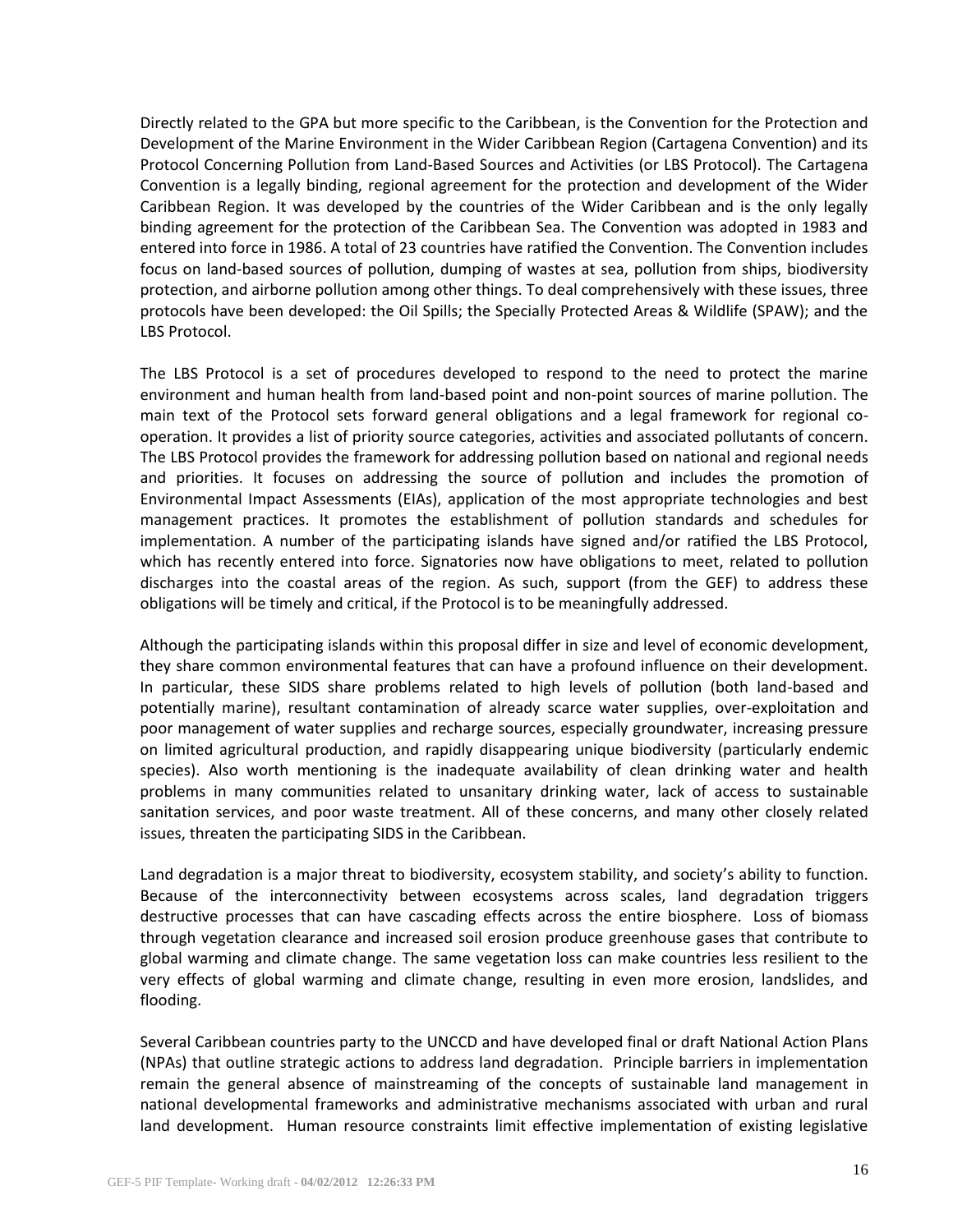Directly related to the GPA but more specific to the Caribbean, is the Convention for the Protection and Development of the Marine Environment in the Wider Caribbean Region (Cartagena Convention) and its Protocol Concerning Pollution from Land-Based Sources and Activities (or LBS Protocol). The Cartagena Convention is a legally binding, regional agreement for the protection and development of the Wider Caribbean Region. It was developed by the countries of the Wider Caribbean and is the only legally binding agreement for the protection of the Caribbean Sea. The Convention was adopted in 1983 and entered into force in 1986. A total of 23 countries have ratified the Convention. The Convention includes focus on land-based sources of pollution, dumping of wastes at sea, pollution from ships, biodiversity protection, and airborne pollution among other things. To deal comprehensively with these issues, three protocols have been developed: the Oil Spills; the Specially Protected Areas & Wildlife (SPAW); and the LBS Protocol.

The LBS Protocol is a set of procedures developed to respond to the need to protect the marine environment and human health from land-based point and non-point sources of marine pollution. The main text of the Protocol sets forward general obligations and a legal framework for regional cooperation. It provides a list of priority source categories, activities and associated pollutants of concern. The LBS Protocol provides the framework for addressing pollution based on national and regional needs and priorities. It focuses on addressing the source of pollution and includes the promotion of Environmental Impact Assessments (EIAs), application of the most appropriate technologies and best management practices. It promotes the establishment of pollution standards and schedules for implementation. A number of the participating islands have signed and/or ratified the LBS Protocol, which has recently entered into force. Signatories now have obligations to meet, related to pollution discharges into the coastal areas of the region. As such, support (from the GEF) to address these obligations will be timely and critical, if the Protocol is to be meaningfully addressed.

Although the participating islands within this proposal differ in size and level of economic development, they share common environmental features that can have a profound influence on their development. In particular, these SIDS share problems related to high levels of pollution (both land-based and potentially marine), resultant contamination of already scarce water supplies, over-exploitation and poor management of water supplies and recharge sources, especially groundwater, increasing pressure on limited agricultural production, and rapidly disappearing unique biodiversity (particularly endemic species). Also worth mentioning is the inadequate availability of clean drinking water and health problems in many communities related to unsanitary drinking water, lack of access to sustainable sanitation services, and poor waste treatment. All of these concerns, and many other closely related issues, threaten the participating SIDS in the Caribbean.

Land degradation is a major threat to biodiversity, ecosystem stability, and society's ability to function. Because of the interconnectivity between ecosystems across scales, land degradation triggers destructive processes that can have cascading effects across the entire biosphere. Loss of biomass through vegetation clearance and increased soil erosion produce greenhouse gases that contribute to global warming and climate change. The same vegetation loss can make countries less resilient to the very effects of global warming and climate change, resulting in even more erosion, landslides, and flooding.

Several Caribbean countries party to the UNCCD and have developed final or draft National Action Plans (NPAs) that outline strategic actions to address land degradation. Principle barriers in implementation remain the general absence of mainstreaming of the concepts of sustainable land management in national developmental frameworks and administrative mechanisms associated with urban and rural land development. Human resource constraints limit effective implementation of existing legislative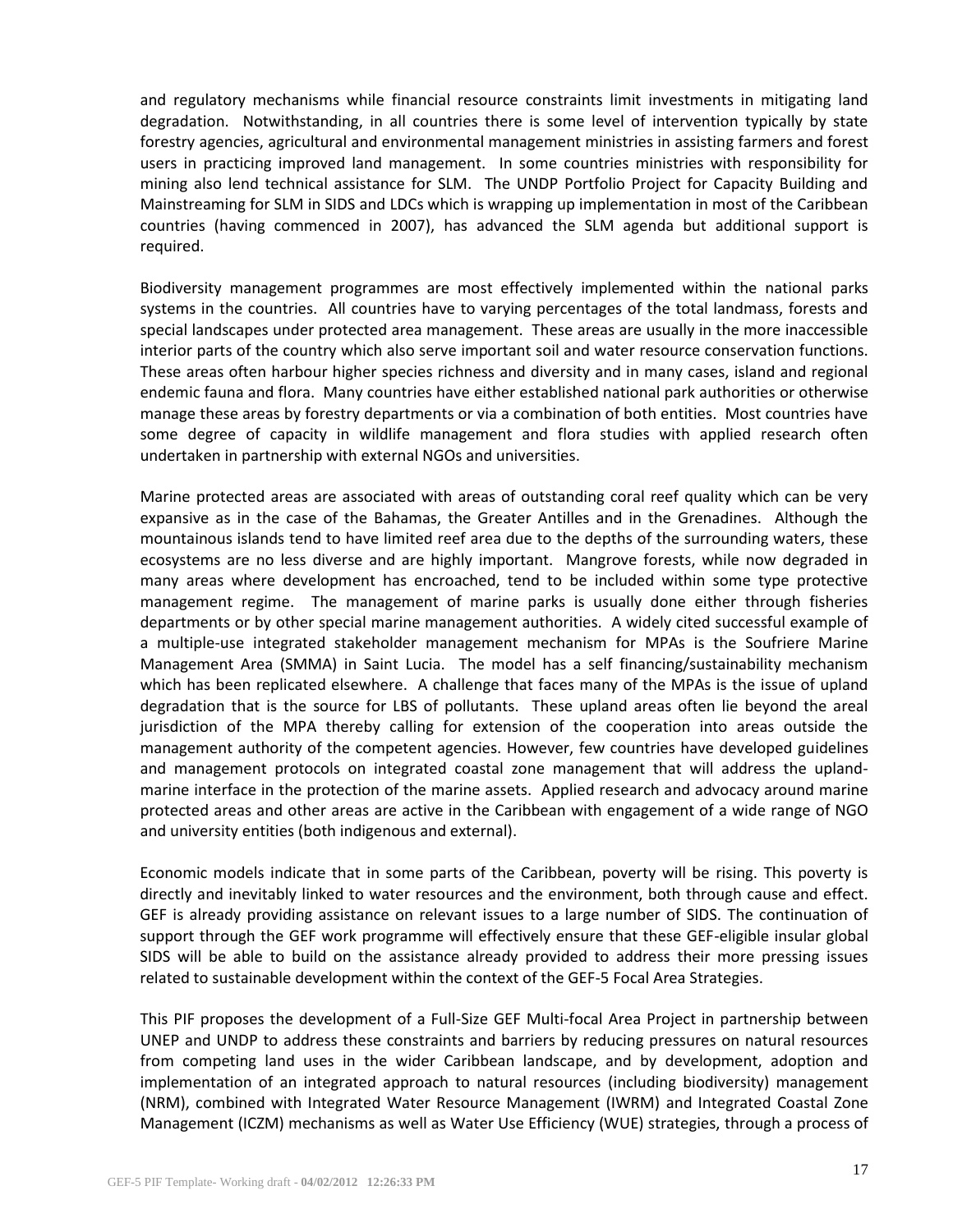and regulatory mechanisms while financial resource constraints limit investments in mitigating land degradation. Notwithstanding, in all countries there is some level of intervention typically by state forestry agencies, agricultural and environmental management ministries in assisting farmers and forest users in practicing improved land management. In some countries ministries with responsibility for mining also lend technical assistance for SLM. The UNDP Portfolio Project for Capacity Building and Mainstreaming for SLM in SIDS and LDCs which is wrapping up implementation in most of the Caribbean countries (having commenced in 2007), has advanced the SLM agenda but additional support is required.

Biodiversity management programmes are most effectively implemented within the national parks systems in the countries. All countries have to varying percentages of the total landmass, forests and special landscapes under protected area management. These areas are usually in the more inaccessible interior parts of the country which also serve important soil and water resource conservation functions. These areas often harbour higher species richness and diversity and in many cases, island and regional endemic fauna and flora. Many countries have either established national park authorities or otherwise manage these areas by forestry departments or via a combination of both entities. Most countries have some degree of capacity in wildlife management and flora studies with applied research often undertaken in partnership with external NGOs and universities.

Marine protected areas are associated with areas of outstanding coral reef quality which can be very expansive as in the case of the Bahamas, the Greater Antilles and in the Grenadines. Although the mountainous islands tend to have limited reef area due to the depths of the surrounding waters, these ecosystems are no less diverse and are highly important. Mangrove forests, while now degraded in many areas where development has encroached, tend to be included within some type protective management regime. The management of marine parks is usually done either through fisheries departments or by other special marine management authorities. A widely cited successful example of a multiple-use integrated stakeholder management mechanism for MPAs is the Soufriere Marine Management Area (SMMA) in Saint Lucia. The model has a self financing/sustainability mechanism which has been replicated elsewhere. A challenge that faces many of the MPAs is the issue of upland degradation that is the source for LBS of pollutants. These upland areas often lie beyond the areal jurisdiction of the MPA thereby calling for extension of the cooperation into areas outside the management authority of the competent agencies. However, few countries have developed guidelines and management protocols on integrated coastal zone management that will address the uplandmarine interface in the protection of the marine assets. Applied research and advocacy around marine protected areas and other areas are active in the Caribbean with engagement of a wide range of NGO and university entities (both indigenous and external).

Economic models indicate that in some parts of the Caribbean, poverty will be rising. This poverty is directly and inevitably linked to water resources and the environment, both through cause and effect. GEF is already providing assistance on relevant issues to a large number of SIDS. The continuation of support through the GEF work programme will effectively ensure that these GEF-eligible insular global SIDS will be able to build on the assistance already provided to address their more pressing issues related to sustainable development within the context of the GEF-5 Focal Area Strategies.

This PIF proposes the development of a Full-Size GEF Multi-focal Area Project in partnership between UNEP and UNDP to address these constraints and barriers by reducing pressures on natural resources from competing land uses in the wider Caribbean landscape, and by development, adoption and implementation of an integrated approach to natural resources (including biodiversity) management (NRM), combined with Integrated Water Resource Management (IWRM) and Integrated Coastal Zone Management (ICZM) mechanisms as well as Water Use Efficiency (WUE) strategies, through a process of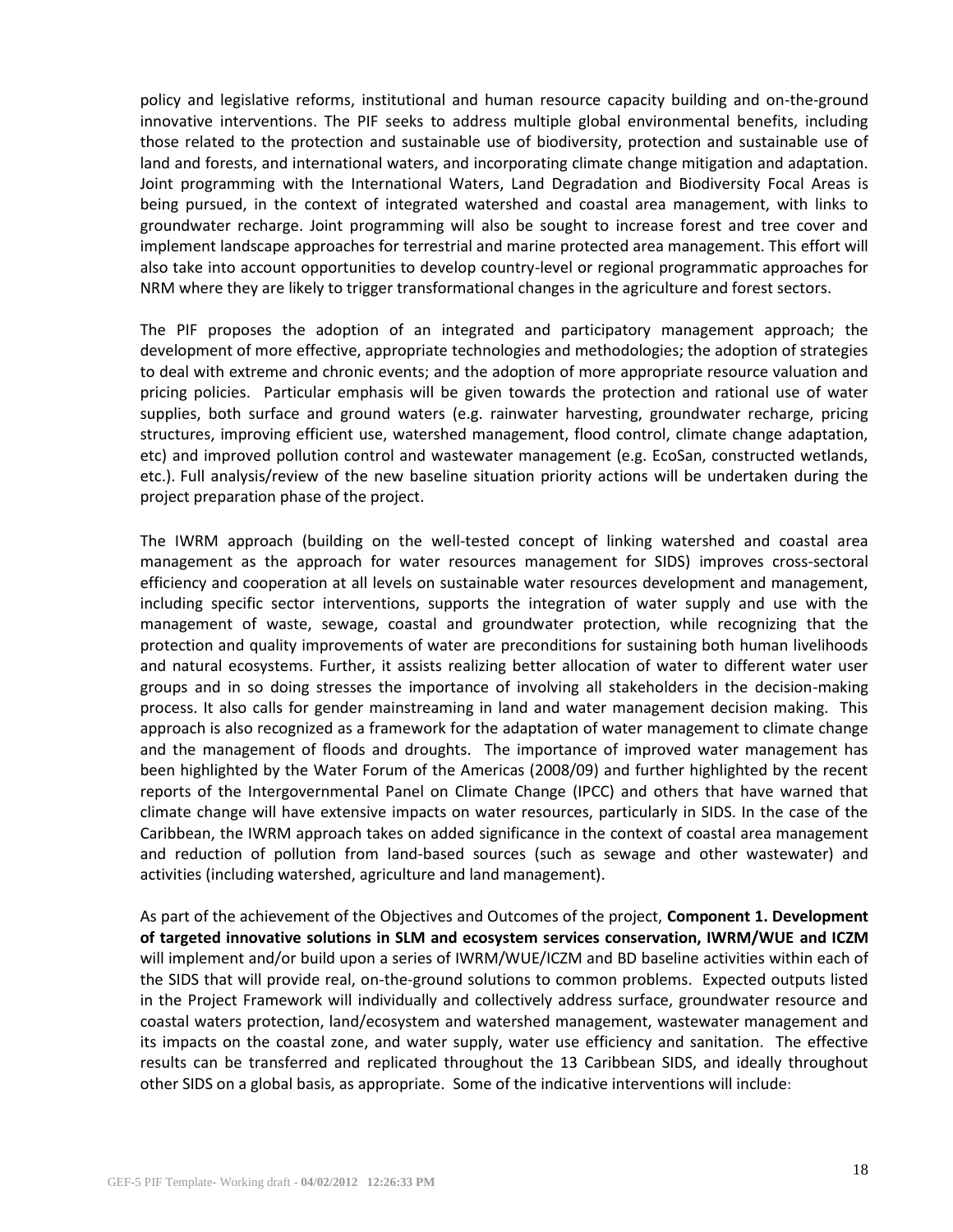policy and legislative reforms, institutional and human resource capacity building and on-the-ground innovative interventions. The PIF seeks to address multiple global environmental benefits, including those related to the protection and sustainable use of biodiversity, protection and sustainable use of land and forests, and international waters, and incorporating climate change mitigation and adaptation. Joint programming with the International Waters, Land Degradation and Biodiversity Focal Areas is being pursued, in the context of integrated watershed and coastal area management, with links to groundwater recharge. Joint programming will also be sought to increase forest and tree cover and implement landscape approaches for terrestrial and marine protected area management. This effort will also take into account opportunities to develop country-level or regional programmatic approaches for NRM where they are likely to trigger transformational changes in the agriculture and forest sectors.

The PIF proposes the adoption of an integrated and participatory management approach; the development of more effective, appropriate technologies and methodologies; the adoption of strategies to deal with extreme and chronic events; and the adoption of more appropriate resource valuation and pricing policies. Particular emphasis will be given towards the protection and rational use of water supplies, both surface and ground waters (e.g. rainwater harvesting, groundwater recharge, pricing structures, improving efficient use, watershed management, flood control, climate change adaptation, etc) and improved pollution control and wastewater management (e.g. EcoSan, constructed wetlands, etc.). Full analysis/review of the new baseline situation priority actions will be undertaken during the project preparation phase of the project.

The IWRM approach (building on the well-tested concept of linking watershed and coastal area management as the approach for water resources management for SIDS) improves cross-sectoral efficiency and cooperation at all levels on sustainable water resources development and management, including specific sector interventions, supports the integration of water supply and use with the management of waste, sewage, coastal and groundwater protection, while recognizing that the protection and quality improvements of water are preconditions for sustaining both human livelihoods and natural ecosystems. Further, it assists realizing better allocation of water to different water user groups and in so doing stresses the importance of involving all stakeholders in the decision-making process. It also calls for gender mainstreaming in land and water management decision making. This approach is also recognized as a framework for the adaptation of water management to climate change and the management of floods and droughts. The importance of improved water management has been highlighted by the Water Forum of the Americas (2008/09) and further highlighted by the recent reports of the Intergovernmental Panel on Climate Change (IPCC) and others that have warned that climate change will have extensive impacts on water resources, particularly in SIDS. In the case of the Caribbean, the IWRM approach takes on added significance in the context of coastal area management and reduction of pollution from land-based sources (such as sewage and other wastewater) and activities (including watershed, agriculture and land management).

As part of the achievement of the Objectives and Outcomes of the project, **Component 1. Development of targeted innovative solutions in SLM and ecosystem services conservation, IWRM/WUE and ICZM** will implement and/or build upon a series of IWRM/WUE/ICZM and BD baseline activities within each of the SIDS that will provide real, on-the-ground solutions to common problems. Expected outputs listed in the Project Framework will individually and collectively address surface, groundwater resource and coastal waters protection, land/ecosystem and watershed management, wastewater management and its impacts on the coastal zone, and water supply, water use efficiency and sanitation. The effective results can be transferred and replicated throughout the 13 Caribbean SIDS, and ideally throughout other SIDS on a global basis, as appropriate. Some of the indicative interventions will include: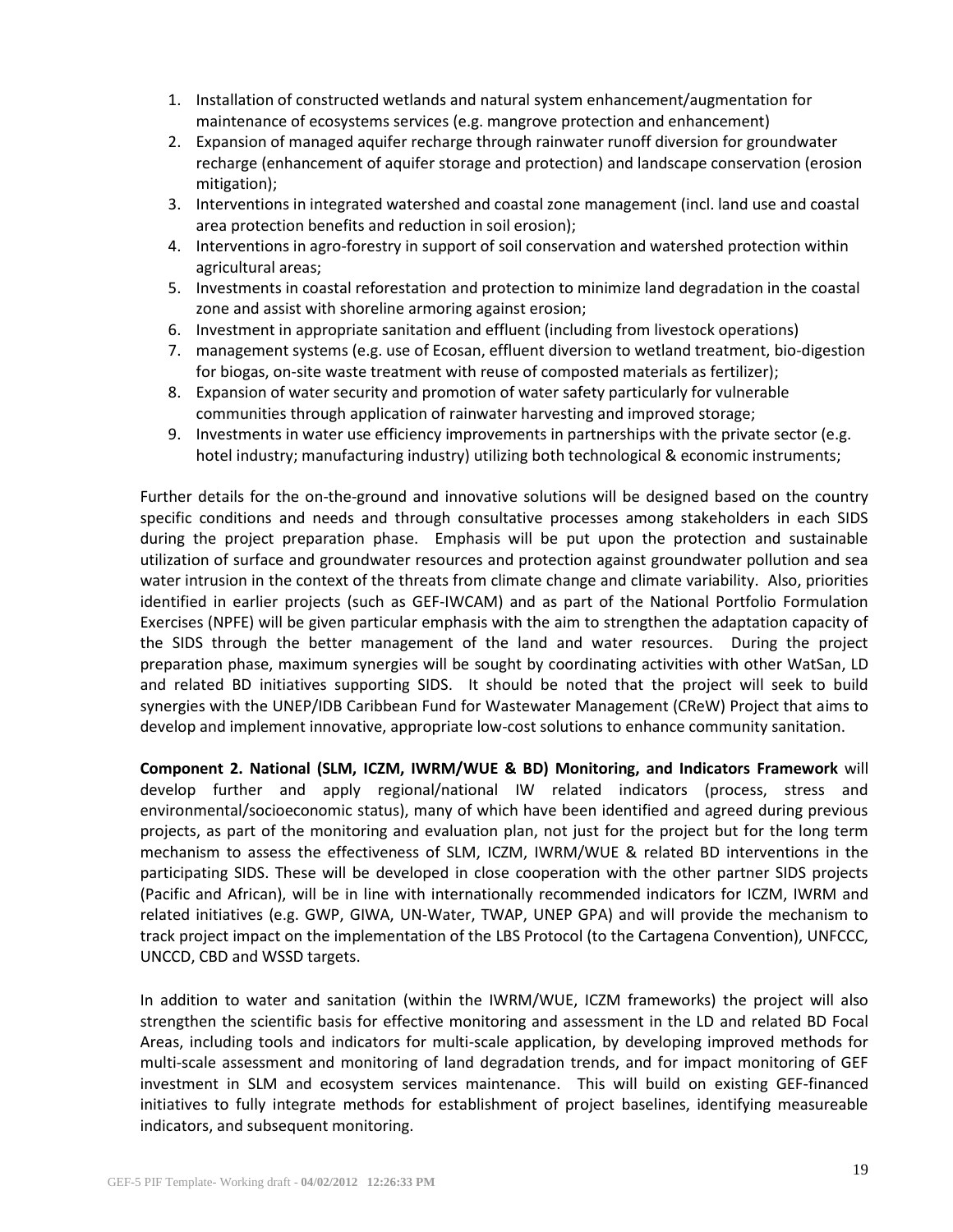- 1. Installation of constructed wetlands and natural system enhancement/augmentation for maintenance of ecosystems services (e.g. mangrove protection and enhancement)
- 2. Expansion of managed aquifer recharge through rainwater runoff diversion for groundwater recharge (enhancement of aquifer storage and protection) and landscape conservation (erosion mitigation);
- 3. Interventions in integrated watershed and coastal zone management (incl. land use and coastal area protection benefits and reduction in soil erosion);
- 4. Interventions in agro-forestry in support of soil conservation and watershed protection within agricultural areas;
- 5. Investments in coastal reforestation and protection to minimize land degradation in the coastal zone and assist with shoreline armoring against erosion;
- 6. Investment in appropriate sanitation and effluent (including from livestock operations)
- 7. management systems (e.g. use of Ecosan, effluent diversion to wetland treatment, bio-digestion for biogas, on-site waste treatment with reuse of composted materials as fertilizer);
- 8. Expansion of water security and promotion of water safety particularly for vulnerable communities through application of rainwater harvesting and improved storage;
- 9. Investments in water use efficiency improvements in partnerships with the private sector (e.g. hotel industry; manufacturing industry) utilizing both technological & economic instruments;

Further details for the on-the-ground and innovative solutions will be designed based on the country specific conditions and needs and through consultative processes among stakeholders in each SIDS during the project preparation phase. Emphasis will be put upon the protection and sustainable utilization of surface and groundwater resources and protection against groundwater pollution and sea water intrusion in the context of the threats from climate change and climate variability. Also, priorities identified in earlier projects (such as GEF-IWCAM) and as part of the National Portfolio Formulation Exercises (NPFE) will be given particular emphasis with the aim to strengthen the adaptation capacity of the SIDS through the better management of the land and water resources. During the project preparation phase, maximum synergies will be sought by coordinating activities with other WatSan, LD and related BD initiatives supporting SIDS. It should be noted that the project will seek to build synergies with the UNEP/IDB Caribbean Fund for Wastewater Management (CReW) Project that aims to develop and implement innovative, appropriate low-cost solutions to enhance community sanitation.

**Component 2. National (SLM, ICZM, IWRM/WUE & BD) Monitoring, and Indicators Framework** will develop further and apply regional/national IW related indicators (process, stress and environmental/socioeconomic status), many of which have been identified and agreed during previous projects, as part of the monitoring and evaluation plan, not just for the project but for the long term mechanism to assess the effectiveness of SLM, ICZM, IWRM/WUE & related BD interventions in the participating SIDS. These will be developed in close cooperation with the other partner SIDS projects (Pacific and African), will be in line with internationally recommended indicators for ICZM, IWRM and related initiatives (e.g. GWP, GIWA, UN-Water, TWAP, UNEP GPA) and will provide the mechanism to track project impact on the implementation of the LBS Protocol (to the Cartagena Convention), UNFCCC, UNCCD, CBD and WSSD targets.

In addition to water and sanitation (within the IWRM/WUE, ICZM frameworks) the project will also strengthen the scientific basis for effective monitoring and assessment in the LD and related BD Focal Areas, including tools and indicators for multi-scale application, by developing improved methods for multi-scale assessment and monitoring of land degradation trends, and for impact monitoring of GEF investment in SLM and ecosystem services maintenance. This will build on existing GEF-financed initiatives to fully integrate methods for establishment of project baselines, identifying measureable indicators, and subsequent monitoring.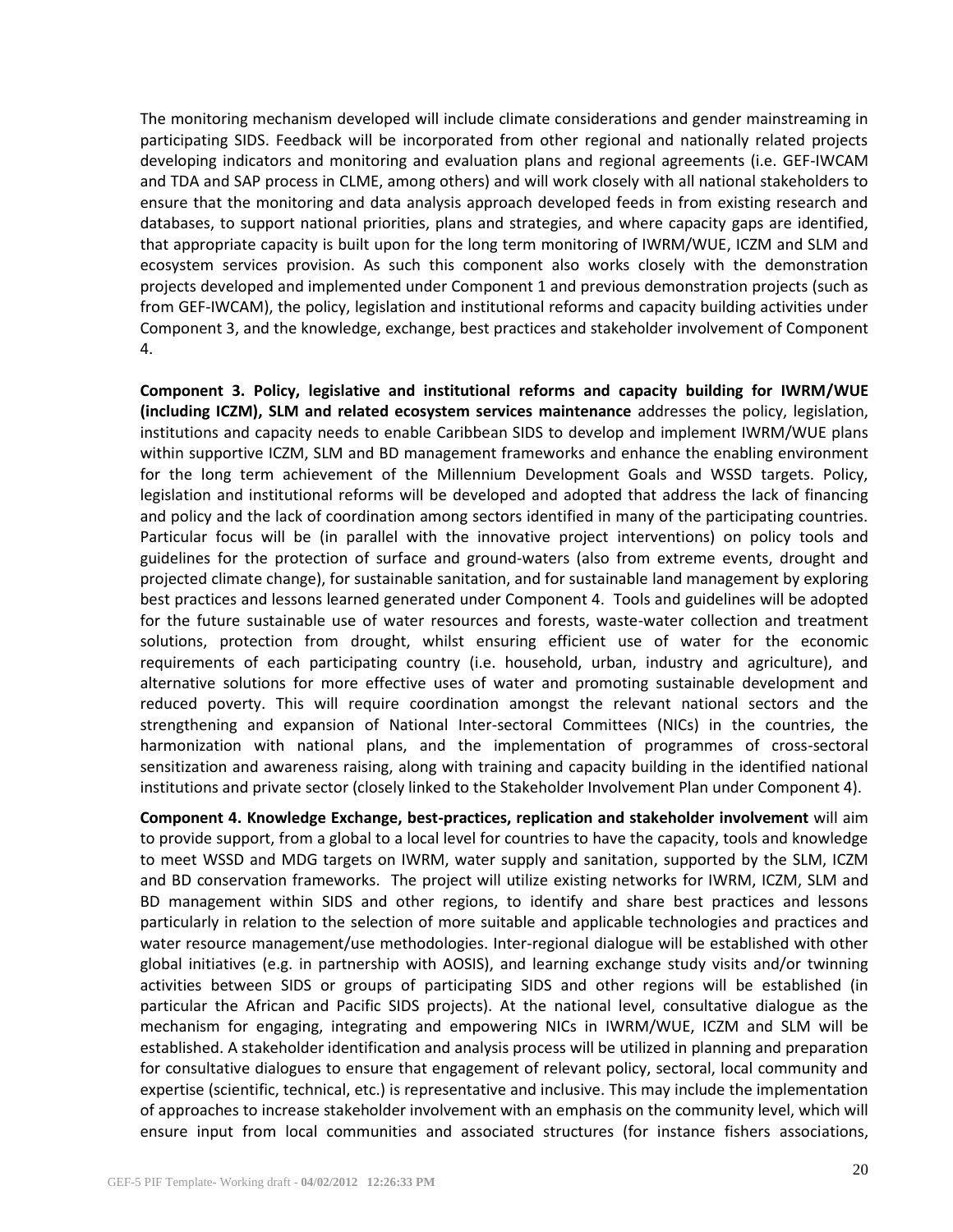The monitoring mechanism developed will include climate considerations and gender mainstreaming in participating SIDS. Feedback will be incorporated from other regional and nationally related projects developing indicators and monitoring and evaluation plans and regional agreements (i.e. GEF-IWCAM and TDA and SAP process in CLME, among others) and will work closely with all national stakeholders to ensure that the monitoring and data analysis approach developed feeds in from existing research and databases, to support national priorities, plans and strategies, and where capacity gaps are identified, that appropriate capacity is built upon for the long term monitoring of IWRM/WUE, ICZM and SLM and ecosystem services provision. As such this component also works closely with the demonstration projects developed and implemented under Component 1 and previous demonstration projects (such as from GEF-IWCAM), the policy, legislation and institutional reforms and capacity building activities under Component 3, and the knowledge, exchange, best practices and stakeholder involvement of Component 4.

**Component 3. Policy, legislative and institutional reforms and capacity building for IWRM/WUE (including ICZM), SLM and related ecosystem services maintenance** addresses the policy, legislation, institutions and capacity needs to enable Caribbean SIDS to develop and implement IWRM/WUE plans within supportive ICZM, SLM and BD management frameworks and enhance the enabling environment for the long term achievement of the Millennium Development Goals and WSSD targets. Policy, legislation and institutional reforms will be developed and adopted that address the lack of financing and policy and the lack of coordination among sectors identified in many of the participating countries. Particular focus will be (in parallel with the innovative project interventions) on policy tools and guidelines for the protection of surface and ground-waters (also from extreme events, drought and projected climate change), for sustainable sanitation, and for sustainable land management by exploring best practices and lessons learned generated under Component 4. Tools and guidelines will be adopted for the future sustainable use of water resources and forests, waste-water collection and treatment solutions, protection from drought, whilst ensuring efficient use of water for the economic requirements of each participating country (i.e. household, urban, industry and agriculture), and alternative solutions for more effective uses of water and promoting sustainable development and reduced poverty. This will require coordination amongst the relevant national sectors and the strengthening and expansion of National Inter-sectoral Committees (NICs) in the countries, the harmonization with national plans, and the implementation of programmes of cross-sectoral sensitization and awareness raising, along with training and capacity building in the identified national institutions and private sector (closely linked to the Stakeholder Involvement Plan under Component 4).

**Component 4. Knowledge Exchange, best-practices, replication and stakeholder involvement** will aim to provide support, from a global to a local level for countries to have the capacity, tools and knowledge to meet WSSD and MDG targets on IWRM, water supply and sanitation, supported by the SLM, ICZM and BD conservation frameworks. The project will utilize existing networks for IWRM, ICZM, SLM and BD management within SIDS and other regions, to identify and share best practices and lessons particularly in relation to the selection of more suitable and applicable technologies and practices and water resource management/use methodologies. Inter-regional dialogue will be established with other global initiatives (e.g. in partnership with AOSIS), and learning exchange study visits and/or twinning activities between SIDS or groups of participating SIDS and other regions will be established (in particular the African and Pacific SIDS projects). At the national level, consultative dialogue as the mechanism for engaging, integrating and empowering NICs in IWRM/WUE, ICZM and SLM will be established. A stakeholder identification and analysis process will be utilized in planning and preparation for consultative dialogues to ensure that engagement of relevant policy, sectoral, local community and expertise (scientific, technical, etc.) is representative and inclusive. This may include the implementation of approaches to increase stakeholder involvement with an emphasis on the community level, which will ensure input from local communities and associated structures (for instance fishers associations,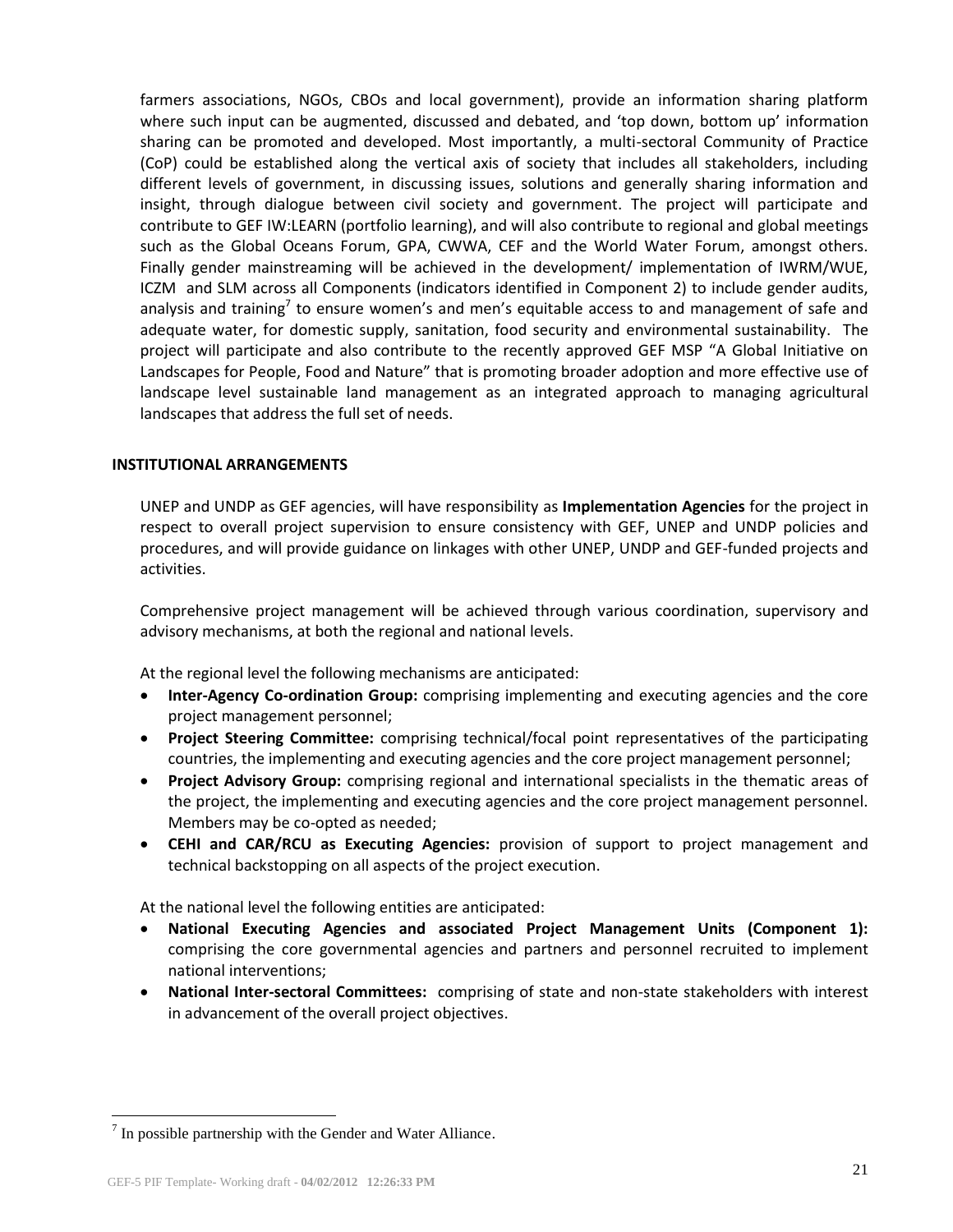farmers associations, NGOs, CBOs and local government), provide an information sharing platform where such input can be augmented, discussed and debated, and 'top down, bottom up' information sharing can be promoted and developed. Most importantly, a multi-sectoral Community of Practice (CoP) could be established along the vertical axis of society that includes all stakeholders, including different levels of government, in discussing issues, solutions and generally sharing information and insight, through dialogue between civil society and government. The project will participate and contribute to GEF IW:LEARN (portfolio learning), and will also contribute to regional and global meetings such as the Global Oceans Forum, GPA, CWWA, CEF and the World Water Forum, amongst others. Finally gender mainstreaming will be achieved in the development/ implementation of IWRM/WUE, ICZM and SLM across all Components (indicators identified in Component 2) to include gender audits, analysis and training<sup>7</sup> to ensure women's and men's equitable access to and management of safe and adequate water, for domestic supply, sanitation, food security and environmental sustainability. The project will participate and also contribute to the recently approved GEF MSP "A Global Initiative on Landscapes for People, Food and Nature" that is promoting broader adoption and more effective use of landscape level sustainable land management as an integrated approach to managing agricultural landscapes that address the full set of needs.

### **INSTITUTIONAL ARRANGEMENTS**

UNEP and UNDP as GEF agencies, will have responsibility as **Implementation Agencies** for the project in respect to overall project supervision to ensure consistency with GEF, UNEP and UNDP policies and procedures, and will provide guidance on linkages with other UNEP, UNDP and GEF-funded projects and activities.

Comprehensive project management will be achieved through various coordination, supervisory and advisory mechanisms, at both the regional and national levels.

At the regional level the following mechanisms are anticipated:

- **Inter-Agency Co-ordination Group:** comprising implementing and executing agencies and the core project management personnel;
- **Project Steering Committee:** comprising technical/focal point representatives of the participating countries, the implementing and executing agencies and the core project management personnel;
- **Project Advisory Group:** comprising regional and international specialists in the thematic areas of the project, the implementing and executing agencies and the core project management personnel. Members may be co-opted as needed;
- **CEHI and CAR/RCU as Executing Agencies:** provision of support to project management and technical backstopping on all aspects of the project execution.

At the national level the following entities are anticipated:

- **National Executing Agencies and associated Project Management Units (Component 1):** comprising the core governmental agencies and partners and personnel recruited to implement national interventions;
- **National Inter-sectoral Committees:** comprising of state and non-state stakeholders with interest in advancement of the overall project objectives.

 $\overline{a}$ 

 $7$  In possible partnership with the Gender and Water Alliance.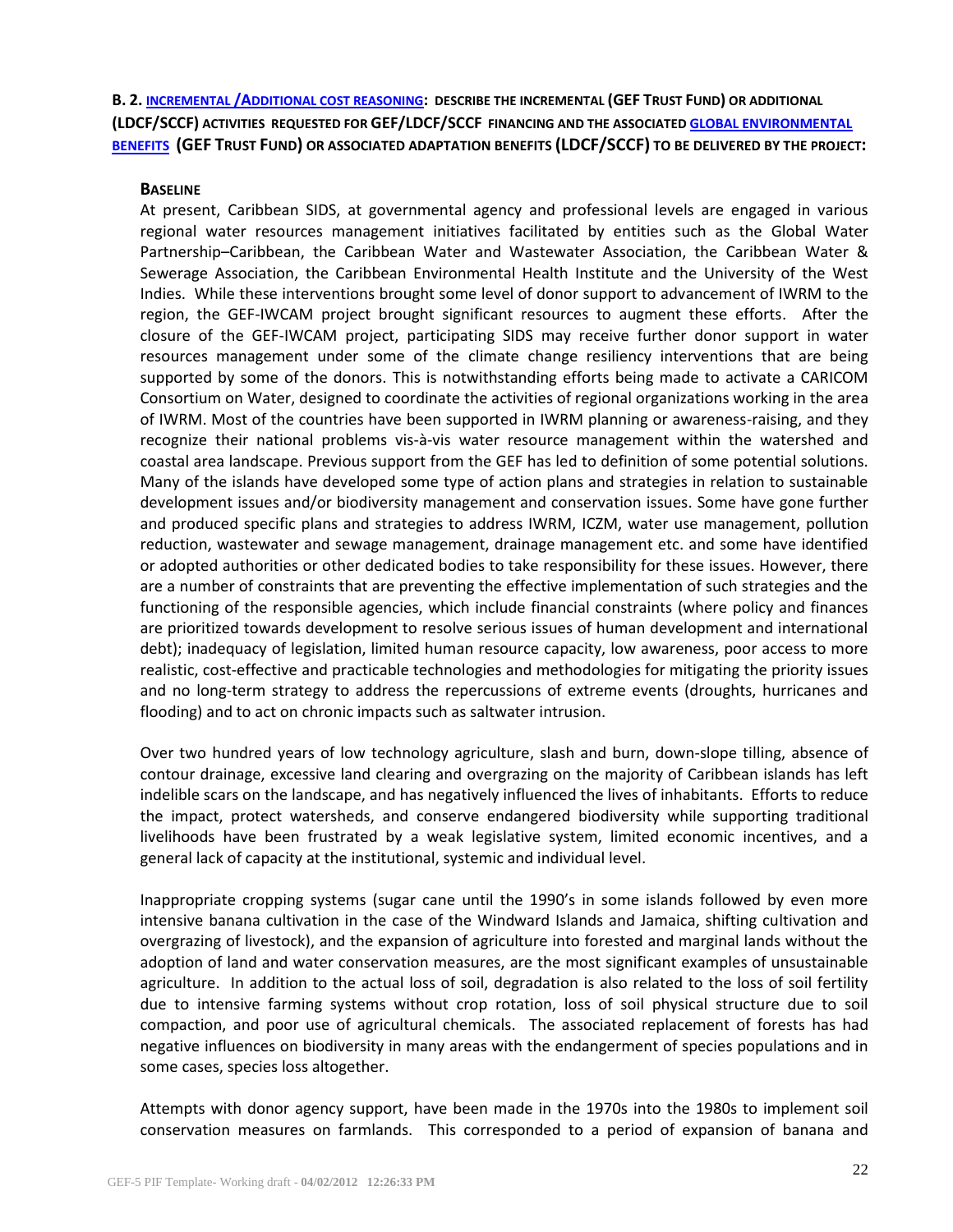**B. 2. INCREMENTAL /A[DDITIONAL COST REASONING](file:///C:/Users/ivanderbeck.UNEP/Documents/My%20Dropbox/Emails/IWCAM/Users/wb12456/Documents/C.31.12%20Executive%20Summary.pdf): DESCRIBE THE INCREMENTAL (GEF TRUST FUND) OR ADDITIONAL (LDCF/SCCF) ACTIVITIES REQUESTED FOR GEF/LDCF/SCCF FINANCING AND THE ASSOCIATED [GLOBAL ENVIRONMENTAL](http://www.thegef.org/gef/sites/thegef.org/files/documents/CPE-Global_Environmental_Benefits_Assessment_Outline.pdf) [BENEFITS](http://www.thegef.org/gef/sites/thegef.org/files/documents/CPE-Global_Environmental_Benefits_Assessment_Outline.pdf) (GEF TRUST FUND) OR ASSOCIATED ADAPTATION BENEFITS (LDCF/SCCF) TO BE DELIVERED BY THE PROJECT:** 

### **BASELINE**

At present, Caribbean SIDS, at governmental agency and professional levels are engaged in various regional water resources management initiatives facilitated by entities such as the Global Water Partnership–Caribbean, the Caribbean Water and Wastewater Association, the Caribbean Water & Sewerage Association, the Caribbean Environmental Health Institute and the University of the West Indies. While these interventions brought some level of donor support to advancement of IWRM to the region, the GEF-IWCAM project brought significant resources to augment these efforts. After the closure of the GEF-IWCAM project, participating SIDS may receive further donor support in water resources management under some of the climate change resiliency interventions that are being supported by some of the donors. This is notwithstanding efforts being made to activate a CARICOM Consortium on Water, designed to coordinate the activities of regional organizations working in the area of IWRM. Most of the countries have been supported in IWRM planning or awareness-raising, and they recognize their national problems vis-à-vis water resource management within the watershed and coastal area landscape. Previous support from the GEF has led to definition of some potential solutions. Many of the islands have developed some type of action plans and strategies in relation to sustainable development issues and/or biodiversity management and conservation issues. Some have gone further and produced specific plans and strategies to address IWRM, ICZM, water use management, pollution reduction, wastewater and sewage management, drainage management etc. and some have identified or adopted authorities or other dedicated bodies to take responsibility for these issues. However, there are a number of constraints that are preventing the effective implementation of such strategies and the functioning of the responsible agencies, which include financial constraints (where policy and finances are prioritized towards development to resolve serious issues of human development and international debt); inadequacy of legislation, limited human resource capacity, low awareness, poor access to more realistic, cost-effective and practicable technologies and methodologies for mitigating the priority issues and no long-term strategy to address the repercussions of extreme events (droughts, hurricanes and flooding) and to act on chronic impacts such as saltwater intrusion.

Over two hundred years of low technology agriculture, slash and burn, down-slope tilling, absence of contour drainage, excessive land clearing and overgrazing on the majority of Caribbean islands has left indelible scars on the landscape, and has negatively influenced the lives of inhabitants. Efforts to reduce the impact, protect watersheds, and conserve endangered biodiversity while supporting traditional livelihoods have been frustrated by a weak legislative system, limited economic incentives, and a general lack of capacity at the institutional, systemic and individual level.

Inappropriate cropping systems (sugar cane until the 1990's in some islands followed by even more intensive banana cultivation in the case of the Windward Islands and Jamaica, shifting cultivation and overgrazing of livestock), and the expansion of agriculture into forested and marginal lands without the adoption of land and water conservation measures, are the most significant examples of unsustainable agriculture. In addition to the actual loss of soil, degradation is also related to the loss of soil fertility due to intensive farming systems without crop rotation, loss of soil physical structure due to soil compaction, and poor use of agricultural chemicals. The associated replacement of forests has had negative influences on biodiversity in many areas with the endangerment of species populations and in some cases, species loss altogether.

Attempts with donor agency support, have been made in the 1970s into the 1980s to implement soil conservation measures on farmlands. This corresponded to a period of expansion of banana and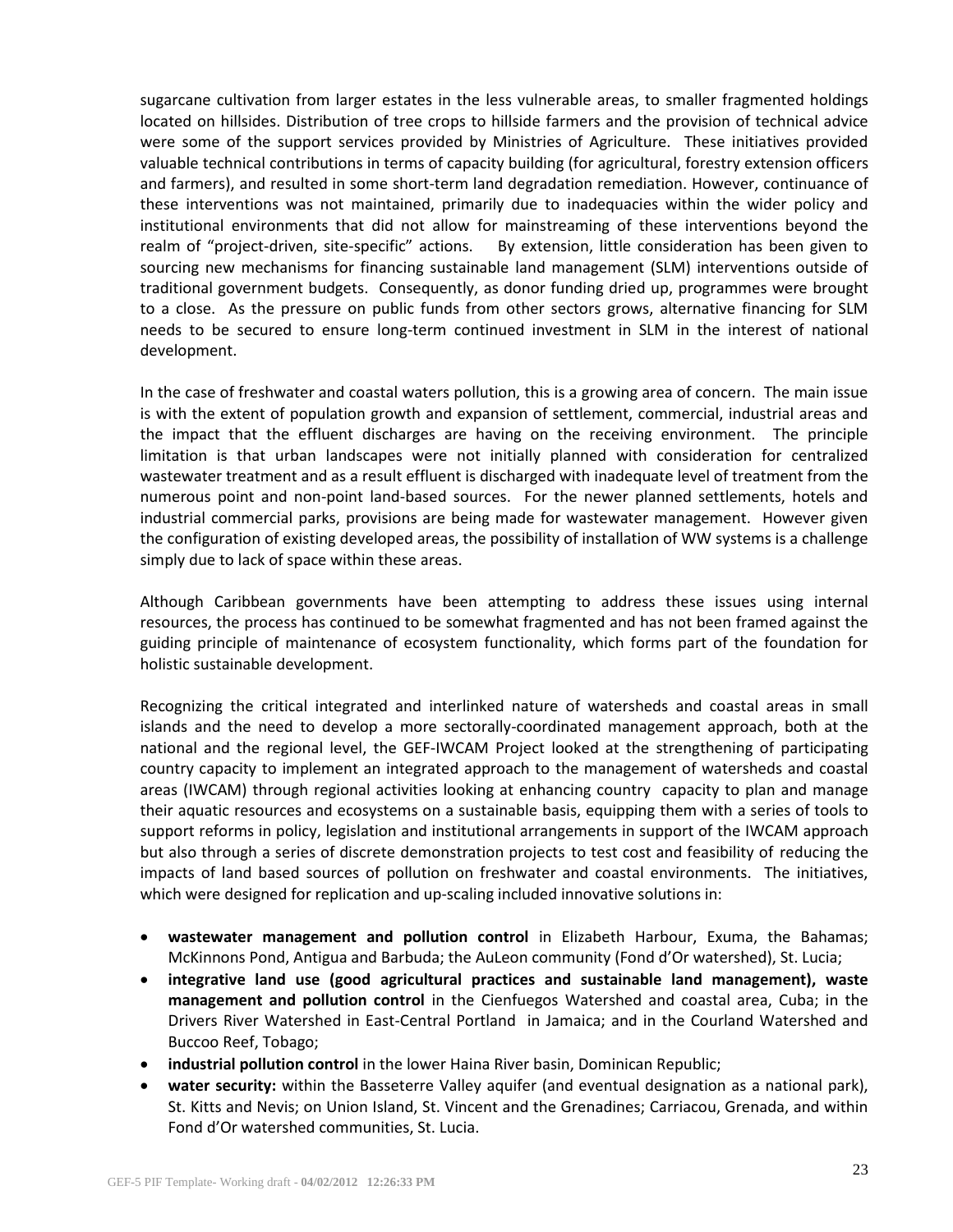sugarcane cultivation from larger estates in the less vulnerable areas, to smaller fragmented holdings located on hillsides. Distribution of tree crops to hillside farmers and the provision of technical advice were some of the support services provided by Ministries of Agriculture. These initiatives provided valuable technical contributions in terms of capacity building (for agricultural, forestry extension officers and farmers), and resulted in some short-term land degradation remediation. However, continuance of these interventions was not maintained, primarily due to inadequacies within the wider policy and institutional environments that did not allow for mainstreaming of these interventions beyond the realm of "project-driven, site-specific" actions. By extension, little consideration has been given to sourcing new mechanisms for financing sustainable land management (SLM) interventions outside of traditional government budgets. Consequently, as donor funding dried up, programmes were brought to a close. As the pressure on public funds from other sectors grows, alternative financing for SLM needs to be secured to ensure long-term continued investment in SLM in the interest of national development.

In the case of freshwater and coastal waters pollution, this is a growing area of concern. The main issue is with the extent of population growth and expansion of settlement, commercial, industrial areas and the impact that the effluent discharges are having on the receiving environment. The principle limitation is that urban landscapes were not initially planned with consideration for centralized wastewater treatment and as a result effluent is discharged with inadequate level of treatment from the numerous point and non-point land-based sources. For the newer planned settlements, hotels and industrial commercial parks, provisions are being made for wastewater management. However given the configuration of existing developed areas, the possibility of installation of WW systems is a challenge simply due to lack of space within these areas.

Although Caribbean governments have been attempting to address these issues using internal resources, the process has continued to be somewhat fragmented and has not been framed against the guiding principle of maintenance of ecosystem functionality, which forms part of the foundation for holistic sustainable development.

Recognizing the critical integrated and interlinked nature of watersheds and coastal areas in small islands and the need to develop a more sectorally-coordinated management approach, both at the national and the regional level, the GEF-IWCAM Project looked at the strengthening of participating country capacity to implement an integrated approach to the management of watersheds and coastal areas (IWCAM) through regional activities looking at enhancing country capacity to plan and manage their aquatic resources and ecosystems on a sustainable basis, equipping them with a series of tools to support reforms in policy, legislation and institutional arrangements in support of the IWCAM approach but also through a series of discrete demonstration projects to test cost and feasibility of reducing the impacts of land based sources of pollution on freshwater and coastal environments. The initiatives, which were designed for replication and up-scaling included innovative solutions in:

- **wastewater management and pollution control** in Elizabeth Harbour, Exuma, the Bahamas; McKinnons Pond, Antigua and Barbuda; the AuLeon community (Fond d'Or watershed), St. Lucia;
- **integrative land use (good agricultural practices and sustainable land management), waste management and pollution control** in the Cienfuegos Watershed and coastal area, Cuba; in the Drivers River Watershed in East-Central Portland in Jamaica; and in the Courland Watershed and Buccoo Reef, Tobago;
- **industrial pollution control** in the lower Haina River basin, Dominican Republic;
- **water security:** within the Basseterre Valley aquifer (and eventual designation as a national park), St. Kitts and Nevis; on Union Island, St. Vincent and the Grenadines; Carriacou, Grenada, and within Fond d'Or watershed communities, St. Lucia.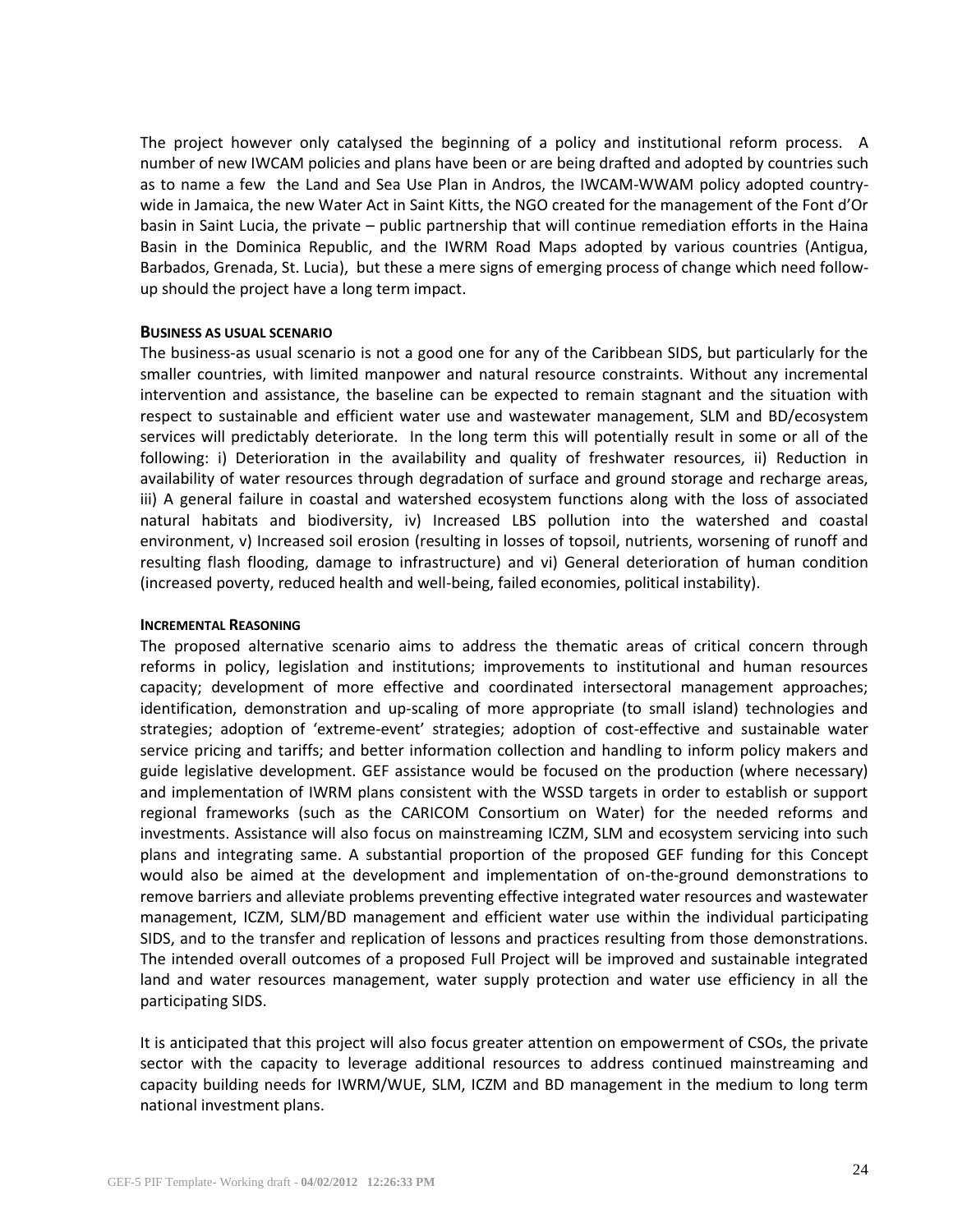The project however only catalysed the beginning of a policy and institutional reform process. A number of new IWCAM policies and plans have been or are being drafted and adopted by countries such as to name a few the Land and Sea Use Plan in Andros, the IWCAM-WWAM policy adopted countrywide in Jamaica, the new Water Act in Saint Kitts, the NGO created for the management of the Font d'Or basin in Saint Lucia, the private – public partnership that will continue remediation efforts in the Haina Basin in the Dominica Republic, and the IWRM Road Maps adopted by various countries (Antigua, Barbados, Grenada, St. Lucia), but these a mere signs of emerging process of change which need followup should the project have a long term impact.

### **BUSINESS AS USUAL SCENARIO**

The business-as usual scenario is not a good one for any of the Caribbean SIDS, but particularly for the smaller countries, with limited manpower and natural resource constraints. Without any incremental intervention and assistance, the baseline can be expected to remain stagnant and the situation with respect to sustainable and efficient water use and wastewater management, SLM and BD/ecosystem services will predictably deteriorate. In the long term this will potentially result in some or all of the following: i) Deterioration in the availability and quality of freshwater resources, ii) Reduction in availability of water resources through degradation of surface and ground storage and recharge areas, iii) A general failure in coastal and watershed ecosystem functions along with the loss of associated natural habitats and biodiversity, iv) Increased LBS pollution into the watershed and coastal environment, v) Increased soil erosion (resulting in losses of topsoil, nutrients, worsening of runoff and resulting flash flooding, damage to infrastructure) and vi) General deterioration of human condition (increased poverty, reduced health and well-being, failed economies, political instability).

#### **INCREMENTAL REASONING**

The proposed alternative scenario aims to address the thematic areas of critical concern through reforms in policy, legislation and institutions; improvements to institutional and human resources capacity; development of more effective and coordinated intersectoral management approaches; identification, demonstration and up-scaling of more appropriate (to small island) technologies and strategies; adoption of 'extreme-event' strategies; adoption of cost-effective and sustainable water service pricing and tariffs; and better information collection and handling to inform policy makers and guide legislative development. GEF assistance would be focused on the production (where necessary) and implementation of IWRM plans consistent with the WSSD targets in order to establish or support regional frameworks (such as the CARICOM Consortium on Water) for the needed reforms and investments. Assistance will also focus on mainstreaming ICZM, SLM and ecosystem servicing into such plans and integrating same. A substantial proportion of the proposed GEF funding for this Concept would also be aimed at the development and implementation of on-the-ground demonstrations to remove barriers and alleviate problems preventing effective integrated water resources and wastewater management, ICZM, SLM/BD management and efficient water use within the individual participating SIDS, and to the transfer and replication of lessons and practices resulting from those demonstrations. The intended overall outcomes of a proposed Full Project will be improved and sustainable integrated land and water resources management, water supply protection and water use efficiency in all the participating SIDS.

It is anticipated that this project will also focus greater attention on empowerment of CSOs, the private sector with the capacity to leverage additional resources to address continued mainstreaming and capacity building needs for IWRM/WUE, SLM, ICZM and BD management in the medium to long term national investment plans.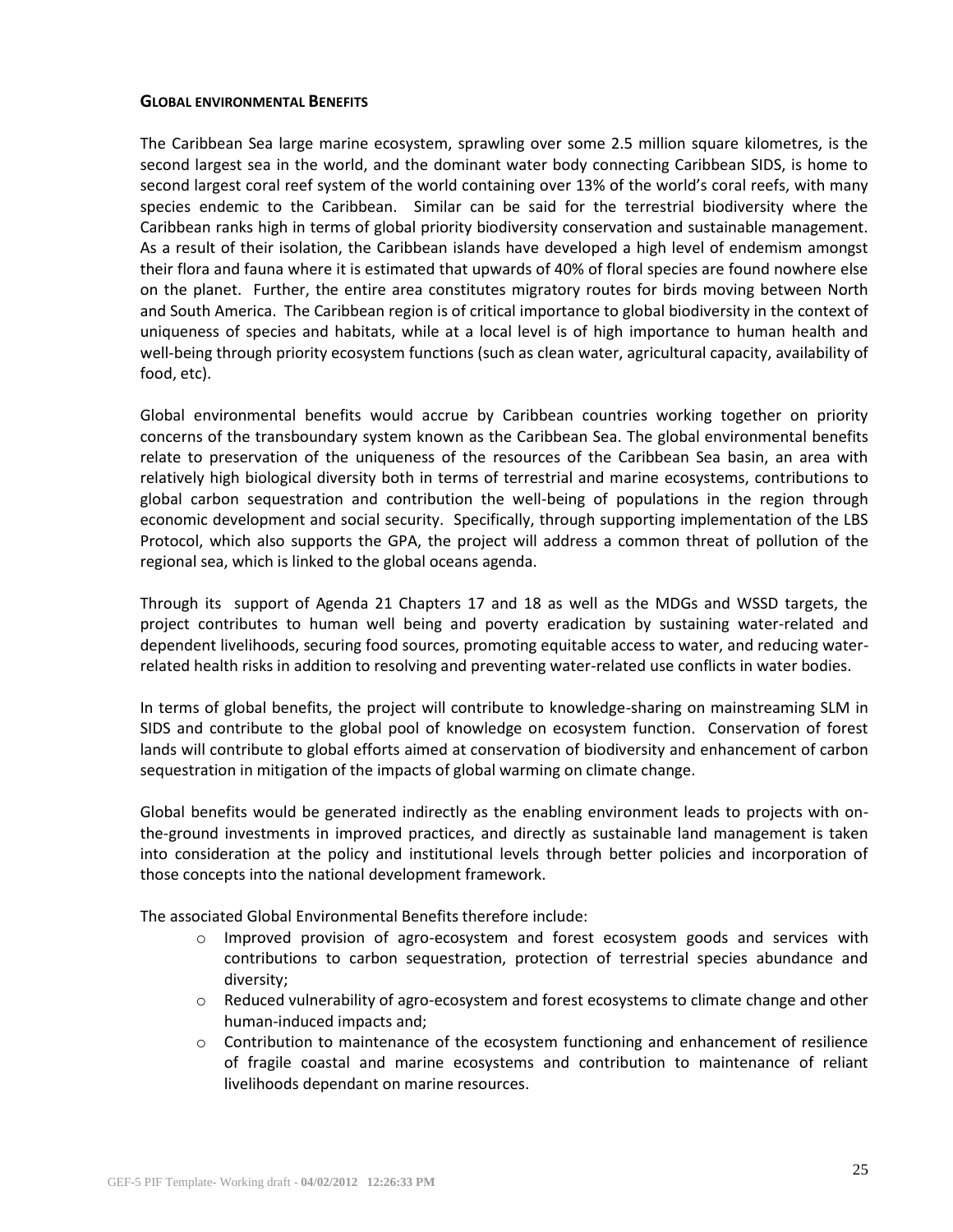### **GLOBAL ENVIRONMENTAL BENEFITS**

The Caribbean Sea large marine ecosystem, sprawling over some 2.5 million square kilometres, is the second largest sea in the world, and the dominant water body connecting Caribbean SIDS, is home to second largest coral reef system of the world containing over 13% of the world's coral reefs, with many species endemic to the Caribbean. Similar can be said for the terrestrial biodiversity where the Caribbean ranks high in terms of global priority biodiversity conservation and sustainable management. As a result of their isolation, the Caribbean islands have developed a high level of endemism amongst their flora and fauna where it is estimated that upwards of 40% of floral species are found nowhere else on the planet. Further, the entire area constitutes migratory routes for birds moving between North and South America. The Caribbean region is of critical importance to global biodiversity in the context of uniqueness of species and habitats, while at a local level is of high importance to human health and well-being through priority ecosystem functions (such as clean water, agricultural capacity, availability of food, etc).

Global environmental benefits would accrue by Caribbean countries working together on priority concerns of the transboundary system known as the Caribbean Sea. The global environmental benefits relate to preservation of the uniqueness of the resources of the Caribbean Sea basin, an area with relatively high biological diversity both in terms of terrestrial and marine ecosystems, contributions to global carbon sequestration and contribution the well-being of populations in the region through economic development and social security. Specifically, through supporting implementation of the LBS Protocol, which also supports the GPA, the project will address a common threat of pollution of the regional sea, which is linked to the global oceans agenda.

Through its support of Agenda 21 Chapters 17 and 18 as well as the MDGs and WSSD targets, the project contributes to human well being and poverty eradication by sustaining water-related and dependent livelihoods, securing food sources, promoting equitable access to water, and reducing waterrelated health risks in addition to resolving and preventing water-related use conflicts in water bodies.

In terms of global benefits, the project will contribute to knowledge-sharing on mainstreaming SLM in SIDS and contribute to the global pool of knowledge on ecosystem function. Conservation of forest lands will contribute to global efforts aimed at conservation of biodiversity and enhancement of carbon sequestration in mitigation of the impacts of global warming on climate change.

Global benefits would be generated indirectly as the enabling environment leads to projects with onthe-ground investments in improved practices, and directly as sustainable land management is taken into consideration at the policy and institutional levels through better policies and incorporation of those concepts into the national development framework.

The associated Global Environmental Benefits therefore include:

- $\circ$  Improved provision of agro-ecosystem and forest ecosystem goods and services with contributions to carbon sequestration, protection of terrestrial species abundance and diversity;
- o Reduced vulnerability of agro-ecosystem and forest ecosystems to climate change and other human-induced impacts and;
- $\circ$  Contribution to maintenance of the ecosystem functioning and enhancement of resilience of fragile coastal and marine ecosystems and contribution to maintenance of reliant livelihoods dependant on marine resources.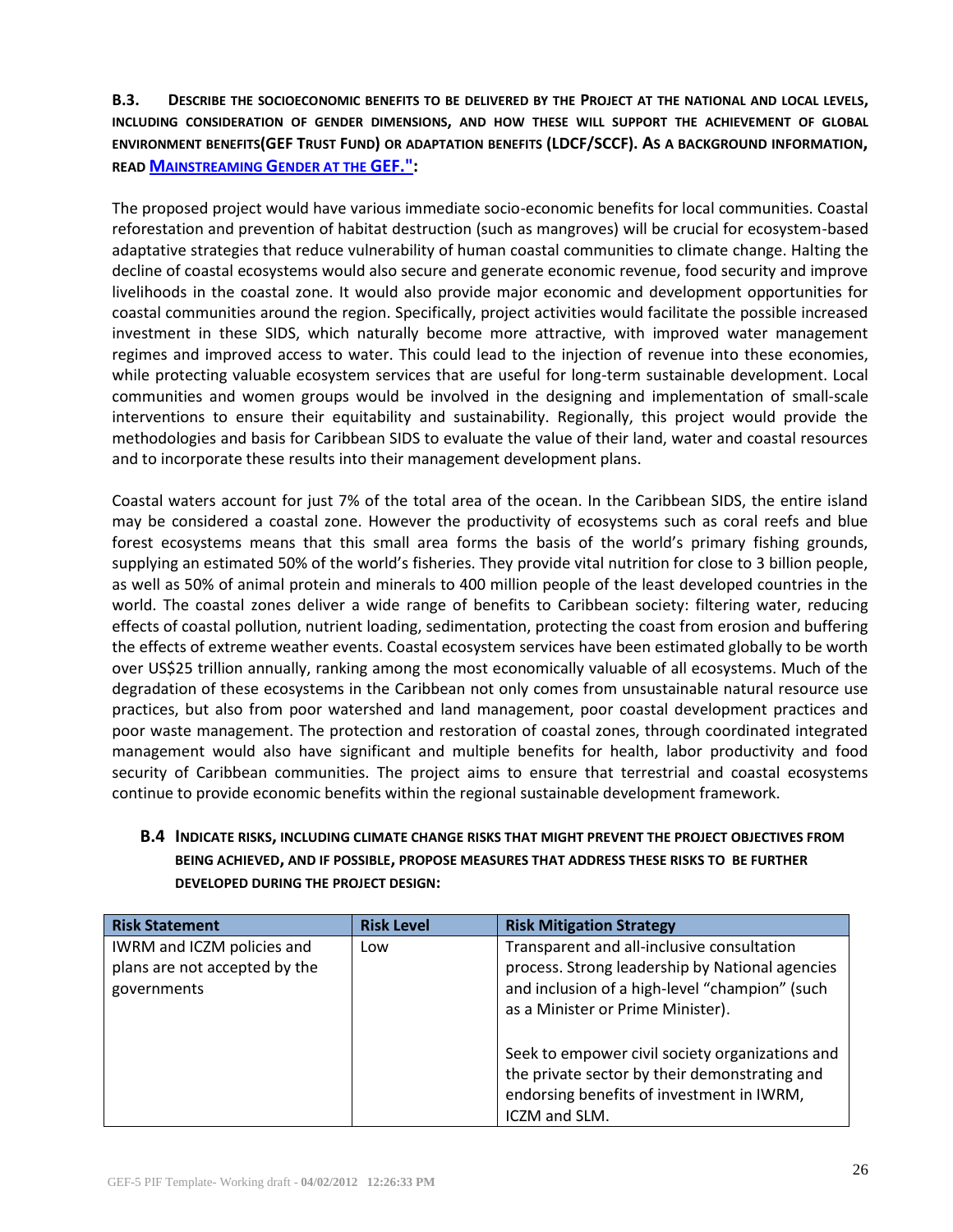**B.3. DESCRIBE THE SOCIOECONOMIC BENEFITS TO BE DELIVERED BY THE PROJECT AT THE NATIONAL AND LOCAL LEVELS, INCLUDING CONSIDERATION OF GENDER DIMENSIONS, AND HOW THESE WILL SUPPORT THE ACHIEVEMENT OF GLOBAL ENVIRONMENT BENEFITS(GEF TRUST FUND) OR ADAPTATION BENEFITS (LDCF/SCCF). AS A BACKGROUND INFORMATION, READ M[AINSTREAMING](http://www.thegef.org/gef/sites/thegef.org/files/publication/mainstreaming-gender-at-the-GEF.pdf) GENDER AT THE GEF.":**

The proposed project would have various immediate socio-economic benefits for local communities. Coastal reforestation and prevention of habitat destruction (such as mangroves) will be crucial for ecosystem-based adaptative strategies that reduce vulnerability of human coastal communities to climate change. Halting the decline of coastal ecosystems would also secure and generate economic revenue, food security and improve livelihoods in the coastal zone. It would also provide major economic and development opportunities for coastal communities around the region. Specifically, project activities would facilitate the possible increased investment in these SIDS, which naturally become more attractive, with improved water management regimes and improved access to water. This could lead to the injection of revenue into these economies, while protecting valuable ecosystem services that are useful for long-term sustainable development. Local communities and women groups would be involved in the designing and implementation of small-scale interventions to ensure their equitability and sustainability. Regionally, this project would provide the methodologies and basis for Caribbean SIDS to evaluate the value of their land, water and coastal resources and to incorporate these results into their management development plans.

Coastal waters account for just 7% of the total area of the ocean. In the Caribbean SIDS, the entire island may be considered a coastal zone. However the productivity of ecosystems such as coral reefs and blue forest ecosystems means that this small area forms the basis of the world's primary fishing grounds, supplying an estimated 50% of the world's fisheries. They provide vital nutrition for close to 3 billion people, as well as 50% of animal protein and minerals to 400 million people of the least developed countries in the world. The coastal zones deliver a wide range of benefits to Caribbean society: filtering water, reducing effects of coastal pollution, nutrient loading, sedimentation, protecting the coast from erosion and buffering the effects of extreme weather events. Coastal ecosystem services have been estimated globally to be worth over US\$25 trillion annually, ranking among the most economically valuable of all ecosystems. Much of the degradation of these ecosystems in the Caribbean not only comes from unsustainable natural resource use practices, but also from poor watershed and land management, poor coastal development practices and poor waste management. The protection and restoration of coastal zones, through coordinated integrated management would also have significant and multiple benefits for health, labor productivity and food security of Caribbean communities. The project aims to ensure that terrestrial and coastal ecosystems continue to provide economic benefits within the regional sustainable development framework.

## **B.4 INDICATE RISKS, INCLUDING CLIMATE CHANGE RISKS THAT MIGHT PREVENT THE PROJECT OBJECTIVES FROM BEING ACHIEVED, AND IF POSSIBLE, PROPOSE MEASURES THAT ADDRESS THESE RISKS TO BE FURTHER DEVELOPED DURING THE PROJECT DESIGN:**

| <b>Risk Statement</b>                                                      | <b>Risk Level</b> | <b>Risk Mitigation Strategy</b>                                                                                                                                                      |
|----------------------------------------------------------------------------|-------------------|--------------------------------------------------------------------------------------------------------------------------------------------------------------------------------------|
| IWRM and ICZM policies and<br>plans are not accepted by the<br>governments | Low               | Transparent and all-inclusive consultation<br>process. Strong leadership by National agencies<br>and inclusion of a high-level "champion" (such<br>as a Minister or Prime Minister). |
|                                                                            |                   | Seek to empower civil society organizations and<br>the private sector by their demonstrating and<br>endorsing benefits of investment in IWRM,<br>ICZM and SLM.                       |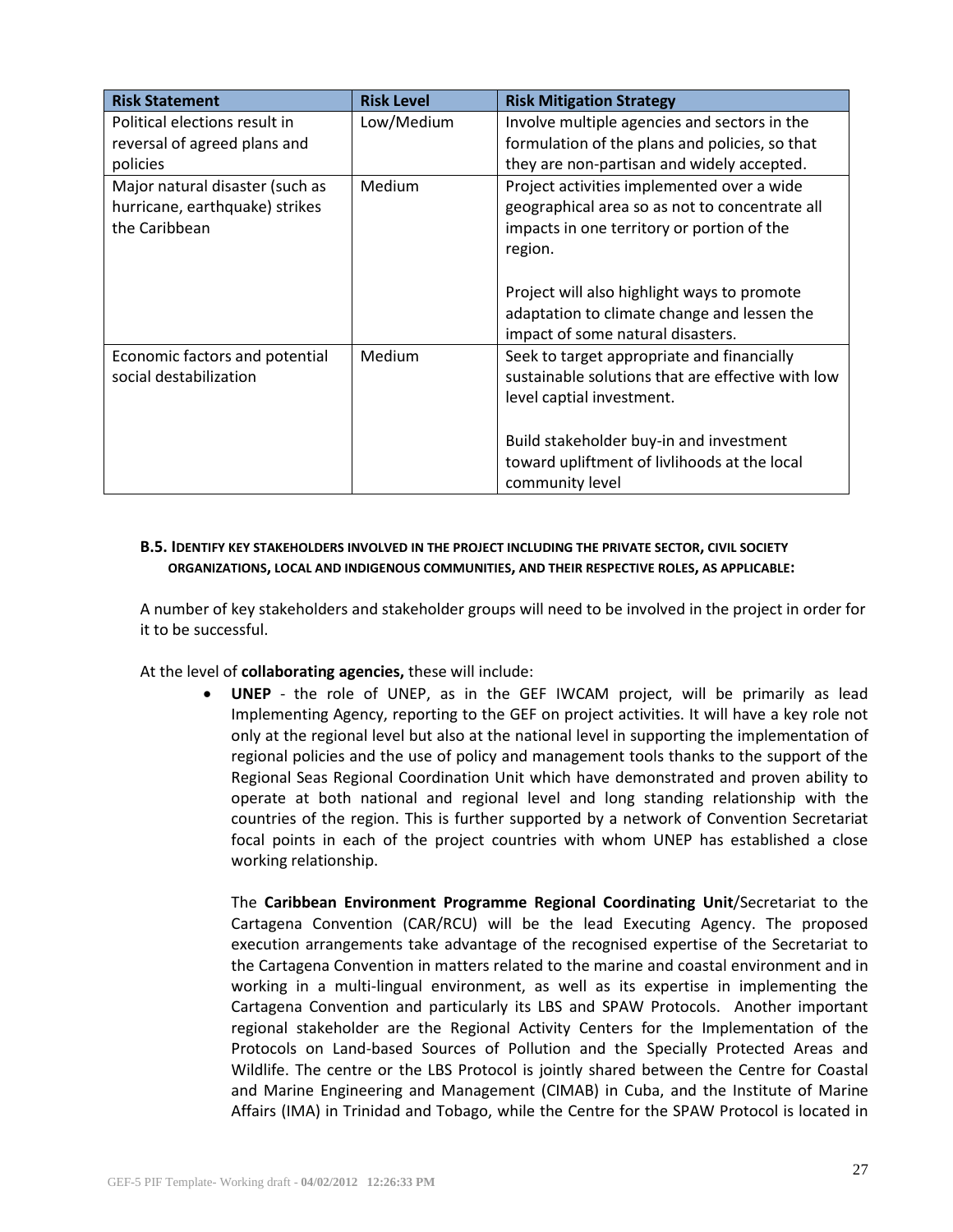| <b>Risk Statement</b>                                                              | <b>Risk Level</b> | <b>Risk Mitigation Strategy</b>                                                                                                                       |
|------------------------------------------------------------------------------------|-------------------|-------------------------------------------------------------------------------------------------------------------------------------------------------|
| Political elections result in                                                      | Low/Medium        | Involve multiple agencies and sectors in the                                                                                                          |
| reversal of agreed plans and                                                       |                   | formulation of the plans and policies, so that                                                                                                        |
| policies                                                                           |                   | they are non-partisan and widely accepted.                                                                                                            |
| Major natural disaster (such as<br>hurricane, earthquake) strikes<br>the Caribbean | Medium            | Project activities implemented over a wide<br>geographical area so as not to concentrate all<br>impacts in one territory or portion of the<br>region. |
|                                                                                    |                   | Project will also highlight ways to promote                                                                                                           |
|                                                                                    |                   | adaptation to climate change and lessen the<br>impact of some natural disasters.                                                                      |
| Economic factors and potential<br>social destabilization                           | Medium            | Seek to target appropriate and financially<br>sustainable solutions that are effective with low<br>level captial investment.                          |
|                                                                                    |                   | Build stakeholder buy-in and investment<br>toward upliftment of livlihoods at the local<br>community level                                            |

## **B.5. IDENTIFY KEY STAKEHOLDERS INVOLVED IN THE PROJECT INCLUDING THE PRIVATE SECTOR, CIVIL SOCIETY ORGANIZATIONS, LOCAL AND INDIGENOUS COMMUNITIES, AND THEIR RESPECTIVE ROLES, AS APPLICABLE:**

A number of key stakeholders and stakeholder groups will need to be involved in the project in order for it to be successful.

At the level of **collaborating agencies,** these will include:

 **UNEP** - the role of UNEP, as in the GEF IWCAM project, will be primarily as lead Implementing Agency, reporting to the GEF on project activities. It will have a key role not only at the regional level but also at the national level in supporting the implementation of regional policies and the use of policy and management tools thanks to the support of the Regional Seas Regional Coordination Unit which have demonstrated and proven ability to operate at both national and regional level and long standing relationship with the countries of the region. This is further supported by a network of Convention Secretariat focal points in each of the project countries with whom UNEP has established a close working relationship.

The **Caribbean Environment Programme Regional Coordinating Unit**/Secretariat to the Cartagena Convention (CAR/RCU) will be the lead Executing Agency. The proposed execution arrangements take advantage of the recognised expertise of the Secretariat to the Cartagena Convention in matters related to the marine and coastal environment and in working in a multi-lingual environment, as well as its expertise in implementing the Cartagena Convention and particularly its LBS and SPAW Protocols. Another important regional stakeholder are the Regional Activity Centers for the Implementation of the Protocols on Land-based Sources of Pollution and the Specially Protected Areas and Wildlife. The centre or the LBS Protocol is jointly shared between the Centre for Coastal and Marine Engineering and Management (CIMAB) in Cuba, and the Institute of Marine Affairs (IMA) in Trinidad and Tobago, while the Centre for the SPAW Protocol is located in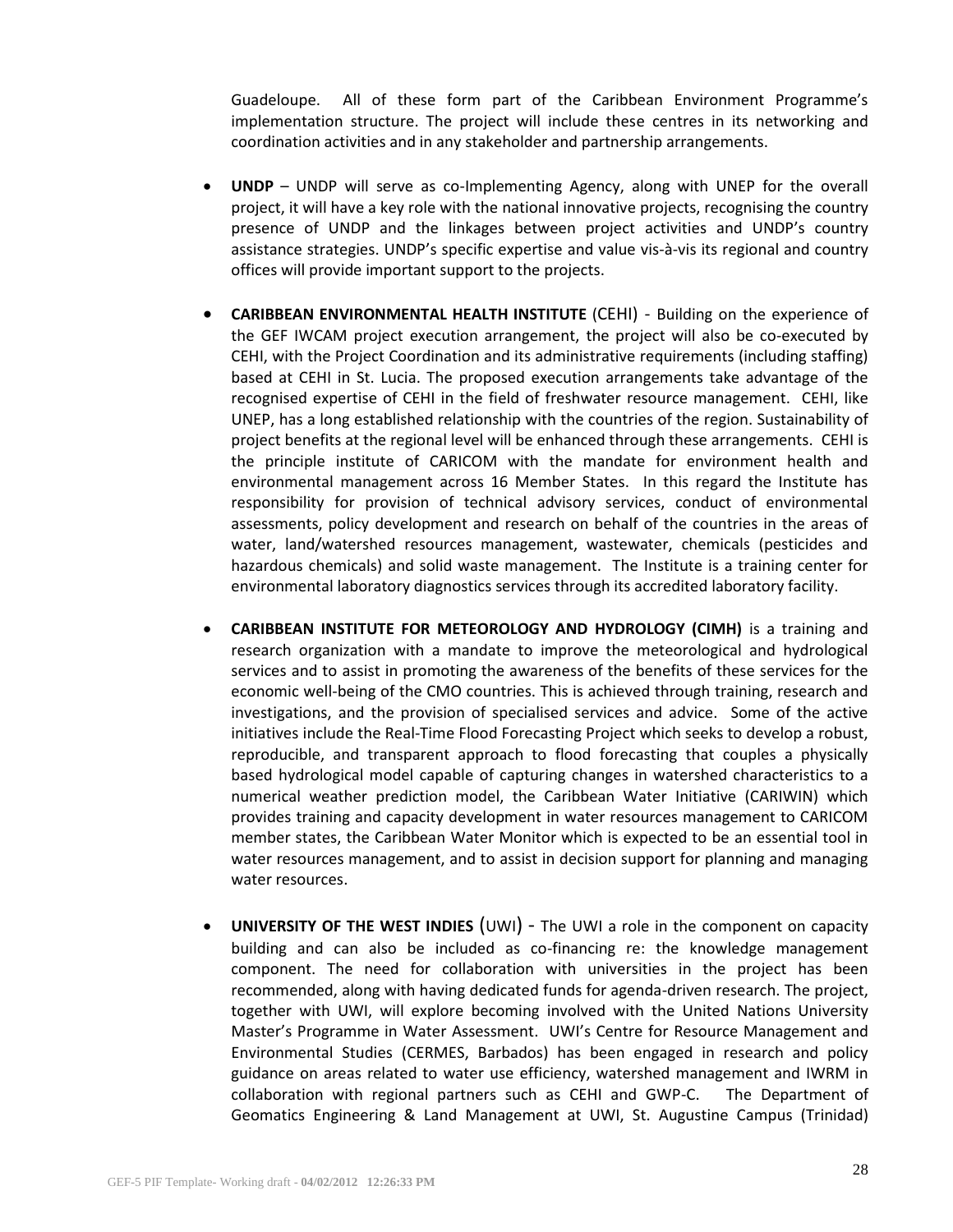Guadeloupe. All of these form part of the Caribbean Environment Programme's implementation structure. The project will include these centres in its networking and coordination activities and in any stakeholder and partnership arrangements.

- **UNDP** UNDP will serve as co-Implementing Agency, along with UNEP for the overall project, it will have a key role with the national innovative projects, recognising the country presence of UNDP and the linkages between project activities and UNDP's country assistance strategies. UNDP's specific expertise and value vis-à-vis its regional and country offices will provide important support to the projects.
- **CARIBBEAN ENVIRONMENTAL HEALTH INSTITUTE** (CEHI) Building on the experience of the GEF IWCAM project execution arrangement, the project will also be co-executed by CEHI, with the Project Coordination and its administrative requirements (including staffing) based at CEHI in St. Lucia. The proposed execution arrangements take advantage of the recognised expertise of CEHI in the field of freshwater resource management. CEHI, like UNEP, has a long established relationship with the countries of the region. Sustainability of project benefits at the regional level will be enhanced through these arrangements. CEHI is the principle institute of CARICOM with the mandate for environment health and environmental management across 16 Member States. In this regard the Institute has responsibility for provision of technical advisory services, conduct of environmental assessments, policy development and research on behalf of the countries in the areas of water, land/watershed resources management, wastewater, chemicals (pesticides and hazardous chemicals) and solid waste management. The Institute is a training center for environmental laboratory diagnostics services through its accredited laboratory facility.
- **CARIBBEAN INSTITUTE FOR METEOROLOGY AND HYDROLOGY (CIMH)** is a training and research organization with a mandate to improve the meteorological and hydrological services and to assist in promoting the awareness of the benefits of these services for the economic well-being of the CMO countries. This is achieved through training, research and investigations, and the provision of specialised services and advice. Some of the active initiatives include the Real-Time Flood Forecasting Project which seeks to develop a robust, reproducible, and transparent approach to flood forecasting that couples a physically based hydrological model capable of capturing changes in watershed characteristics to a numerical weather prediction model, the Caribbean Water Initiative (CARIWIN) which provides training and capacity development in water resources management to CARICOM member states, the Caribbean Water Monitor which is expected to be an essential tool in water resources management, and to assist in decision support for planning and managing water resources.
- **UNIVERSITY OF THE WEST INDIES** (UWI) The UWI a role in the component on capacity building and can also be included as co-financing re: the knowledge management component. The need for collaboration with universities in the project has been recommended, along with having dedicated funds for agenda-driven research. The project, together with UWI, will explore becoming involved with the United Nations University Master's Programme in Water Assessment. UWI's Centre for Resource Management and Environmental Studies (CERMES, Barbados) has been engaged in research and policy guidance on areas related to water use efficiency, watershed management and IWRM in collaboration with regional partners such as CEHI and GWP-C. The Department of Geomatics Engineering & Land Management at UWI, St. Augustine Campus (Trinidad)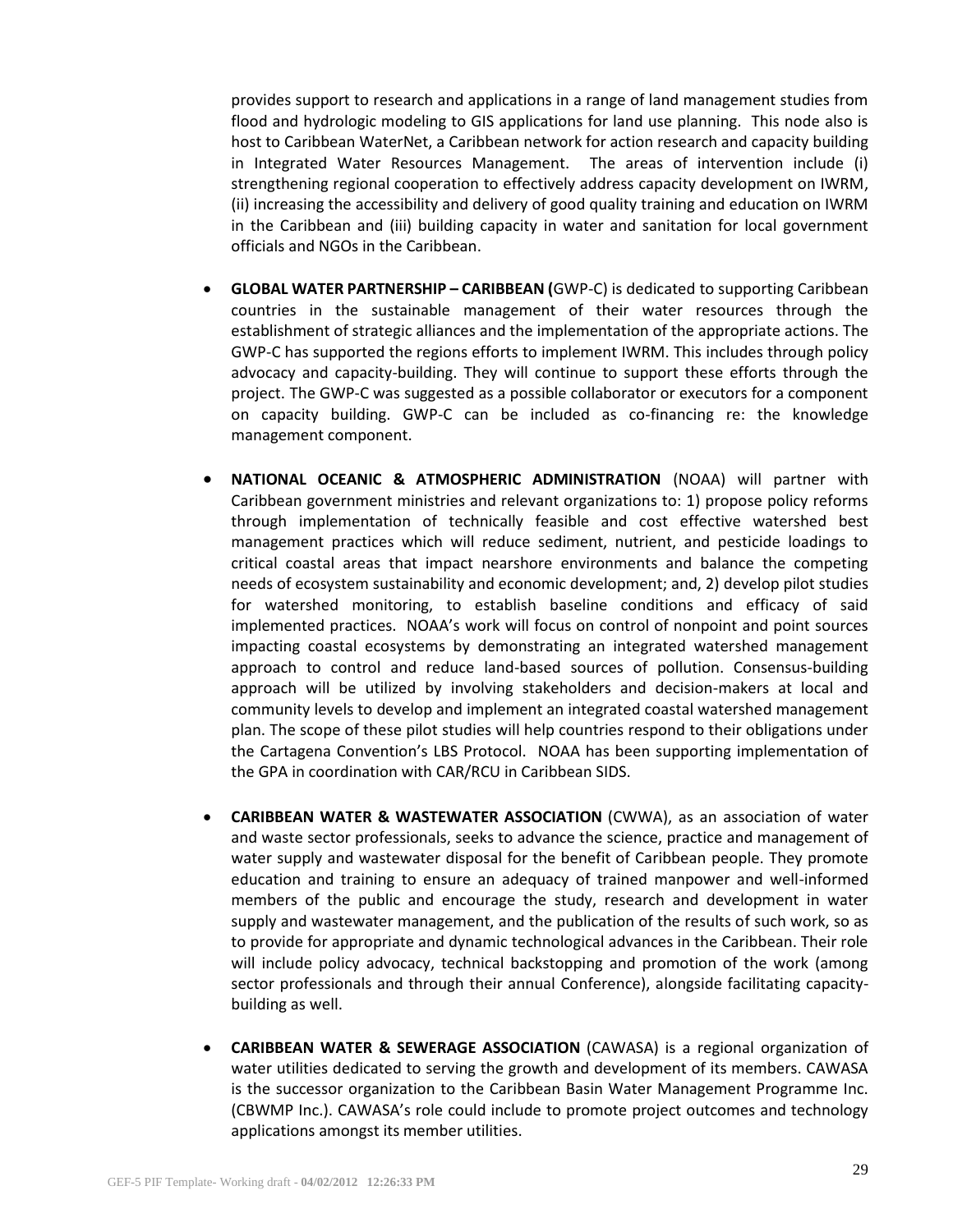provides support to research and applications in a range of land management studies from flood and hydrologic modeling to GIS applications for land use planning. This node also is host to Caribbean WaterNet, a Caribbean network for action research and capacity building in Integrated Water Resources Management. The areas of intervention include (i) strengthening regional cooperation to effectively address capacity development on IWRM, (ii) increasing the accessibility and delivery of good quality training and education on IWRM in the Caribbean and (iii) building capacity in water and sanitation for local government officials and NGOs in the Caribbean.

- **GLOBAL WATER PARTNERSHIP – CARIBBEAN (**GWP-C) is dedicated to supporting Caribbean countries in the sustainable management of their water resources through the establishment of strategic alliances and the implementation of the appropriate actions. The GWP-C has supported the regions efforts to implement IWRM. This includes through policy advocacy and capacity-building. They will continue to support these efforts through the project. The GWP-C was suggested as a possible collaborator or executors for a component on capacity building. GWP-C can be included as co-financing re: the knowledge management component.
- **NATIONAL OCEANIC & ATMOSPHERIC ADMINISTRATION** (NOAA) will partner with Caribbean government ministries and relevant organizations to: 1) propose policy reforms through implementation of technically feasible and cost effective watershed best management practices which will reduce sediment, nutrient, and pesticide loadings to critical coastal areas that impact nearshore environments and balance the competing needs of ecosystem sustainability and economic development; and, 2) develop pilot studies for watershed monitoring, to establish baseline conditions and efficacy of said implemented practices. NOAA's work will focus on control of nonpoint and point sources impacting coastal ecosystems by demonstrating an integrated watershed management approach to control and reduce land-based sources of pollution. Consensus-building approach will be utilized by involving stakeholders and decision-makers at local and community levels to develop and implement an integrated coastal watershed management plan. The scope of these pilot studies will help countries respond to their obligations under the Cartagena Convention's LBS Protocol. NOAA has been supporting implementation of the GPA in coordination with CAR/RCU in Caribbean SIDS.
- **CARIBBEAN WATER & WASTEWATER ASSOCIATION** (CWWA), as an association of water and waste sector professionals, seeks to advance the science, practice and management of water supply and wastewater disposal for the benefit of Caribbean people. They promote education and training to ensure an adequacy of trained manpower and well-informed members of the public and encourage the study, research and development in water supply and wastewater management, and the publication of the results of such work, so as to provide for appropriate and dynamic technological advances in the Caribbean. Their role will include policy advocacy, technical backstopping and promotion of the work (among sector professionals and through their annual Conference), alongside facilitating capacitybuilding as well.
- **CARIBBEAN WATER & SEWERAGE ASSOCIATION** (CAWASA) is a regional organization of water utilities dedicated to serving the growth and development of its members. CAWASA is the successor organization to the Caribbean Basin Water Management Programme Inc. (CBWMP Inc.). CAWASA's role could include to promote project outcomes and technology applications amongst its member utilities.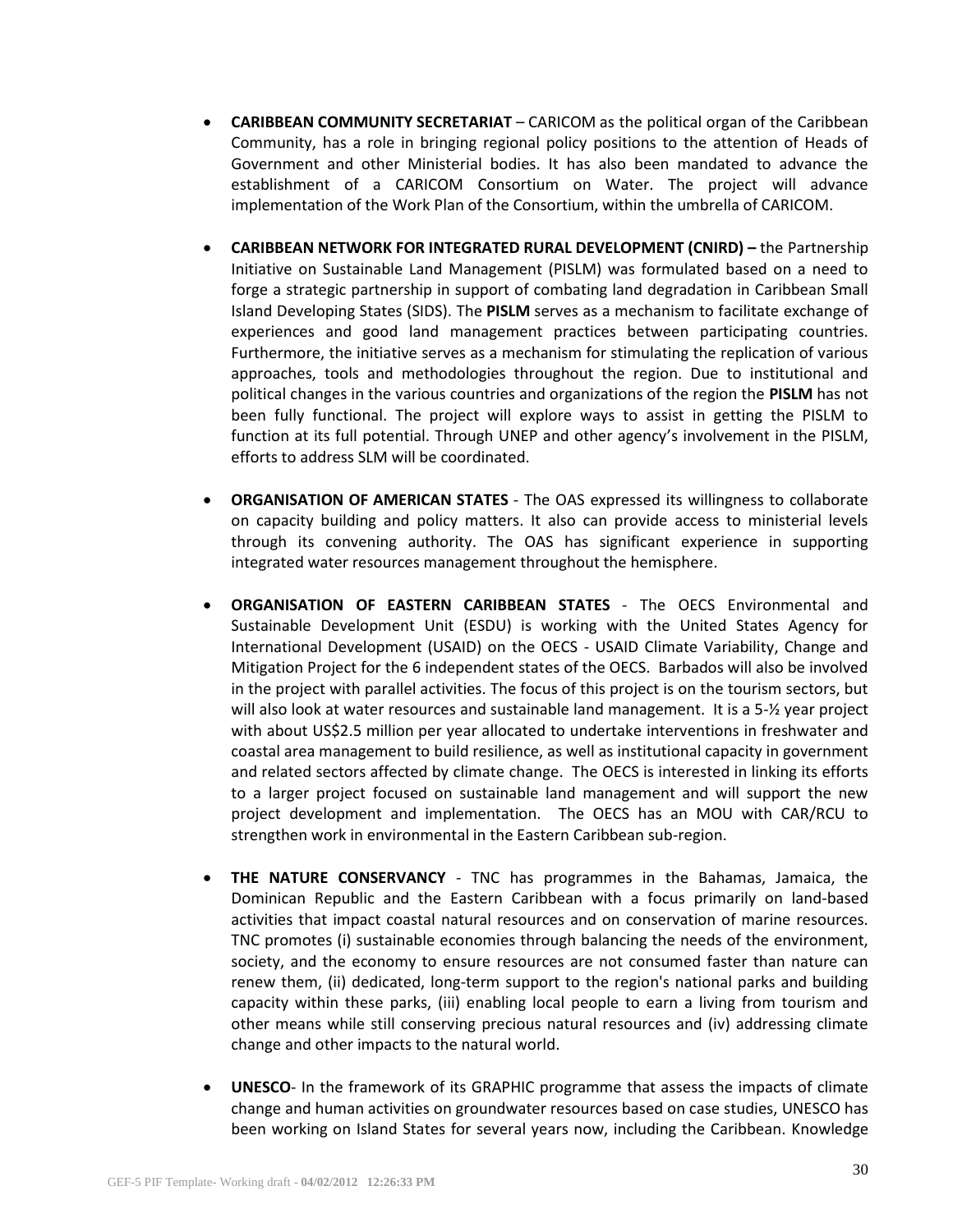- **CARIBBEAN COMMUNITY SECRETARIAT** CARICOM as the political organ of the Caribbean Community, has a role in bringing regional policy positions to the attention of Heads of Government and other Ministerial bodies. It has also been mandated to advance the establishment of a CARICOM Consortium on Water. The project will advance implementation of the Work Plan of the Consortium, within the umbrella of CARICOM.
- **CARIBBEAN NETWORK FOR INTEGRATED RURAL DEVELOPMENT (CNIRD) –** the Partnership Initiative on Sustainable Land Management (PISLM) was formulated based on a need to forge a strategic partnership in support of combating land degradation in Caribbean Small Island Developing States (SIDS). The **PISLM** serves as a mechanism to facilitate exchange of experiences and good land management practices between participating countries. Furthermore, the initiative serves as a mechanism for stimulating the replication of various approaches, tools and methodologies throughout the region. Due to institutional and political changes in the various countries and organizations of the region the **PISLM** has not been fully functional. The project will explore ways to assist in getting the PISLM to function at its full potential. Through UNEP and other agency's involvement in the PISLM, efforts to address SLM will be coordinated.
- **ORGANISATION OF AMERICAN STATES** The OAS expressed its willingness to collaborate on capacity building and policy matters. It also can provide access to ministerial levels through its convening authority. The OAS has significant experience in supporting integrated water resources management throughout the hemisphere.
- **ORGANISATION OF EASTERN CARIBBEAN STATES** The OECS Environmental and Sustainable Development Unit (ESDU) is working with the United States Agency for International Development (USAID) on the OECS - USAID Climate Variability, Change and Mitigation Project for the 6 independent states of the OECS. Barbados will also be involved in the project with parallel activities. The focus of this project is on the tourism sectors, but will also look at water resources and sustainable land management. It is a 5-½ year project with about US\$2.5 million per year allocated to undertake interventions in freshwater and coastal area management to build resilience, as well as institutional capacity in government and related sectors affected by climate change. The OECS is interested in linking its efforts to a larger project focused on sustainable land management and will support the new project development and implementation. The OECS has an MOU with CAR/RCU to strengthen work in environmental in the Eastern Caribbean sub-region.
- **THE NATURE CONSERVANCY** TNC has programmes in the Bahamas, Jamaica, the Dominican Republic and the Eastern Caribbean with a focus primarily on land-based activities that impact coastal natural resources and on conservation of marine resources. TNC promotes (i) sustainable economies through balancing the needs of the environment, society, and the economy to ensure resources are not consumed faster than nature can renew them, (ii) dedicated, long-term support to the region's national parks and building capacity within these parks, (iii) enabling local people to earn a living from tourism and other means while still conserving precious natural resources and (iv) addressing climate change and other impacts to the natural world.
- **UNESCO** In the framework of its GRAPHIC programme that assess the impacts of climate change and human activities on groundwater resources based on case studies, UNESCO has been working on Island States for several years now, including the Caribbean. Knowledge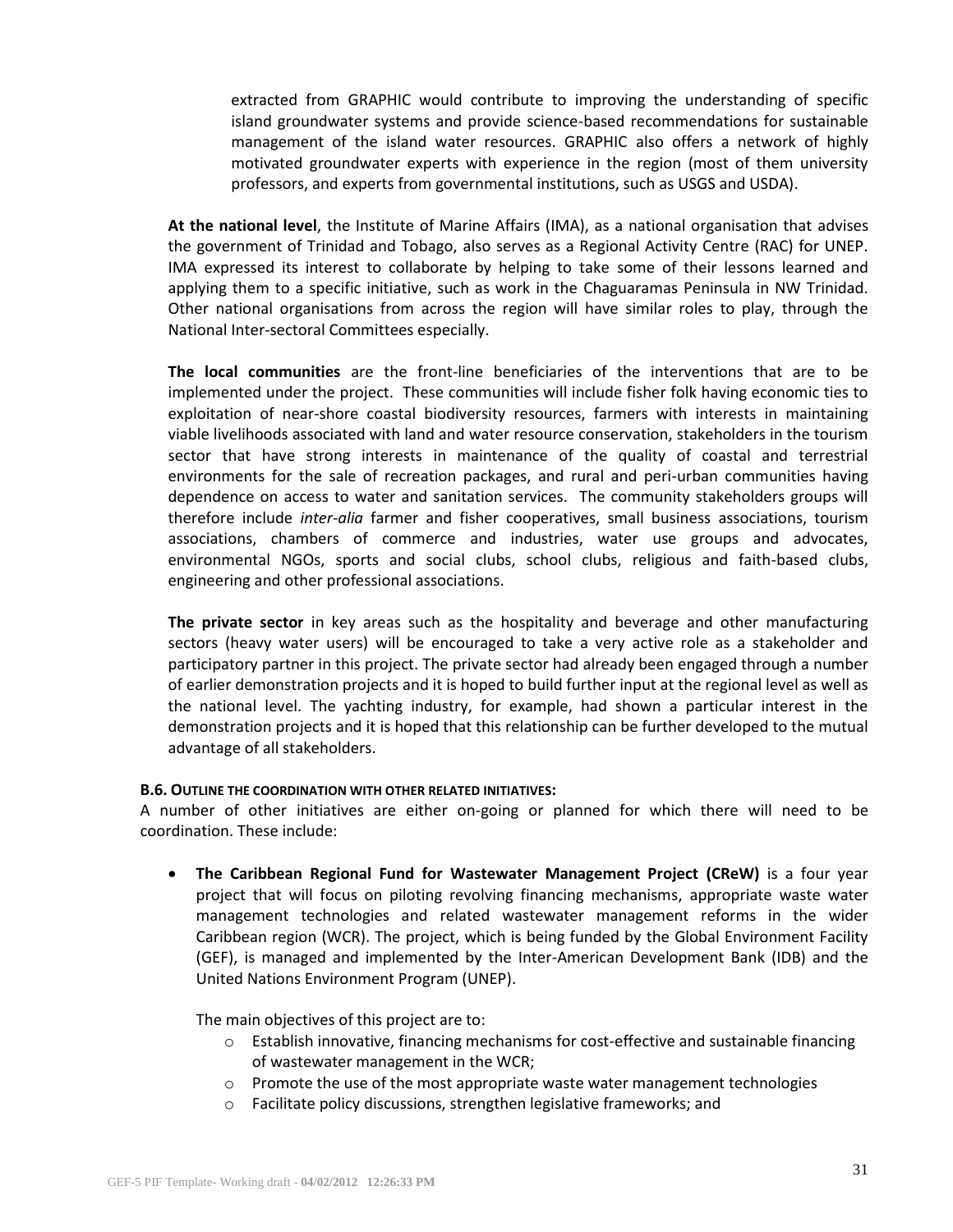extracted from GRAPHIC would contribute to improving the understanding of specific island groundwater systems and provide science-based recommendations for sustainable management of the island water resources. GRAPHIC also offers a network of highly motivated groundwater experts with experience in the region (most of them university professors, and experts from governmental institutions, such as USGS and USDA).

**At the national level**, the Institute of Marine Affairs (IMA), as a national organisation that advises the government of Trinidad and Tobago, also serves as a Regional Activity Centre (RAC) for UNEP. IMA expressed its interest to collaborate by helping to take some of their lessons learned and applying them to a specific initiative, such as work in the Chaguaramas Peninsula in NW Trinidad. Other national organisations from across the region will have similar roles to play, through the National Inter-sectoral Committees especially.

**The local communities** are the front-line beneficiaries of the interventions that are to be implemented under the project. These communities will include fisher folk having economic ties to exploitation of near-shore coastal biodiversity resources, farmers with interests in maintaining viable livelihoods associated with land and water resource conservation, stakeholders in the tourism sector that have strong interests in maintenance of the quality of coastal and terrestrial environments for the sale of recreation packages, and rural and peri-urban communities having dependence on access to water and sanitation services. The community stakeholders groups will therefore include *inter-alia* farmer and fisher cooperatives, small business associations, tourism associations, chambers of commerce and industries, water use groups and advocates, environmental NGOs, sports and social clubs, school clubs, religious and faith-based clubs, engineering and other professional associations.

**The private sector** in key areas such as the hospitality and beverage and other manufacturing sectors (heavy water users) will be encouraged to take a very active role as a stakeholder and participatory partner in this project. The private sector had already been engaged through a number of earlier demonstration projects and it is hoped to build further input at the regional level as well as the national level. The yachting industry, for example, had shown a particular interest in the demonstration projects and it is hoped that this relationship can be further developed to the mutual advantage of all stakeholders.

### **B.6. OUTLINE THE COORDINATION WITH OTHER RELATED INITIATIVES:**

A number of other initiatives are either on-going or planned for which there will need to be coordination. These include:

 **The Caribbean Regional Fund for Wastewater Management Project (CReW)** is a four year project that will focus on piloting revolving financing mechanisms, appropriate waste water management technologies and related wastewater management reforms in the wider Caribbean region (WCR). The project, which is being funded by the Global Environment Facility (GEF), is managed and implemented by the Inter-American Development Bank (IDB) and the United Nations Environment Program (UNEP).

The main objectives of this project are to:

- o Establish innovative, financing mechanisms for cost-effective and sustainable financing of wastewater management in the WCR;
- $\circ$  Promote the use of the most appropriate waste water management technologies
- o Facilitate policy discussions, strengthen legislative frameworks; and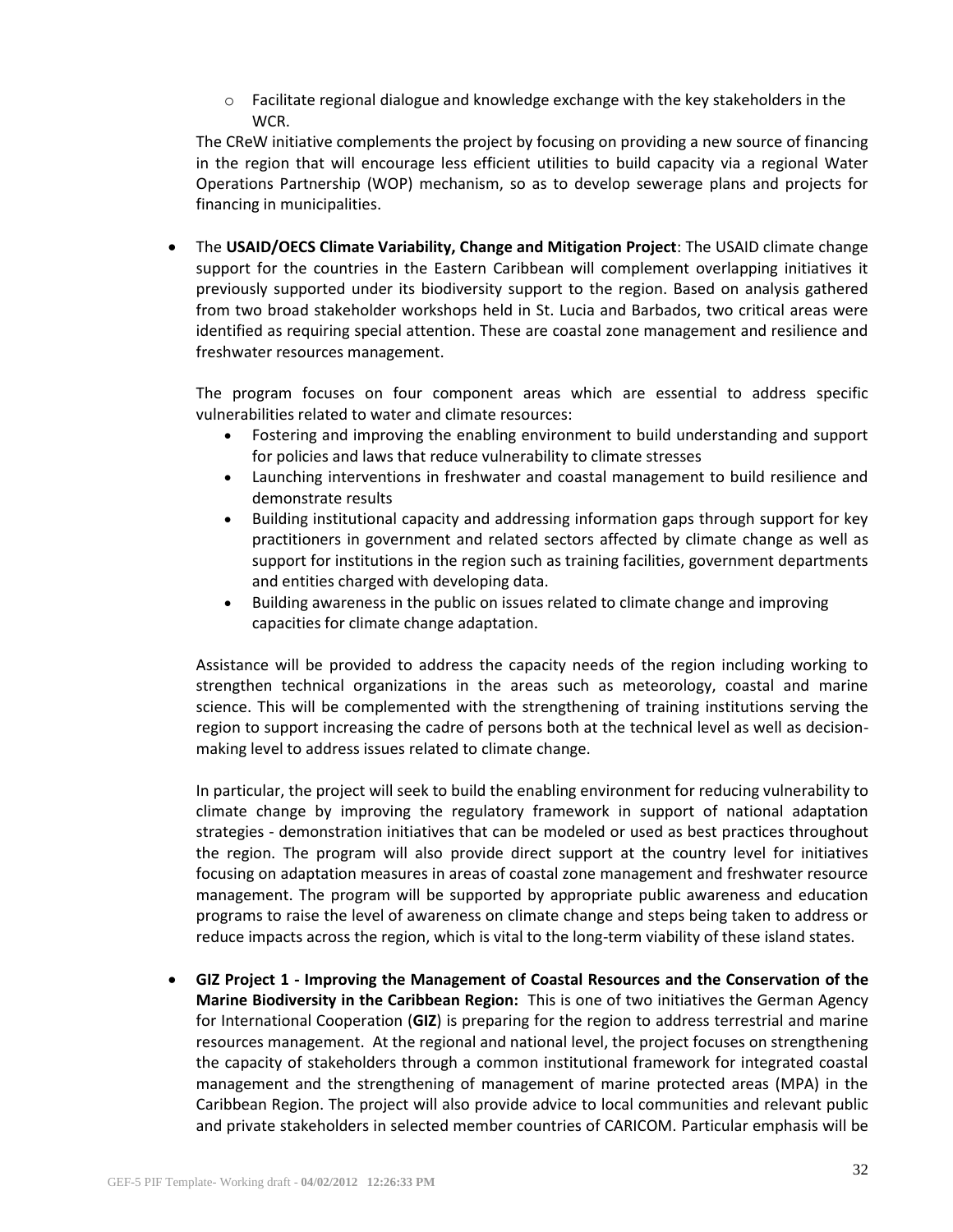$\circ$  Facilitate regional dialogue and knowledge exchange with the key stakeholders in the WCR.

The CReW initiative complements the project by focusing on providing a new source of financing in the region that will encourage less efficient utilities to build capacity via a regional Water Operations Partnership (WOP) mechanism, so as to develop sewerage plans and projects for financing in municipalities.

 The **USAID/OECS Climate Variability, Change and Mitigation Project**: The USAID climate change support for the countries in the Eastern Caribbean will complement overlapping initiatives it previously supported under its biodiversity support to the region. Based on analysis gathered from two broad stakeholder workshops held in St. Lucia and Barbados, two critical areas were identified as requiring special attention. These are coastal zone management and resilience and freshwater resources management.

The program focuses on four component areas which are essential to address specific vulnerabilities related to water and climate resources:

- Fostering and improving the enabling environment to build understanding and support for policies and laws that reduce vulnerability to climate stresses
- Launching interventions in freshwater and coastal management to build resilience and demonstrate results
- Building institutional capacity and addressing information gaps through support for key practitioners in government and related sectors affected by climate change as well as support for institutions in the region such as training facilities, government departments and entities charged with developing data.
- Building awareness in the public on issues related to climate change and improving capacities for climate change adaptation.

Assistance will be provided to address the capacity needs of the region including working to strengthen technical organizations in the areas such as meteorology, coastal and marine science. This will be complemented with the strengthening of training institutions serving the region to support increasing the cadre of persons both at the technical level as well as decisionmaking level to address issues related to climate change.

In particular, the project will seek to build the enabling environment for reducing vulnerability to climate change by improving the regulatory framework in support of national adaptation strategies - demonstration initiatives that can be modeled or used as best practices throughout the region. The program will also provide direct support at the country level for initiatives focusing on adaptation measures in areas of coastal zone management and freshwater resource management. The program will be supported by appropriate public awareness and education programs to raise the level of awareness on climate change and steps being taken to address or reduce impacts across the region, which is vital to the long-term viability of these island states.

 **GIZ Project 1 - Improving the Management of Coastal Resources and the Conservation of the Marine Biodiversity in the Caribbean Region:** This is one of two initiatives the German Agency for International Cooperation (**GIZ**) is preparing for the region to address terrestrial and marine resources management. At the regional and national level, the project focuses on strengthening the capacity of stakeholders through a common institutional framework for integrated coastal management and the strengthening of management of marine protected areas (MPA) in the Caribbean Region. The project will also provide advice to local communities and relevant public and private stakeholders in selected member countries of CARICOM. Particular emphasis will be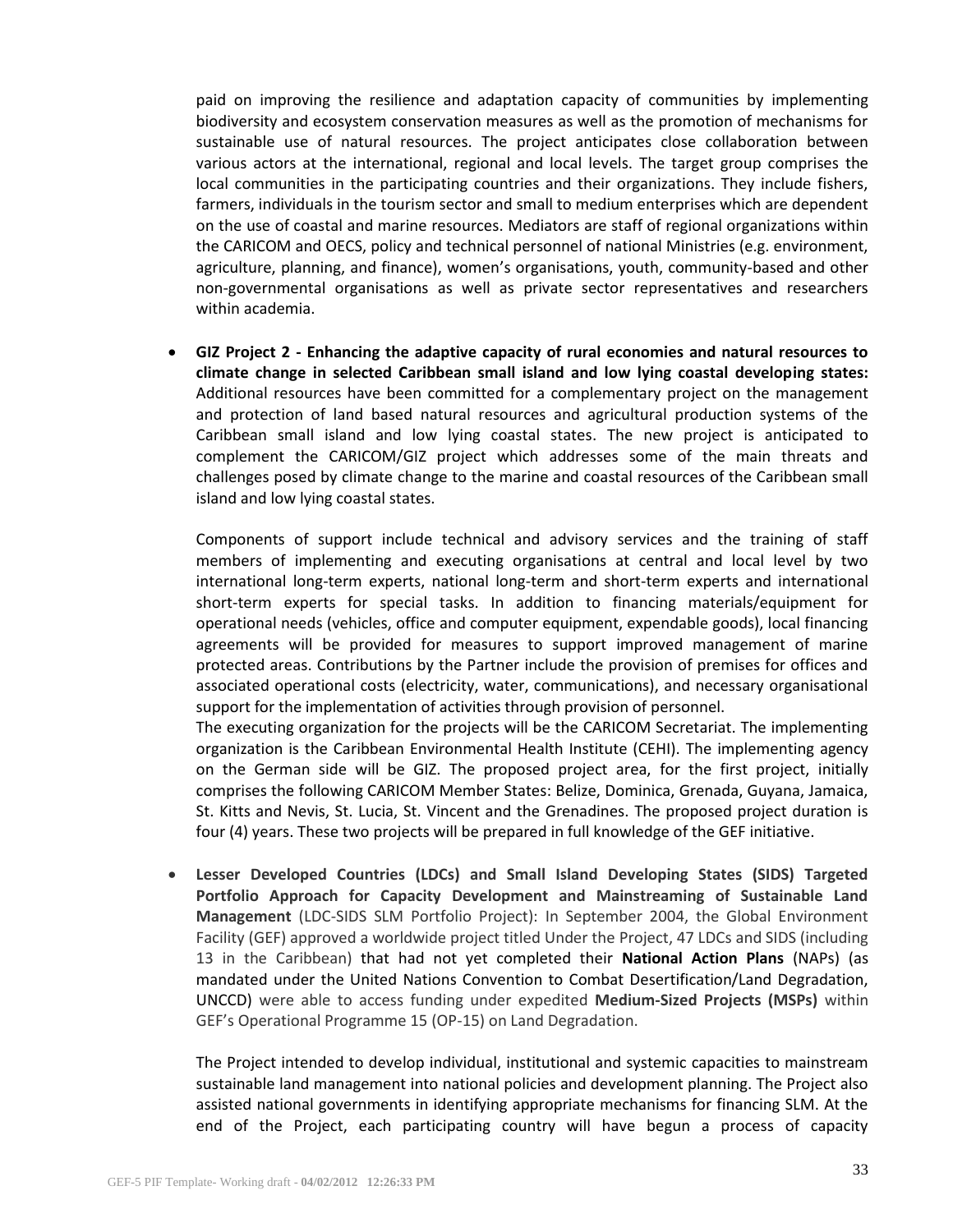paid on improving the resilience and adaptation capacity of communities by implementing biodiversity and ecosystem conservation measures as well as the promotion of mechanisms for sustainable use of natural resources. The project anticipates close collaboration between various actors at the international, regional and local levels. The target group comprises the local communities in the participating countries and their organizations. They include fishers, farmers, individuals in the tourism sector and small to medium enterprises which are dependent on the use of coastal and marine resources. Mediators are staff of regional organizations within the CARICOM and OECS, policy and technical personnel of national Ministries (e.g. environment, agriculture, planning, and finance), women's organisations, youth, community-based and other non-governmental organisations as well as private sector representatives and researchers within academia.

 **GIZ Project 2 - Enhancing the adaptive capacity of rural economies and natural resources to climate change in selected Caribbean small island and low lying coastal developing states:** Additional resources have been committed for a complementary project on the management and protection of land based natural resources and agricultural production systems of the Caribbean small island and low lying coastal states. The new project is anticipated to complement the CARICOM/GIZ project which addresses some of the main threats and challenges posed by climate change to the marine and coastal resources of the Caribbean small island and low lying coastal states.

Components of support include technical and advisory services and the training of staff members of implementing and executing organisations at central and local level by two international long-term experts, national long-term and short-term experts and international short-term experts for special tasks. In addition to financing materials/equipment for operational needs (vehicles, office and computer equipment, expendable goods), local financing agreements will be provided for measures to support improved management of marine protected areas. Contributions by the Partner include the provision of premises for offices and associated operational costs (electricity, water, communications), and necessary organisational support for the implementation of activities through provision of personnel.

The executing organization for the projects will be the CARICOM Secretariat. The implementing organization is the Caribbean Environmental Health Institute (CEHI). The implementing agency on the German side will be GIZ. The proposed project area, for the first project, initially comprises the following CARICOM Member States: Belize, Dominica, Grenada, Guyana, Jamaica, St. Kitts and Nevis, St. Lucia, St. Vincent and the Grenadines. The proposed project duration is four (4) years. These two projects will be prepared in full knowledge of the GEF initiative.

 **Lesser Developed Countries (LDCs) and Small Island Developing States (SIDS) Targeted Portfolio Approach for Capacity Development and Mainstreaming of Sustainable Land Management** (LDC-SIDS SLM Portfolio Project): In September 2004, the Global Environment Facility (GEF) approved a worldwide project titled Under the Project, 47 LDCs and SIDS (including 13 in the Caribbean) that had not yet completed their **National Action Plans** (NAPs) (as mandated under the United Nations Convention to Combat Desertification/Land Degradation, UNCCD) were able to access funding under expedited **Medium-Sized Projects (MSPs)** within GEF's Operational Programme 15 (OP-15) on Land Degradation.

The Project intended to develop individual, institutional and systemic capacities to mainstream sustainable land management into national policies and development planning. The Project also assisted national governments in identifying appropriate mechanisms for financing SLM. At the end of the Project, each participating country will have begun a process of capacity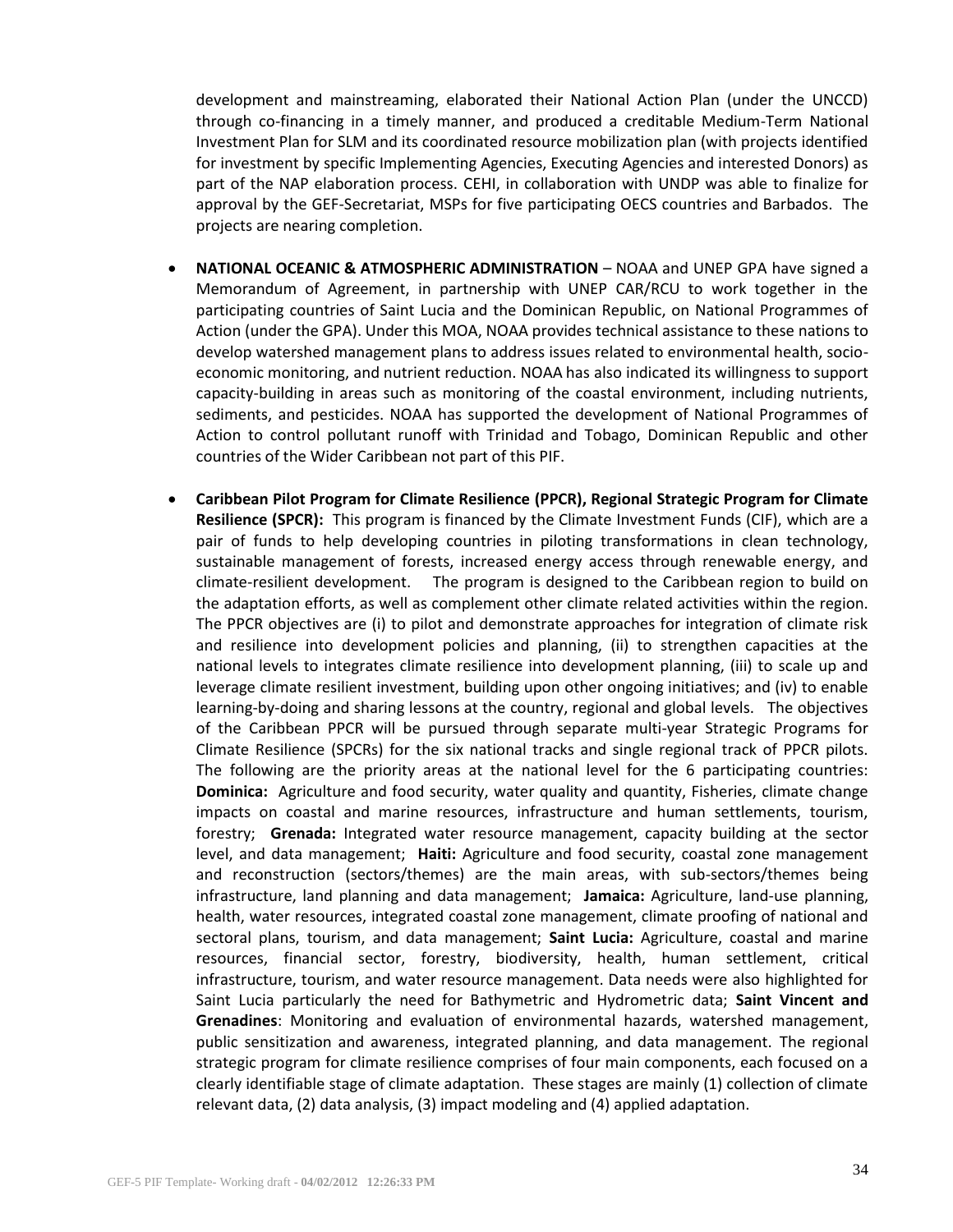development and mainstreaming, elaborated their National Action Plan (under the UNCCD) through co-financing in a timely manner, and produced a creditable Medium-Term National Investment Plan for SLM and its coordinated resource mobilization plan (with projects identified for investment by specific Implementing Agencies, Executing Agencies and interested Donors) as part of the NAP elaboration process. CEHI, in collaboration with UNDP was able to finalize for approval by the GEF-Secretariat, MSPs for five participating OECS countries and Barbados. The projects are nearing completion.

- **NATIONAL OCEANIC & ATMOSPHERIC ADMINISTRATION** NOAA and UNEP GPA have signed a Memorandum of Agreement, in partnership with UNEP CAR/RCU to work together in the participating countries of Saint Lucia and the Dominican Republic, on National Programmes of Action (under the GPA). Under this MOA, NOAA provides technical assistance to these nations to develop watershed management plans to address issues related to environmental health, socioeconomic monitoring, and nutrient reduction. NOAA has also indicated its willingness to support capacity-building in areas such as monitoring of the coastal environment, including nutrients, sediments, and pesticides. NOAA has supported the development of National Programmes of Action to control pollutant runoff with Trinidad and Tobago, Dominican Republic and other countries of the Wider Caribbean not part of this PIF.
- **Caribbean Pilot Program for Climate Resilience (PPCR), Regional Strategic Program for Climate Resilience (SPCR):** This program is financed by the Climate Investment Funds (CIF), which are a pair of funds to help developing countries in piloting transformations in clean technology, sustainable management of forests, increased energy access through renewable energy, and climate-resilient development. The program is designed to the Caribbean region to build on the adaptation efforts, as well as complement other climate related activities within the region. The PPCR objectives are (i) to pilot and demonstrate approaches for integration of climate risk and resilience into development policies and planning, (ii) to strengthen capacities at the national levels to integrates climate resilience into development planning, (iii) to scale up and leverage climate resilient investment, building upon other ongoing initiatives; and (iv) to enable learning-by-doing and sharing lessons at the country, regional and global levels. The objectives of the Caribbean PPCR will be pursued through separate multi-year Strategic Programs for Climate Resilience (SPCRs) for the six national tracks and single regional track of PPCR pilots. The following are the priority areas at the national level for the 6 participating countries: **Dominica:** Agriculture and food security, water quality and quantity, Fisheries, climate change impacts on coastal and marine resources, infrastructure and human settlements, tourism, forestry; **Grenada:** Integrated water resource management, capacity building at the sector level, and data management; **Haiti:** Agriculture and food security, coastal zone management and reconstruction (sectors/themes) are the main areas, with sub-sectors/themes being infrastructure, land planning and data management; **Jamaica:** Agriculture, land-use planning, health, water resources, integrated coastal zone management, climate proofing of national and sectoral plans, tourism, and data management; **Saint Lucia:** Agriculture, coastal and marine resources, financial sector, forestry, biodiversity, health, human settlement, critical infrastructure, tourism, and water resource management. Data needs were also highlighted for Saint Lucia particularly the need for Bathymetric and Hydrometric data; **Saint Vincent and Grenadines**: Monitoring and evaluation of environmental hazards, watershed management, public sensitization and awareness, integrated planning, and data management. The regional strategic program for climate resilience comprises of four main components, each focused on a clearly identifiable stage of climate adaptation. These stages are mainly (1) collection of climate relevant data, (2) data analysis, (3) impact modeling and (4) applied adaptation.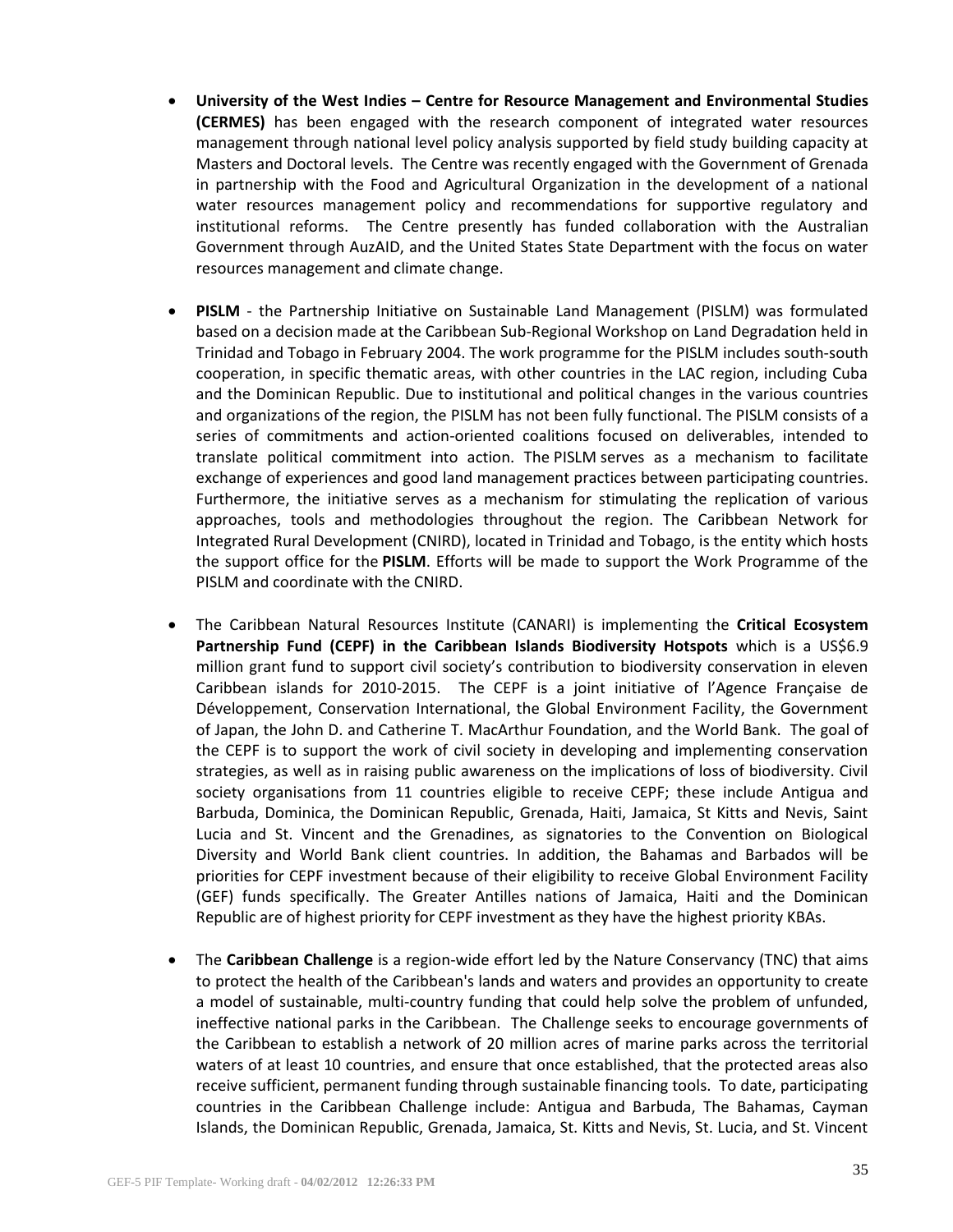- **University of the West Indies – Centre for Resource Management and Environmental Studies (CERMES)** has been engaged with the research component of integrated water resources management through national level policy analysis supported by field study building capacity at Masters and Doctoral levels. The Centre was recently engaged with the Government of Grenada in partnership with the Food and Agricultural Organization in the development of a national water resources management policy and recommendations for supportive regulatory and institutional reforms. The Centre presently has funded collaboration with the Australian Government through AuzAID, and the United States State Department with the focus on water resources management and climate change.
- **PISLM** the Partnership Initiative on Sustainable Land Management (PISLM) was formulated based on a decision made at the Caribbean Sub-Regional Workshop on Land Degradation held in Trinidad and Tobago in February 2004. The work programme for the PISLM includes south-south cooperation, in specific thematic areas, with other countries in the LAC region, including Cuba and the Dominican Republic. Due to institutional and political changes in the various countries and organizations of the region, the PISLM has not been fully functional. The PISLM consists of a series of commitments and action-oriented coalitions focused on deliverables, intended to translate political commitment into action. The PISLM serves as a mechanism to facilitate exchange of experiences and good land management practices between participating countries. Furthermore, the initiative serves as a mechanism for stimulating the replication of various approaches, tools and methodologies throughout the region. The Caribbean Network for Integrated Rural Development (CNIRD), located in Trinidad and Tobago, is the entity which hosts the support office for the **PISLM**. Efforts will be made to support the Work Programme of the PISLM and coordinate with the CNIRD.
- The Caribbean Natural Resources Institute (CANARI) is implementing the **Critical Ecosystem Partnership Fund (CEPF) in the Caribbean Islands Biodiversity Hotspots** which is a US\$6.9 million grant fund to support civil society's contribution to biodiversity conservation in eleven Caribbean islands for 2010-2015. The CEPF is a joint initiative of l'Agence Française de Développement, Conservation International, the Global Environment Facility, the Government of Japan, the John D. and Catherine T. MacArthur Foundation, and the World Bank. The goal of the CEPF is to support the work of civil society in developing and implementing conservation strategies, as well as in raising public awareness on the implications of loss of biodiversity. Civil society organisations from 11 countries eligible to receive CEPF; these include Antigua and Barbuda, Dominica, the Dominican Republic, Grenada, Haiti, Jamaica, St Kitts and Nevis, Saint Lucia and St. Vincent and the Grenadines, as signatories to the Convention on Biological Diversity and World Bank client countries. In addition, the Bahamas and Barbados will be priorities for CEPF investment because of their eligibility to receive Global Environment Facility (GEF) funds specifically. The Greater Antilles nations of Jamaica, Haiti and the Dominican Republic are of highest priority for CEPF investment as they have the highest priority KBAs.
- The **Caribbean Challenge** is a region-wide effort led by the Nature Conservancy (TNC) that aims to protect the health of the Caribbean's lands and waters and provides an opportunity to create a model of sustainable, multi-country funding that could help solve the problem of unfunded, ineffective national parks in the Caribbean. The Challenge seeks to encourage governments of the Caribbean to establish a network of 20 million acres of marine parks across the territorial waters of at least 10 countries, and ensure that once established, that the protected areas also receive sufficient, permanent funding through sustainable financing tools. To date, participating countries in the Caribbean Challenge include: Antigua and Barbuda, The Bahamas, Cayman Islands, the Dominican Republic, Grenada, Jamaica, St. Kitts and Nevis, St. Lucia, and St. Vincent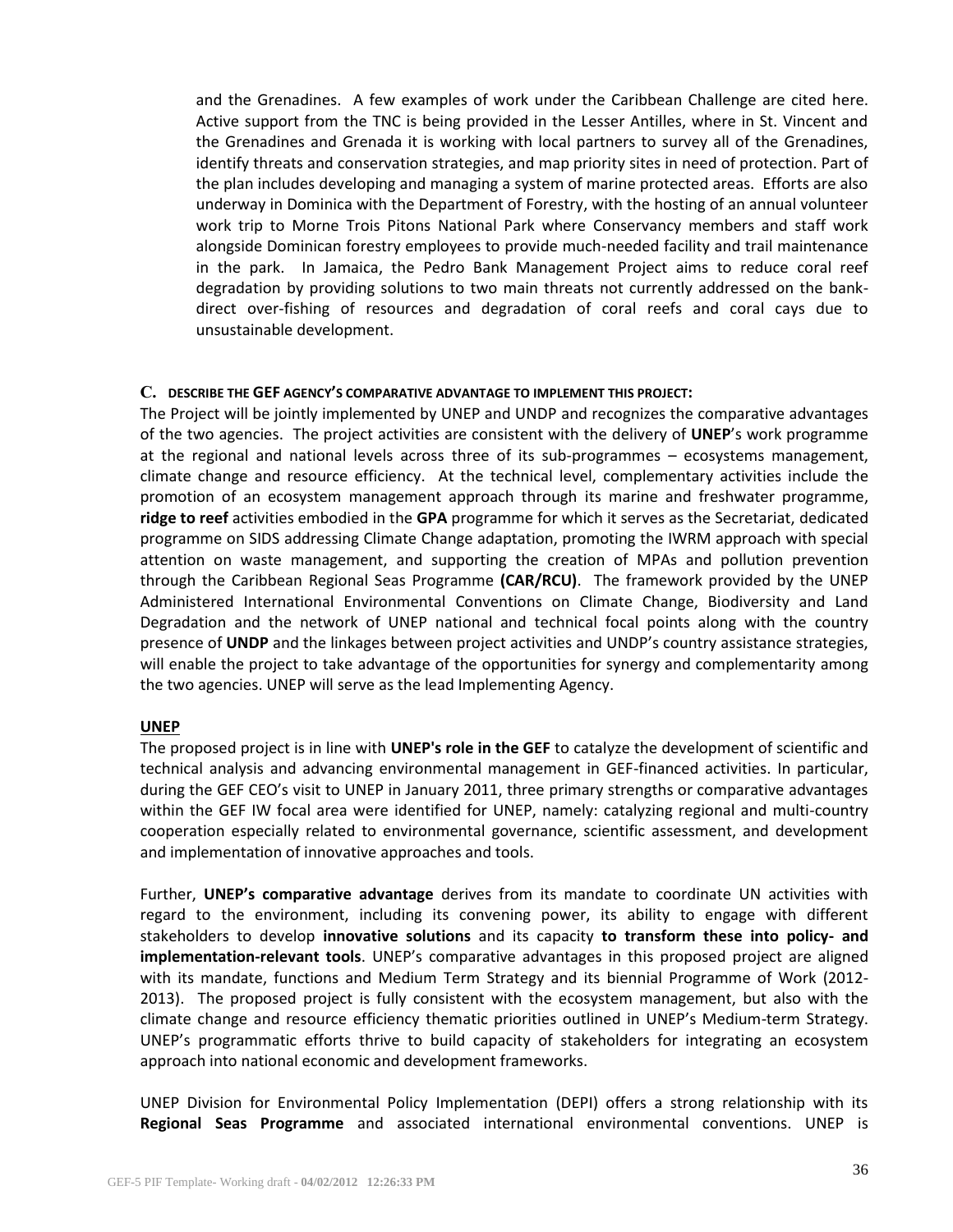and the Grenadines. A few examples of work under the Caribbean Challenge are cited here. Active support from the TNC is being provided in the Lesser Antilles, where in St. Vincent and the Grenadines and Grenada it is working with local partners to survey all of the Grenadines, identify threats and conservation strategies, and map priority sites in need of protection. Part of the plan includes developing and managing a system of marine protected areas. Efforts are also underway in Dominica with the Department of Forestry, with the hosting of an annual volunteer work trip to Morne Trois Pitons National Park where Conservancy members and staff work alongside Dominican forestry employees to provide much-needed facility and trail maintenance in the park. In Jamaica, the Pedro Bank Management Project aims to reduce coral reef degradation by providing solutions to two main threats not currently addressed on the bankdirect over-fishing of resources and degradation of coral reefs and coral cays due to unsustainable development.

### **C. DESCRIBE THE GEF AGENCY'S COMPARATIVE ADVANTAGE TO IMPLEMENT THIS PROJECT:**

The Project will be jointly implemented by UNEP and UNDP and recognizes the comparative advantages of the two agencies. The project activities are consistent with the delivery of **UNEP**'s work programme at the regional and national levels across three of its sub-programmes – ecosystems management, climate change and resource efficiency. At the technical level, complementary activities include the promotion of an ecosystem management approach through its marine and freshwater programme, **ridge to reef** activities embodied in the **GPA** programme for which it serves as the Secretariat, dedicated programme on SIDS addressing Climate Change adaptation, promoting the IWRM approach with special attention on waste management, and supporting the creation of MPAs and pollution prevention through the Caribbean Regional Seas Programme **(CAR/RCU)**. The framework provided by the UNEP Administered International Environmental Conventions on Climate Change, Biodiversity and Land Degradation and the network of UNEP national and technical focal points along with the country presence of **UNDP** and the linkages between project activities and UNDP's country assistance strategies, will enable the project to take advantage of the opportunities for synergy and complementarity among the two agencies. UNEP will serve as the lead Implementing Agency.

### **UNEP**

The proposed project is in line with **UNEP's role in the GEF** to catalyze the development of scientific and technical analysis and advancing environmental management in GEF-financed activities. In particular, during the GEF CEO's visit to UNEP in January 2011, three primary strengths or comparative advantages within the GEF IW focal area were identified for UNEP, namely: catalyzing regional and multi-country cooperation especially related to environmental governance, scientific assessment, and development and implementation of innovative approaches and tools.

Further, **UNEP's comparative advantage** derives from its mandate to coordinate UN activities with regard to the environment, including its convening power, its ability to engage with different stakeholders to develop **innovative solutions** and its capacity **to transform these into policy- and implementation-relevant tools**. UNEP's comparative advantages in this proposed project are aligned with its mandate, functions and Medium Term Strategy and its biennial Programme of Work (2012- 2013). The proposed project is fully consistent with the ecosystem management, but also with the climate change and resource efficiency thematic priorities outlined in UNEP's Medium-term Strategy. UNEP's programmatic efforts thrive to build capacity of stakeholders for integrating an ecosystem approach into national economic and development frameworks.

UNEP Division for Environmental Policy Implementation (DEPI) offers a strong relationship with its **Regional Seas Programme** and associated international environmental conventions. UNEP is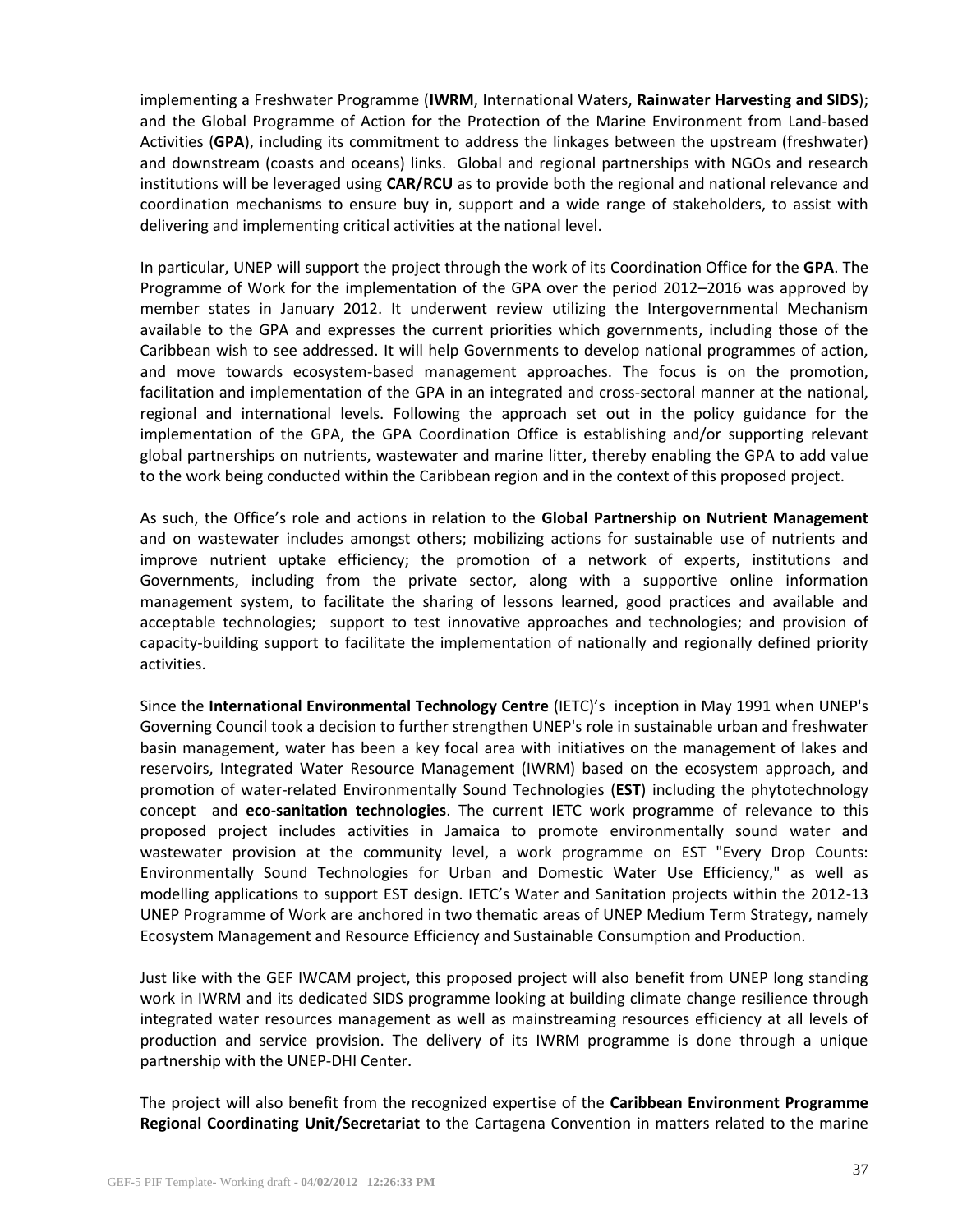implementing a Freshwater Programme (**IWRM**, International Waters, **Rainwater Harvesting and SIDS**); and the Global Programme of Action for the Protection of the Marine Environment from Land-based Activities (**GPA**), including its commitment to address the linkages between the upstream (freshwater) and downstream (coasts and oceans) links. Global and regional partnerships with NGOs and research institutions will be leveraged using **CAR/RCU** as to provide both the regional and national relevance and coordination mechanisms to ensure buy in, support and a wide range of stakeholders, to assist with delivering and implementing critical activities at the national level.

In particular, UNEP will support the project through the work of its Coordination Office for the **GPA**. The Programme of Work for the implementation of the GPA over the period 2012–2016 was approved by member states in January 2012. It underwent review utilizing the Intergovernmental Mechanism available to the GPA and expresses the current priorities which governments, including those of the Caribbean wish to see addressed. It will help Governments to develop national programmes of action, and move towards ecosystem-based management approaches. The focus is on the promotion, facilitation and implementation of the GPA in an integrated and cross-sectoral manner at the national, regional and international levels. Following the approach set out in the policy guidance for the implementation of the GPA, the GPA Coordination Office is establishing and/or supporting relevant global partnerships on nutrients, wastewater and marine litter, thereby enabling the GPA to add value to the work being conducted within the Caribbean region and in the context of this proposed project.

As such, the Office's role and actions in relation to the **Global Partnership on Nutrient Management** and on wastewater includes amongst others; mobilizing actions for sustainable use of nutrients and improve nutrient uptake efficiency; the promotion of a network of experts, institutions and Governments, including from the private sector, along with a supportive online information management system, to facilitate the sharing of lessons learned, good practices and available and acceptable technologies; support to test innovative approaches and technologies; and provision of capacity-building support to facilitate the implementation of nationally and regionally defined priority activities.

Since the **International Environmental Technology Centre** (IETC)'s inception in May 1991 when UNEP's Governing Council took a decision to further strengthen UNEP's role in sustainable urban and freshwater basin management, water has been a key focal area with initiatives on the management of lakes and reservoirs, Integrated Water Resource Management (IWRM) based on the ecosystem approach, and promotion of water-related Environmentally Sound Technologies (**EST**) including the phytotechnology concept and **eco-sanitation technologies**. The current IETC work programme of relevance to this proposed project includes activities in Jamaica to promote environmentally sound water and wastewater provision at the community level, a work programme on EST "Every Drop Counts: Environmentally Sound Technologies for Urban and Domestic Water Use Efficiency," as well as modelling applications to support EST design. IETC's Water and Sanitation projects within the 2012-13 UNEP Programme of Work are anchored in two thematic areas of UNEP Medium Term Strategy, namely Ecosystem Management and Resource Efficiency and Sustainable Consumption and Production.

Just like with the GEF IWCAM project, this proposed project will also benefit from UNEP long standing work in IWRM and its dedicated SIDS programme looking at building climate change resilience through integrated water resources management as well as mainstreaming resources efficiency at all levels of production and service provision. The delivery of its IWRM programme is done through a unique partnership with the UNEP-DHI Center.

The project will also benefit from the recognized expertise of the **Caribbean Environment Programme Regional Coordinating Unit/Secretariat** to the Cartagena Convention in matters related to the marine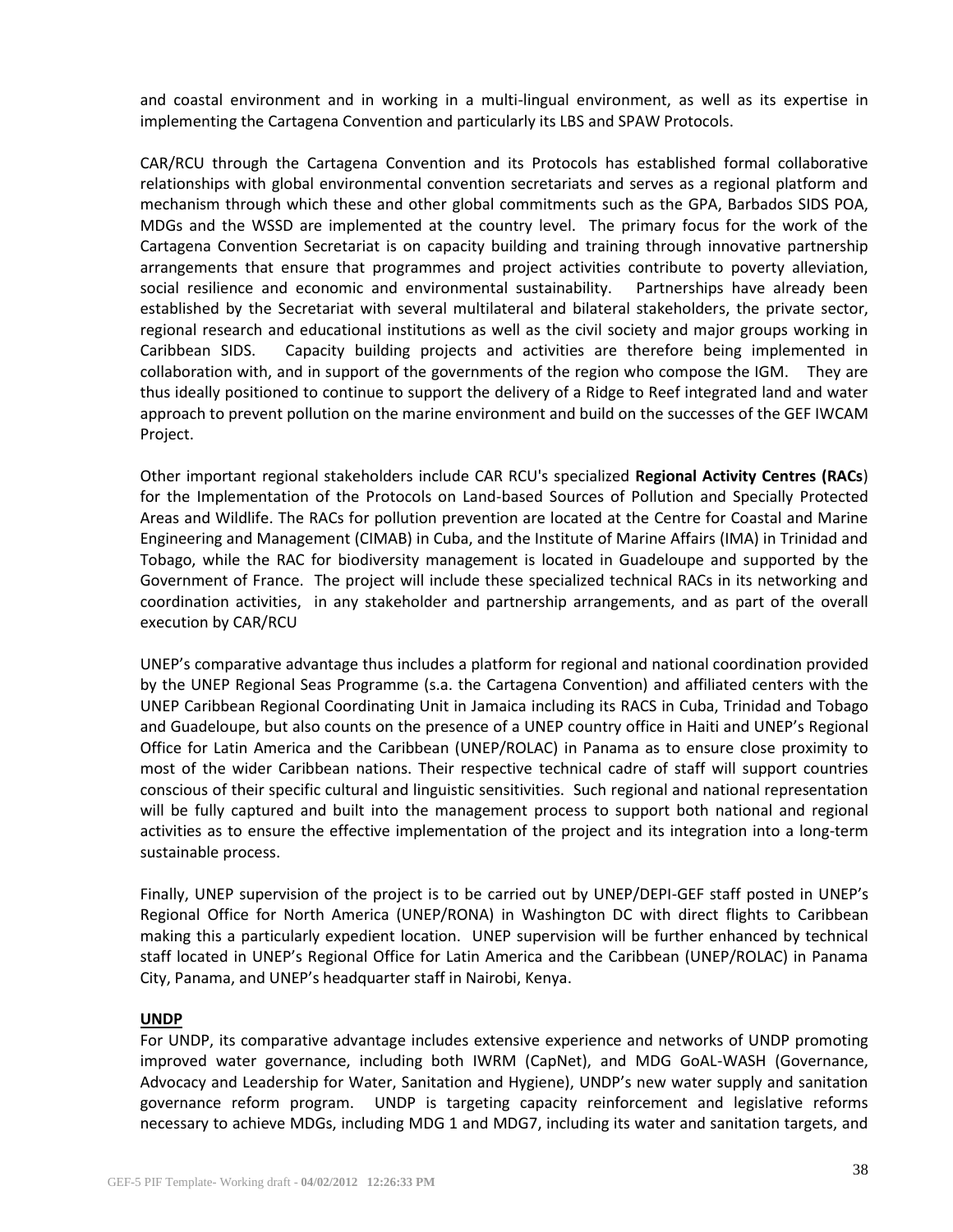and coastal environment and in working in a multi-lingual environment, as well as its expertise in implementing the Cartagena Convention and particularly its LBS and SPAW Protocols.

CAR/RCU through the Cartagena Convention and its Protocols has established formal collaborative relationships with global environmental convention secretariats and serves as a regional platform and mechanism through which these and other global commitments such as the GPA, Barbados SIDS POA, MDGs and the WSSD are implemented at the country level. The primary focus for the work of the Cartagena Convention Secretariat is on capacity building and training through innovative partnership arrangements that ensure that programmes and project activities contribute to poverty alleviation, social resilience and economic and environmental sustainability. Partnerships have already been established by the Secretariat with several multilateral and bilateral stakeholders, the private sector, regional research and educational institutions as well as the civil society and major groups working in Caribbean SIDS. Capacity building projects and activities are therefore being implemented in collaboration with, and in support of the governments of the region who compose the IGM. They are thus ideally positioned to continue to support the delivery of a Ridge to Reef integrated land and water approach to prevent pollution on the marine environment and build on the successes of the GEF IWCAM Project.

Other important regional stakeholders include CAR RCU's specialized **Regional Activity Centres (RACs**) for the Implementation of the Protocols on Land-based Sources of Pollution and Specially Protected Areas and Wildlife. The RACs for pollution prevention are located at the Centre for Coastal and Marine Engineering and Management (CIMAB) in Cuba, and the Institute of Marine Affairs (IMA) in Trinidad and Tobago, while the RAC for biodiversity management is located in Guadeloupe and supported by the Government of France. The project will include these specialized technical RACs in its networking and coordination activities, in any stakeholder and partnership arrangements, and as part of the overall execution by CAR/RCU

UNEP's comparative advantage thus includes a platform for regional and national coordination provided by the UNEP Regional Seas Programme (s.a. the Cartagena Convention) and affiliated centers with the UNEP Caribbean Regional Coordinating Unit in Jamaica including its RACS in Cuba, Trinidad and Tobago and Guadeloupe, but also counts on the presence of a UNEP country office in Haiti and UNEP's Regional Office for Latin America and the Caribbean (UNEP/ROLAC) in Panama as to ensure close proximity to most of the wider Caribbean nations. Their respective technical cadre of staff will support countries conscious of their specific cultural and linguistic sensitivities. Such regional and national representation will be fully captured and built into the management process to support both national and regional activities as to ensure the effective implementation of the project and its integration into a long-term sustainable process.

Finally, UNEP supervision of the project is to be carried out by UNEP/DEPI-GEF staff posted in UNEP's Regional Office for North America (UNEP/RONA) in Washington DC with direct flights to Caribbean making this a particularly expedient location. UNEP supervision will be further enhanced by technical staff located in UNEP's Regional Office for Latin America and the Caribbean (UNEP/ROLAC) in Panama City, Panama, and UNEP's headquarter staff in Nairobi, Kenya.

### **UNDP**

For UNDP, its comparative advantage includes extensive experience and networks of UNDP promoting improved water governance, including both IWRM (CapNet), and MDG GoAL-WASH (Governance, Advocacy and Leadership for Water, Sanitation and Hygiene), UNDP's new water supply and sanitation governance reform program. UNDP is targeting capacity reinforcement and legislative reforms necessary to achieve MDGs, including MDG 1 and MDG7, including its water and sanitation targets, and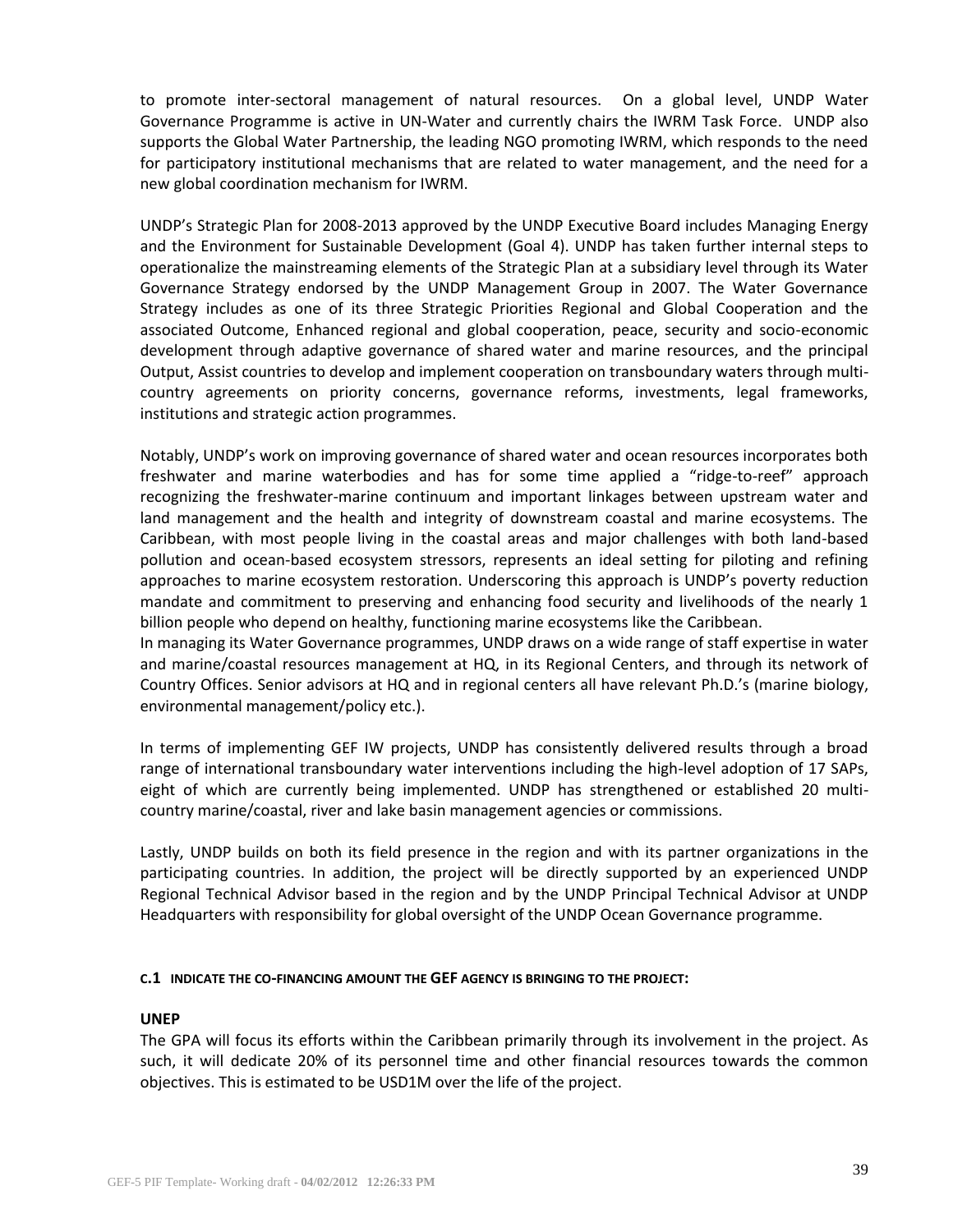to promote inter-sectoral management of natural resources. On a global level, UNDP Water Governance Programme is active in UN-Water and currently chairs the IWRM Task Force. UNDP also supports the Global Water Partnership, the leading NGO promoting IWRM, which responds to the need for participatory institutional mechanisms that are related to water management, and the need for a new global coordination mechanism for IWRM.

UNDP's Strategic Plan for 2008-2013 approved by the UNDP Executive Board includes Managing Energy and the Environment for Sustainable Development (Goal 4). UNDP has taken further internal steps to operationalize the mainstreaming elements of the Strategic Plan at a subsidiary level through its Water Governance Strategy endorsed by the UNDP Management Group in 2007. The Water Governance Strategy includes as one of its three Strategic Priorities Regional and Global Cooperation and the associated Outcome, Enhanced regional and global cooperation, peace, security and socio-economic development through adaptive governance of shared water and marine resources, and the principal Output, Assist countries to develop and implement cooperation on transboundary waters through multicountry agreements on priority concerns, governance reforms, investments, legal frameworks, institutions and strategic action programmes.

Notably, UNDP's work on improving governance of shared water and ocean resources incorporates both freshwater and marine waterbodies and has for some time applied a "ridge-to-reef" approach recognizing the freshwater-marine continuum and important linkages between upstream water and land management and the health and integrity of downstream coastal and marine ecosystems. The Caribbean, with most people living in the coastal areas and major challenges with both land-based pollution and ocean-based ecosystem stressors, represents an ideal setting for piloting and refining approaches to marine ecosystem restoration. Underscoring this approach is UNDP's poverty reduction mandate and commitment to preserving and enhancing food security and livelihoods of the nearly 1 billion people who depend on healthy, functioning marine ecosystems like the Caribbean.

In managing its Water Governance programmes, UNDP draws on a wide range of staff expertise in water and marine/coastal resources management at HQ, in its Regional Centers, and through its network of Country Offices. Senior advisors at HQ and in regional centers all have relevant Ph.D.'s (marine biology, environmental management/policy etc.).

In terms of implementing GEF IW projects, UNDP has consistently delivered results through a broad range of international transboundary water interventions including the high-level adoption of 17 SAPs, eight of which are currently being implemented. UNDP has strengthened or established 20 multicountry marine/coastal, river and lake basin management agencies or commissions.

Lastly, UNDP builds on both its field presence in the region and with its partner organizations in the participating countries. In addition, the project will be directly supported by an experienced UNDP Regional Technical Advisor based in the region and by the UNDP Principal Technical Advisor at UNDP Headquarters with responsibility for global oversight of the UNDP Ocean Governance programme.

## **C.1 INDICATE THE CO-FINANCING AMOUNT THE GEF AGENCY IS BRINGING TO THE PROJECT:**

### **UNEP**

The GPA will focus its efforts within the Caribbean primarily through its involvement in the project. As such, it will dedicate 20% of its personnel time and other financial resources towards the common objectives. This is estimated to be USD1M over the life of the project.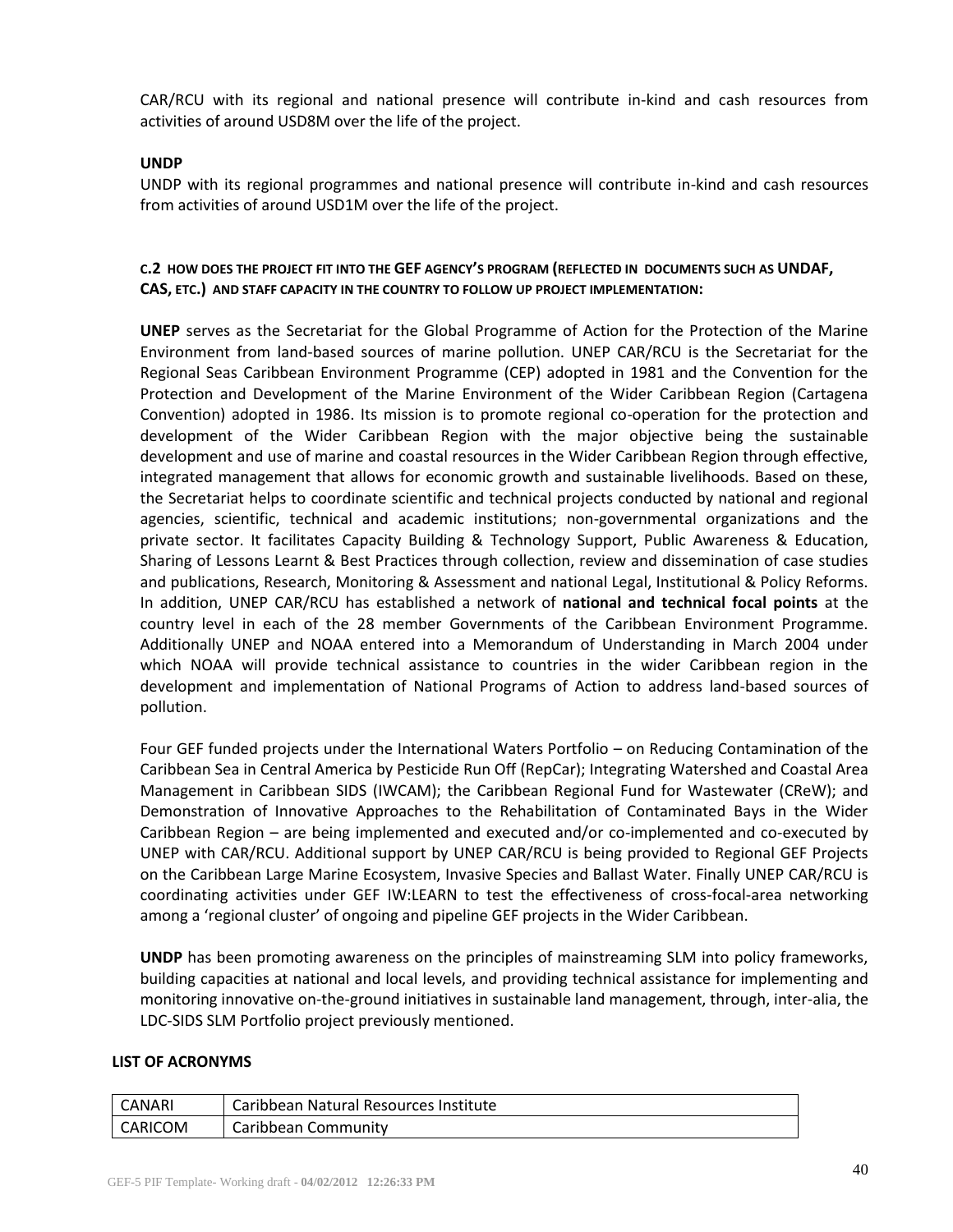CAR/RCU with its regional and national presence will contribute in-kind and cash resources from activities of around USD8M over the life of the project.

### **UNDP**

UNDP with its regional programmes and national presence will contribute in-kind and cash resources from activities of around USD1M over the life of the project.

## **C.2 HOW DOES THE PROJECT FIT INTO THE GEF AGENCY'S PROGRAM (REFLECTED IN DOCUMENTS SUCH AS UNDAF, CAS, ETC.) AND STAFF CAPACITY IN THE COUNTRY TO FOLLOW UP PROJECT IMPLEMENTATION:**

**UNEP** serves as the Secretariat for the Global Programme of Action for the Protection of the Marine Environment from land-based sources of marine pollution. UNEP CAR/RCU is the Secretariat for the Regional Seas Caribbean Environment Programme (CEP) adopted in 1981 and the Convention for the Protection and Development of the Marine Environment of the Wider Caribbean Region (Cartagena Convention) adopted in 1986. Its mission is to promote regional co-operation for the protection and development of the Wider Caribbean Region with the major objective being the sustainable development and use of marine and coastal resources in the Wider Caribbean Region through effective, integrated management that allows for economic growth and sustainable livelihoods. Based on these, the Secretariat helps to coordinate scientific and technical projects conducted by national and regional agencies, scientific, technical and academic institutions; non-governmental organizations and the private sector. It facilitates Capacity Building & Technology Support, Public Awareness & Education, Sharing of Lessons Learnt & Best Practices through collection, review and dissemination of case studies and publications, Research, Monitoring & Assessment and national Legal, Institutional & Policy Reforms. In addition, UNEP CAR/RCU has established a network of **national and technical focal points** at the country level in each of the 28 member Governments of the Caribbean Environment Programme. Additionally UNEP and NOAA entered into a Memorandum of Understanding in March 2004 under which NOAA will provide technical assistance to countries in the wider Caribbean region in the development and implementation of National Programs of Action to address land-based sources of pollution.

Four GEF funded projects under the International Waters Portfolio – on Reducing Contamination of the Caribbean Sea in Central America by Pesticide Run Off (RepCar); Integrating Watershed and Coastal Area Management in Caribbean SIDS (IWCAM); the Caribbean Regional Fund for Wastewater (CReW); and Demonstration of Innovative Approaches to the Rehabilitation of Contaminated Bays in the Wider Caribbean Region – are being implemented and executed and/or co-implemented and co-executed by UNEP with CAR/RCU. Additional support by UNEP CAR/RCU is being provided to Regional GEF Projects on the Caribbean Large Marine Ecosystem, Invasive Species and Ballast Water. Finally UNEP CAR/RCU is coordinating activities under GEF IW:LEARN to test the effectiveness of cross-focal-area networking among a 'regional cluster' of ongoing and pipeline GEF projects in the Wider Caribbean.

**UNDP** has been promoting awareness on the principles of mainstreaming SLM into policy frameworks, building capacities at national and local levels, and providing technical assistance for implementing and monitoring innovative on-the-ground initiatives in sustainable land management, through, inter-alia, the LDC-SIDS SLM Portfolio project previously mentioned.

### **LIST OF ACRONYMS**

| CANARI  | Caribbean Natural Resources Institute |
|---------|---------------------------------------|
| CARICOM | Caribbean Community                   |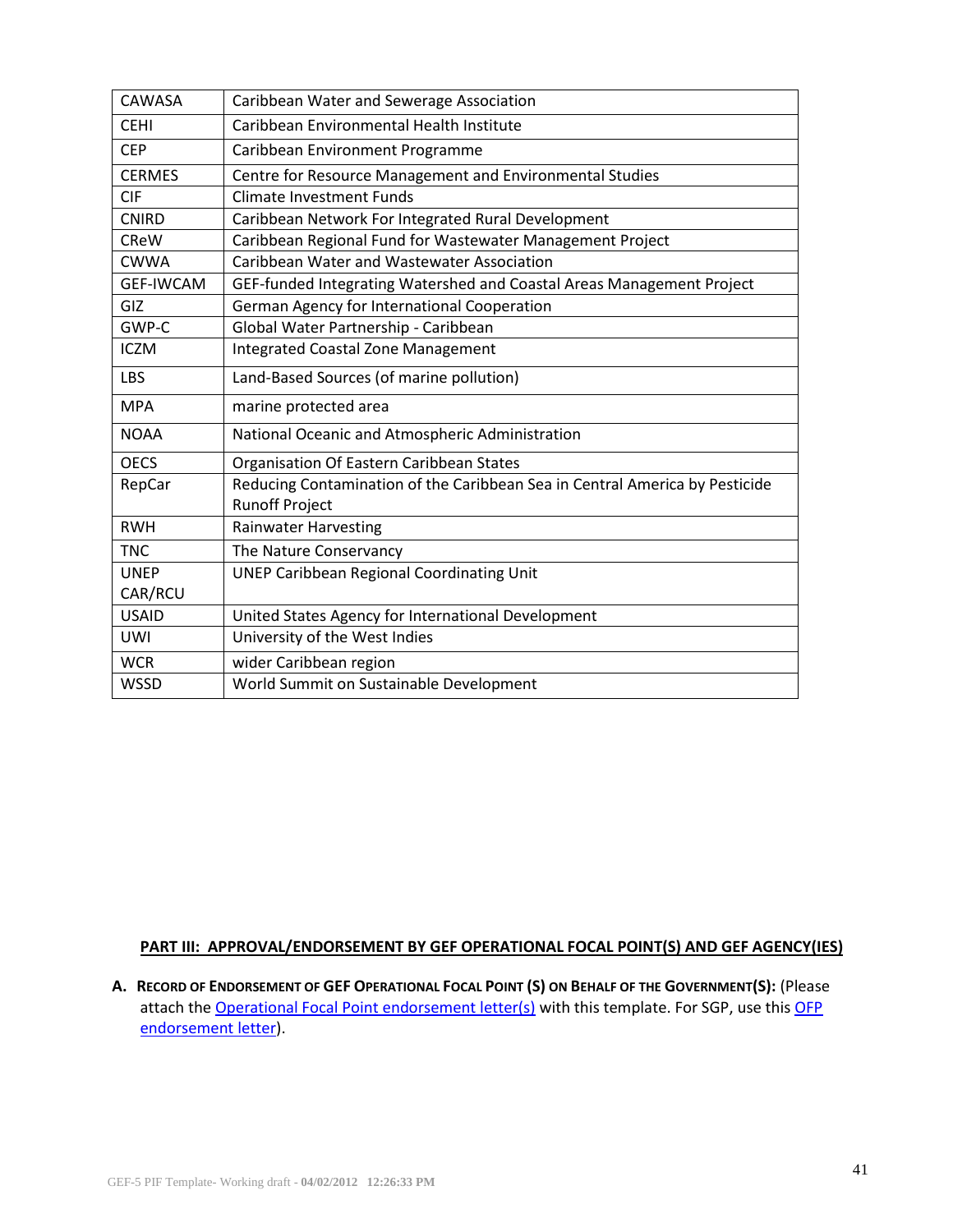| CAWASA           | Caribbean Water and Sewerage Association                                                             |  |  |  |  |
|------------------|------------------------------------------------------------------------------------------------------|--|--|--|--|
| <b>CEHI</b>      | Caribbean Environmental Health Institute                                                             |  |  |  |  |
| <b>CEP</b>       | Caribbean Environment Programme                                                                      |  |  |  |  |
| <b>CERMES</b>    | Centre for Resource Management and Environmental Studies                                             |  |  |  |  |
| <b>CIF</b>       | <b>Climate Investment Funds</b>                                                                      |  |  |  |  |
| <b>CNIRD</b>     | Caribbean Network For Integrated Rural Development                                                   |  |  |  |  |
| <b>CReW</b>      | Caribbean Regional Fund for Wastewater Management Project                                            |  |  |  |  |
| <b>CWWA</b>      | Caribbean Water and Wastewater Association                                                           |  |  |  |  |
| <b>GEF-IWCAM</b> | GEF-funded Integrating Watershed and Coastal Areas Management Project                                |  |  |  |  |
| GIZ              | German Agency for International Cooperation                                                          |  |  |  |  |
| GWP-C            | Global Water Partnership - Caribbean                                                                 |  |  |  |  |
| <b>ICZM</b>      | <b>Integrated Coastal Zone Management</b>                                                            |  |  |  |  |
| <b>LBS</b>       | Land-Based Sources (of marine pollution)                                                             |  |  |  |  |
| <b>MPA</b>       | marine protected area                                                                                |  |  |  |  |
| <b>NOAA</b>      | National Oceanic and Atmospheric Administration                                                      |  |  |  |  |
| <b>OECS</b>      | Organisation Of Eastern Caribbean States                                                             |  |  |  |  |
| RepCar           | Reducing Contamination of the Caribbean Sea in Central America by Pesticide<br><b>Runoff Project</b> |  |  |  |  |
| <b>RWH</b>       | <b>Rainwater Harvesting</b>                                                                          |  |  |  |  |
| <b>TNC</b>       | The Nature Conservancy                                                                               |  |  |  |  |
| <b>UNEP</b>      | <b>UNEP Caribbean Regional Coordinating Unit</b>                                                     |  |  |  |  |
| CAR/RCU          |                                                                                                      |  |  |  |  |
| <b>USAID</b>     | United States Agency for International Development                                                   |  |  |  |  |
| <b>UWI</b>       | University of the West Indies                                                                        |  |  |  |  |
| <b>WCR</b>       | wider Caribbean region                                                                               |  |  |  |  |
| <b>WSSD</b>      | World Summit on Sustainable Development                                                              |  |  |  |  |

# **PART III: APPROVAL/ENDORSEMENT BY GEF OPERATIONAL FOCAL POINT(S) AND GEF AGENCY(IES)**

A. RECORD OF ENDORSEMENT OF GEF OPERATIONAL FOCAL POINT (S) ON BEHALF OF THE GOVERNMENT(S): (Please attach the [Operational Focal Point endorsement letter\(s\)](http://www.thegef.org/gef/guidelines) with this template. For SGP, use this OFP [endorsement letter](http://www.thegef.org/gef/guidelines)).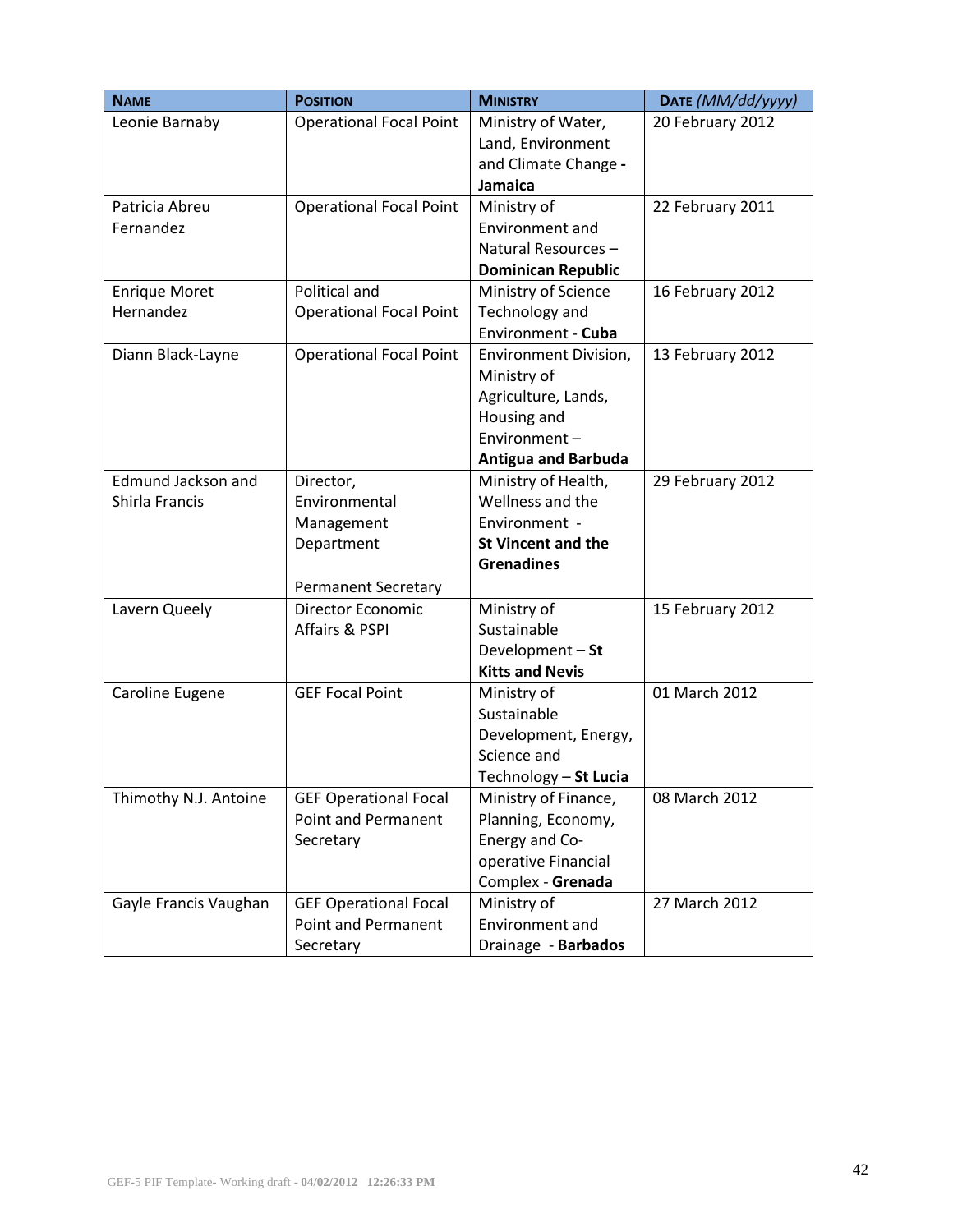| <b>NAME</b>               | <b>POSITION</b>                | <b>MINISTRY</b>            | DATE (MM/dd/yyyy) |
|---------------------------|--------------------------------|----------------------------|-------------------|
| Leonie Barnaby            | <b>Operational Focal Point</b> | Ministry of Water,         | 20 February 2012  |
|                           |                                | Land, Environment          |                   |
|                           |                                | and Climate Change -       |                   |
|                           |                                | Jamaica                    |                   |
| Patricia Abreu            | <b>Operational Focal Point</b> | Ministry of                | 22 February 2011  |
| Fernandez                 |                                | Environment and            |                   |
|                           |                                | Natural Resources-         |                   |
|                           |                                | <b>Dominican Republic</b>  |                   |
| <b>Enrique Moret</b>      | Political and                  | Ministry of Science        | 16 February 2012  |
| Hernandez                 | <b>Operational Focal Point</b> | Technology and             |                   |
|                           |                                | Environment - Cuba         |                   |
| Diann Black-Layne         | <b>Operational Focal Point</b> | Environment Division,      | 13 February 2012  |
|                           |                                | Ministry of                |                   |
|                           |                                | Agriculture, Lands,        |                   |
|                           |                                | Housing and                |                   |
|                           |                                | Environment-               |                   |
|                           |                                | <b>Antigua and Barbuda</b> |                   |
| <b>Edmund Jackson and</b> | Director,                      | Ministry of Health,        | 29 February 2012  |
| Shirla Francis            | Environmental                  | Wellness and the           |                   |
|                           | Management                     | Environment -              |                   |
|                           | Department                     | <b>St Vincent and the</b>  |                   |
|                           |                                | <b>Grenadines</b>          |                   |
|                           | <b>Permanent Secretary</b>     |                            |                   |
| Lavern Queely             | <b>Director Economic</b>       | Ministry of                | 15 February 2012  |
|                           | Affairs & PSPI                 | Sustainable                |                   |
|                           |                                | Development - St           |                   |
|                           |                                | <b>Kitts and Nevis</b>     |                   |
| Caroline Eugene           | <b>GEF Focal Point</b>         | Ministry of                | 01 March 2012     |
|                           |                                | Sustainable                |                   |
|                           |                                | Development, Energy,       |                   |
|                           |                                | Science and                |                   |
|                           |                                | Technology - St Lucia      |                   |
| Thimothy N.J. Antoine     | <b>GEF Operational Focal</b>   | Ministry of Finance,       | 08 March 2012     |
|                           | <b>Point and Permanent</b>     | Planning, Economy,         |                   |
|                           | Secretary                      | Energy and Co-             |                   |
|                           |                                | operative Financial        |                   |
|                           |                                | Complex - Grenada          |                   |
| Gayle Francis Vaughan     | <b>GEF Operational Focal</b>   | Ministry of                | 27 March 2012     |
|                           | Point and Permanent            | Environment and            |                   |
|                           | Secretary                      | Drainage - Barbados        |                   |